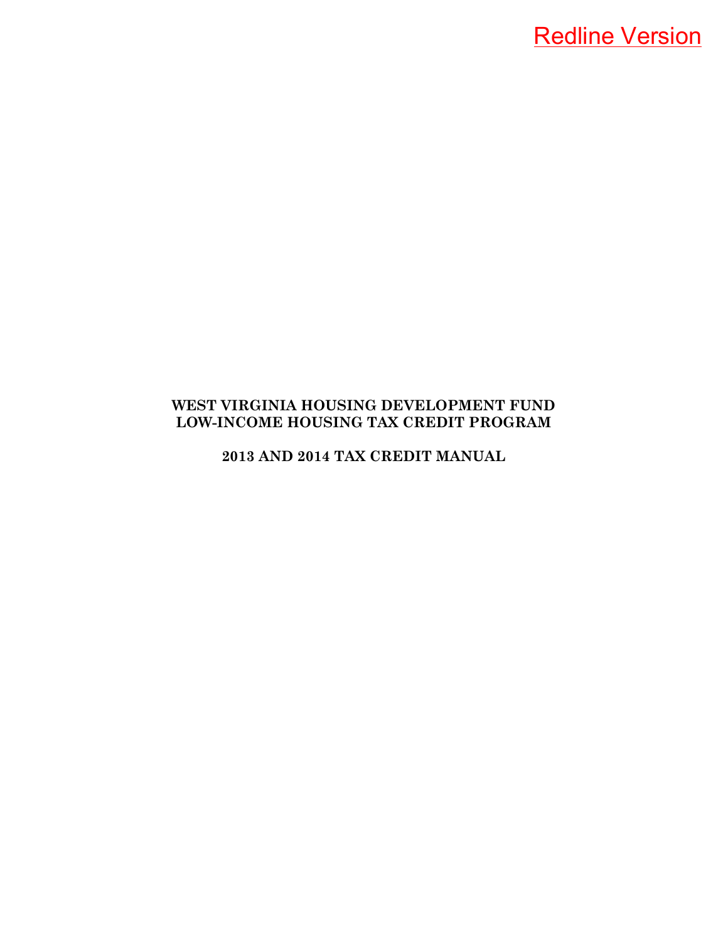**2013 AND 2014 TAX CREDIT MANUAL**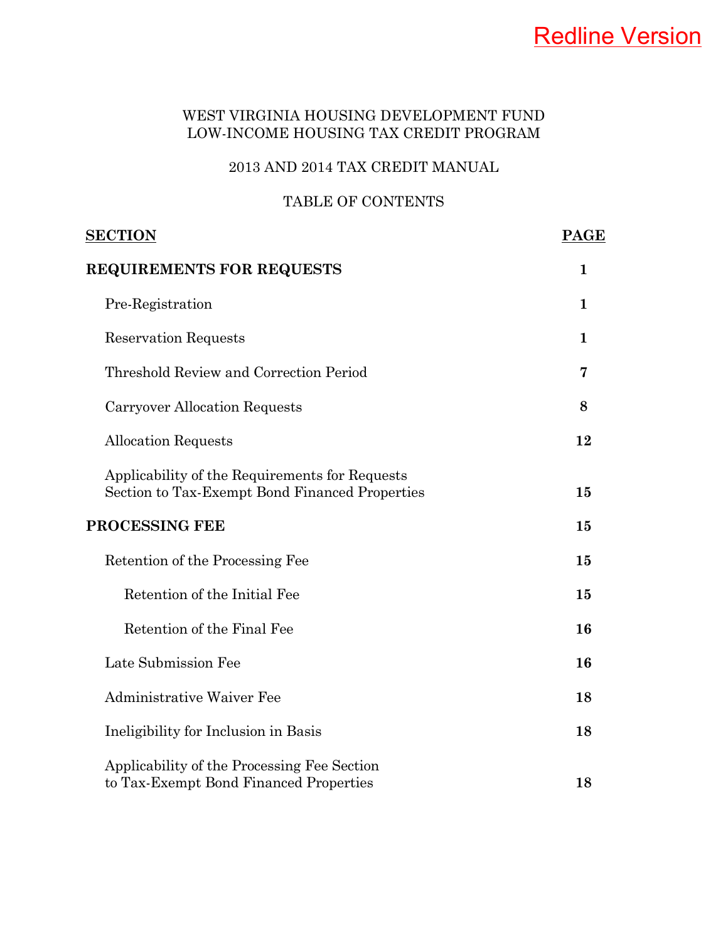## 2013 AND 2014 TAX CREDIT MANUAL

## TABLE OF CONTENTS

| <u>SECTION</u>                                                                                   |              |
|--------------------------------------------------------------------------------------------------|--------------|
| <b>REQUIREMENTS FOR REQUESTS</b>                                                                 | $\mathbf 1$  |
| Pre-Registration                                                                                 | $\mathbf{1}$ |
| <b>Reservation Requests</b>                                                                      | $\mathbf{1}$ |
| Threshold Review and Correction Period                                                           | 7            |
| Carryover Allocation Requests                                                                    | 8            |
| <b>Allocation Requests</b>                                                                       | 12           |
| Applicability of the Requirements for Requests<br>Section to Tax-Exempt Bond Financed Properties | 15           |
| <b>PROCESSING FEE</b>                                                                            | 15           |
| Retention of the Processing Fee                                                                  | 15           |
| Retention of the Initial Fee                                                                     | 15           |
| Retention of the Final Fee                                                                       | 16           |
| Late Submission Fee                                                                              | 16           |
| <b>Administrative Waiver Fee</b>                                                                 | 18           |
| Ineligibility for Inclusion in Basis                                                             | 18           |
| Applicability of the Processing Fee Section<br>to Tax-Exempt Bond Financed Properties            | 18           |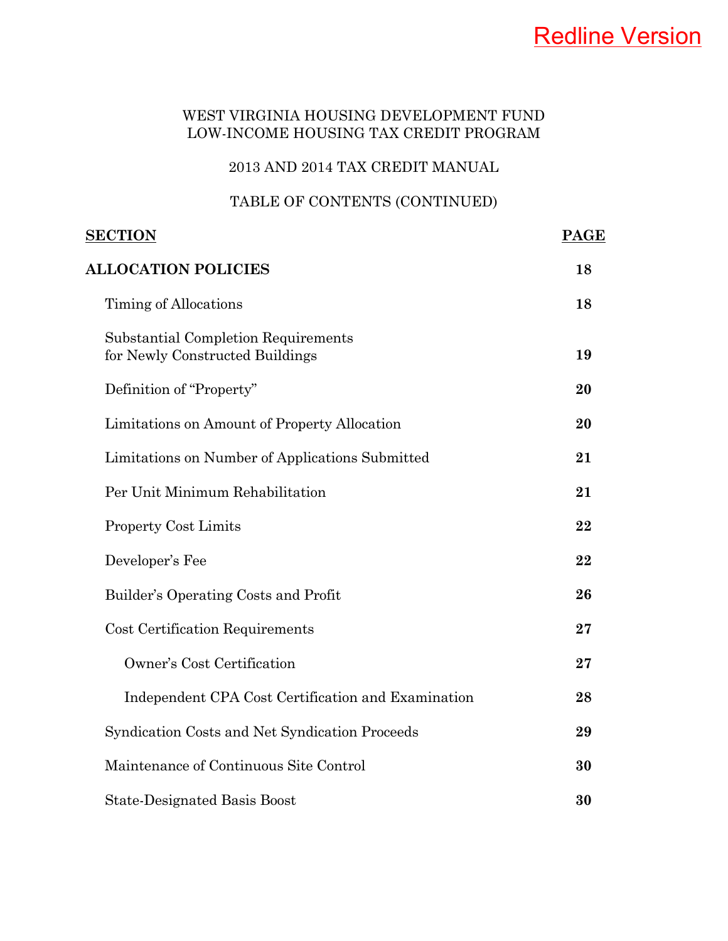## 2013 AND 2014 TAX CREDIT MANUAL

## TABLE OF CONTENTS (CONTINUED)

| <u>SECTION</u>                                                         | <b>PAGE</b> |
|------------------------------------------------------------------------|-------------|
| <b>ALLOCATION POLICIES</b>                                             | 18          |
| Timing of Allocations                                                  | 18          |
| Substantial Completion Requirements<br>for Newly Constructed Buildings | 19          |
| Definition of "Property"                                               | 20          |
| Limitations on Amount of Property Allocation                           | 20          |
| Limitations on Number of Applications Submitted                        | 21          |
| Per Unit Minimum Rehabilitation                                        | 21          |
| <b>Property Cost Limits</b>                                            | 22          |
| Developer's Fee                                                        | 22          |
| Builder's Operating Costs and Profit                                   | 26          |
| <b>Cost Certification Requirements</b>                                 | 27          |
| Owner's Cost Certification                                             | 27          |
| Independent CPA Cost Certification and Examination                     | 28          |
| Syndication Costs and Net Syndication Proceeds                         | 29          |
| Maintenance of Continuous Site Control                                 | 30          |
| <b>State-Designated Basis Boost</b>                                    | 30          |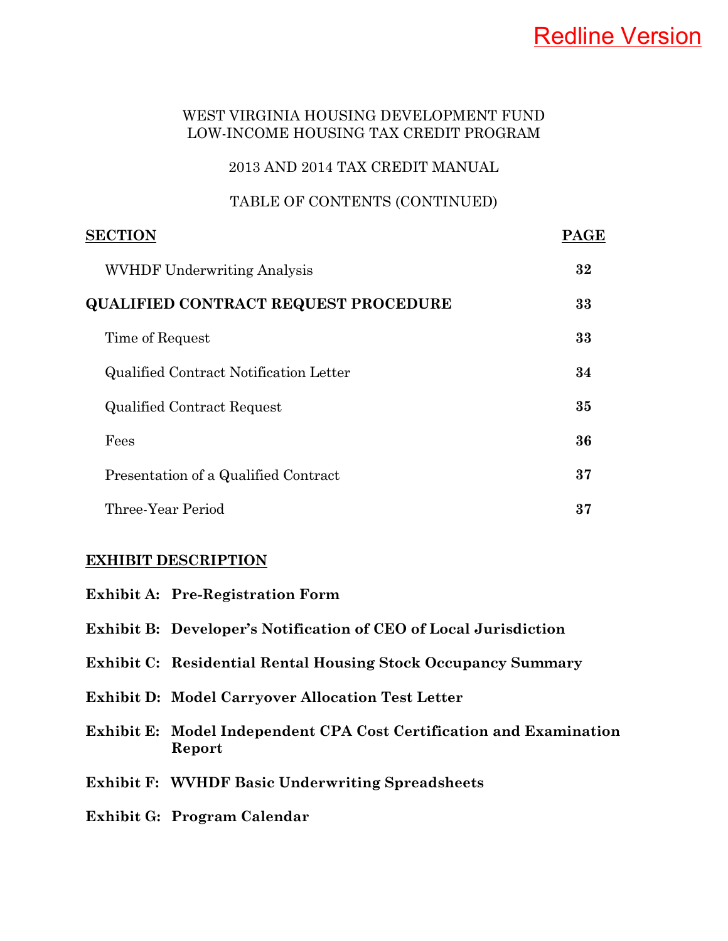## 2013 AND 2014 TAX CREDIT MANUAL

## TABLE OF CONTENTS (CONTINUED)

| <b>SECTION</b>                         | PAGE |
|----------------------------------------|------|
| <b>WVHDF Underwriting Analysis</b>     | 32   |
| QUALIFIED CONTRACT REQUEST PROCEDURE   | 33   |
| Time of Request                        | 33   |
| Qualified Contract Notification Letter | 34   |
| <b>Qualified Contract Request</b>      | 35   |
| Fees                                   | 36   |
| Presentation of a Qualified Contract   | 37   |
| Three-Year Period                      | 37   |

#### **EXHIBIT DESCRIPTION**

| <b>Exhibit A: Pre-Registration Form</b>                                       |
|-------------------------------------------------------------------------------|
| <b>Exhibit B:</b> Developer's Notification of CEO of Local Jurisdiction       |
| <b>Exhibit C:</b> Residential Rental Housing Stock Occupancy Summary          |
| <b>Exhibit D: Model Carryover Allocation Test Letter</b>                      |
| Exhibit E: Model Independent CPA Cost Certification and Examination<br>Report |
| <b>Exhibit F: WVHDF Basic Underwriting Spreadsheets</b>                       |
| Exhibit G: Program Calendar                                                   |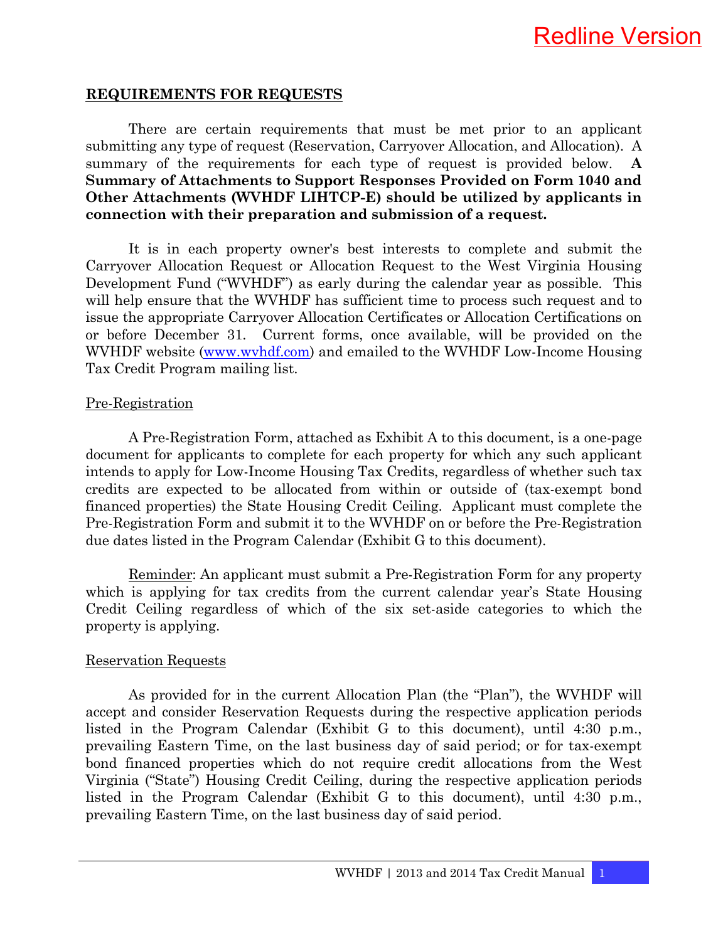#### **REQUIREMENTS FOR REQUESTS**

 There are certain requirements that must be met prior to an applicant submitting any type of request (Reservation, Carryover Allocation, and Allocation). A summary of the requirements for each type of request is provided below. **A Summary of Attachments to Support Responses Provided on Form 1040 and Other Attachments (WVHDF LIHTCP-E) should be utilized by applicants in connection with their preparation and submission of a request.**

 It is in each property owner's best interests to complete and submit the Carryover Allocation Request or Allocation Request to the West Virginia Housing Development Fund ("WVHDF") as early during the calendar year as possible. This will help ensure that the WVHDF has sufficient time to process such request and to issue the appropriate Carryover Allocation Certificates or Allocation Certifications on or before December 31. Current forms, once available, will be provided on the WVHDF website (www.wvhdf.com) and emailed to the WVHDF Low-Income Housing Tax Credit Program mailing list.

#### Pre-Registration

 A Pre-Registration Form, attached as Exhibit A to this document, is a one-page document for applicants to complete for each property for which any such applicant intends to apply for Low-Income Housing Tax Credits, regardless of whether such tax credits are expected to be allocated from within or outside of (tax-exempt bond financed properties) the State Housing Credit Ceiling. Applicant must complete the Pre-Registration Form and submit it to the WVHDF on or before the Pre-Registration due dates listed in the Program Calendar (Exhibit G to this document).

 Reminder: An applicant must submit a Pre-Registration Form for any property which is applying for tax credits from the current calendar year's State Housing Credit Ceiling regardless of which of the six set-aside categories to which the property is applying.

#### Reservation Requests

 As provided for in the current Allocation Plan (the "Plan"), the WVHDF will accept and consider Reservation Requests during the respective application periods listed in the Program Calendar (Exhibit G to this document), until 4:30 p.m., prevailing Eastern Time, on the last business day of said period; or for tax-exempt bond financed properties which do not require credit allocations from the West Virginia ("State") Housing Credit Ceiling, during the respective application periods listed in the Program Calendar (Exhibit G to this document), until 4:30 p.m., prevailing Eastern Time, on the last business day of said period.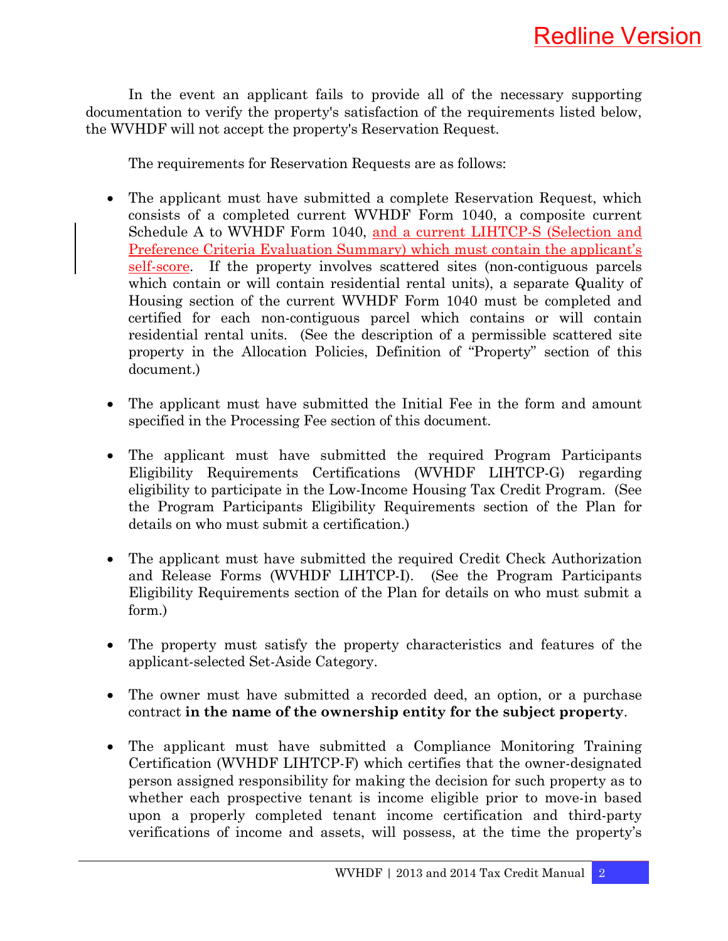In the event an applicant fails to provide all of the necessary supporting documentation to verify the property's satisfaction of the requirements listed below, the WVHDF will not accept the property's Reservation Request.

The requirements for Reservation Requests are as follows:

- The applicant must have submitted a complete Reservation Request, which consists of a completed current WVHDF Form 1040, a composite current Schedule A to WVHDF Form 1040, and a current LIHTCP-S (Selection and Preference Criteria Evaluation Summary) which must contain the applicant's self-score. If the property involves scattered sites (non-contiguous parcels which contain or will contain residential rental units), a separate Quality of Housing section of the current WVHDF Form 1040 must be completed and certified for each non-contiguous parcel which contains or will contain residential rental units. (See the description of a permissible scattered site property in the Allocation Policies, Definition of "Property" section of this document.)
- The applicant must have submitted the Initial Fee in the form and amount specified in the Processing Fee section of this document.
- The applicant must have submitted the required Program Participants Eligibility Requirements Certifications (WVHDF LIHTCP-G) regarding eligibility to participate in the Low-Income Housing Tax Credit Program. (See the Program Participants Eligibility Requirements section of the Plan for details on who must submit a certification.)
- The applicant must have submitted the required Credit Check Authorization and Release Forms (WVHDF LIHTCP-I). (See the Program Participants Eligibility Requirements section of the Plan for details on who must submit a form.)
- The property must satisfy the property characteristics and features of the applicant-selected Set-Aside Category.
- The owner must have submitted a recorded deed, an option, or a purchase contract **in the name of the ownership entity for the subject property**.
- The applicant must have submitted a Compliance Monitoring Training Certification (WVHDF LIHTCP-F) which certifies that the owner-designated person assigned responsibility for making the decision for such property as to whether each prospective tenant is income eligible prior to move-in based upon a properly completed tenant income certification and third-party verifications of income and assets, will possess, at the time the property's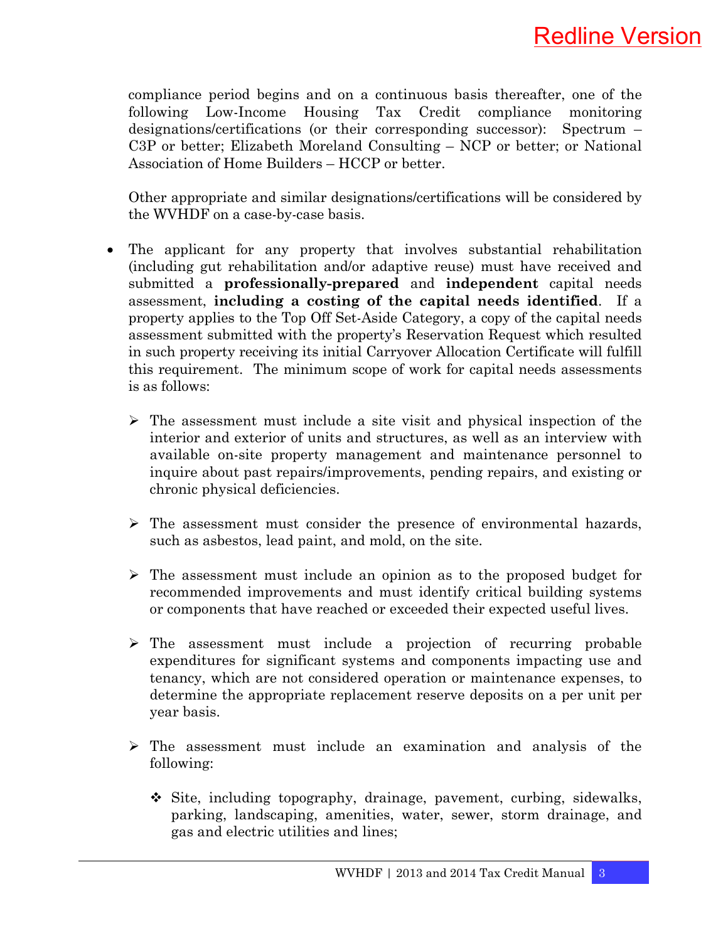compliance period begins and on a continuous basis thereafter, one of the following Low-Income Housing Tax Credit compliance monitoring designations/certifications (or their corresponding successor): Spectrum – C3P or better; Elizabeth Moreland Consulting – NCP or better; or National Association of Home Builders – HCCP or better.

 Other appropriate and similar designations/certifications will be considered by the WVHDF on a case-by-case basis.

- The applicant for any property that involves substantial rehabilitation (including gut rehabilitation and/or adaptive reuse) must have received and submitted a **professionally-prepared** and **independent** capital needs assessment, **including a costing of the capital needs identified**. If a property applies to the Top Off Set-Aside Category, a copy of the capital needs assessment submitted with the property's Reservation Request which resulted in such property receiving its initial Carryover Allocation Certificate will fulfill this requirement. The minimum scope of work for capital needs assessments is as follows:
	- $\triangleright$  The assessment must include a site visit and physical inspection of the interior and exterior of units and structures, as well as an interview with available on-site property management and maintenance personnel to inquire about past repairs/improvements, pending repairs, and existing or chronic physical deficiencies.
	- $\triangleright$  The assessment must consider the presence of environmental hazards, such as asbestos, lead paint, and mold, on the site.
	- $\triangleright$  The assessment must include an opinion as to the proposed budget for recommended improvements and must identify critical building systems or components that have reached or exceeded their expected useful lives.
	- ¾ The assessment must include a projection of recurring probable expenditures for significant systems and components impacting use and tenancy, which are not considered operation or maintenance expenses, to determine the appropriate replacement reserve deposits on a per unit per year basis.
	- $\triangleright$  The assessment must include an examination and analysis of the following:
		- $\div$  Site, including topography, drainage, pavement, curbing, sidewalks, parking, landscaping, amenities, water, sewer, storm drainage, and gas and electric utilities and lines;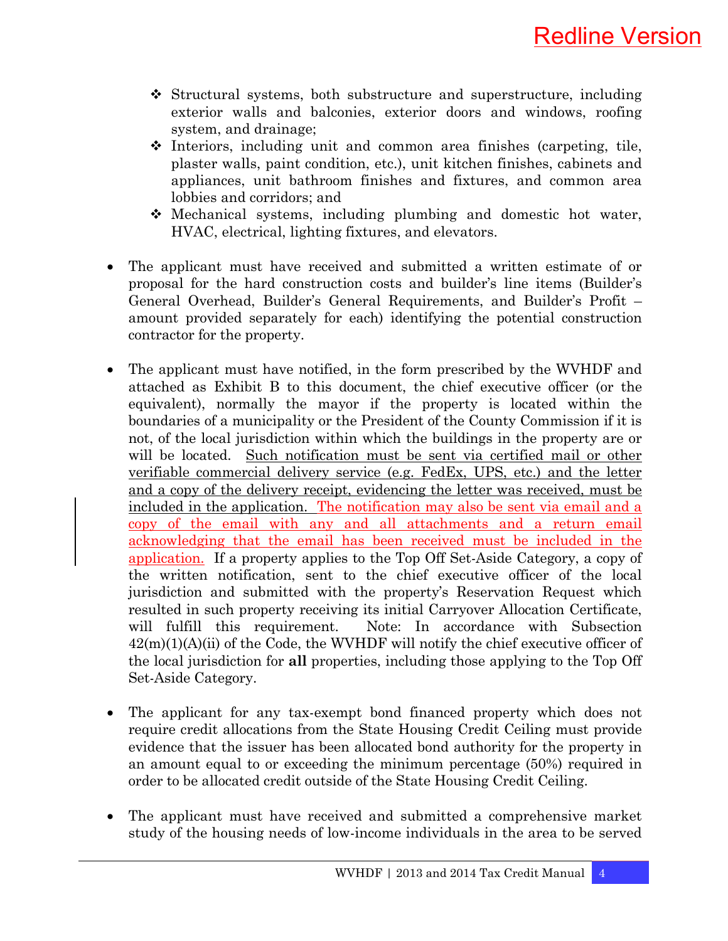- $\div$  Structural systems, both substructure and superstructure, including exterior walls and balconies, exterior doors and windows, roofing system, and drainage;
- $\div$  Interiors, including unit and common area finishes (carpeting, tile, plaster walls, paint condition, etc.), unit kitchen finishes, cabinets and appliances, unit bathroom finishes and fixtures, and common area lobbies and corridors; and
- Mechanical systems, including plumbing and domestic hot water, HVAC, electrical, lighting fixtures, and elevators.
- The applicant must have received and submitted a written estimate of or proposal for the hard construction costs and builder's line items (Builder's General Overhead, Builder's General Requirements, and Builder's Profit – amount provided separately for each) identifying the potential construction contractor for the property.
- The applicant must have notified, in the form prescribed by the WVHDF and attached as Exhibit B to this document, the chief executive officer (or the equivalent), normally the mayor if the property is located within the boundaries of a municipality or the President of the County Commission if it is not, of the local jurisdiction within which the buildings in the property are or will be located. Such notification must be sent via certified mail or other verifiable commercial delivery service (e.g. FedEx, UPS, etc.) and the letter and a copy of the delivery receipt, evidencing the letter was received, must be included in the application. The notification may also be sent via email and a copy of the email with any and all attachments and a return email acknowledging that the email has been received must be included in the application. If a property applies to the Top Off Set-Aside Category, a copy of the written notification, sent to the chief executive officer of the local jurisdiction and submitted with the property's Reservation Request which resulted in such property receiving its initial Carryover Allocation Certificate, will fulfill this requirement. Note: In accordance with Subsection  $42(m)(1)(A)(ii)$  of the Code, the WVHDF will notify the chief executive officer of the local jurisdiction for **all** properties, including those applying to the Top Off Set-Aside Category.
- The applicant for any tax-exempt bond financed property which does not require credit allocations from the State Housing Credit Ceiling must provide evidence that the issuer has been allocated bond authority for the property in an amount equal to or exceeding the minimum percentage (50%) required in order to be allocated credit outside of the State Housing Credit Ceiling.
- The applicant must have received and submitted a comprehensive market study of the housing needs of low-income individuals in the area to be served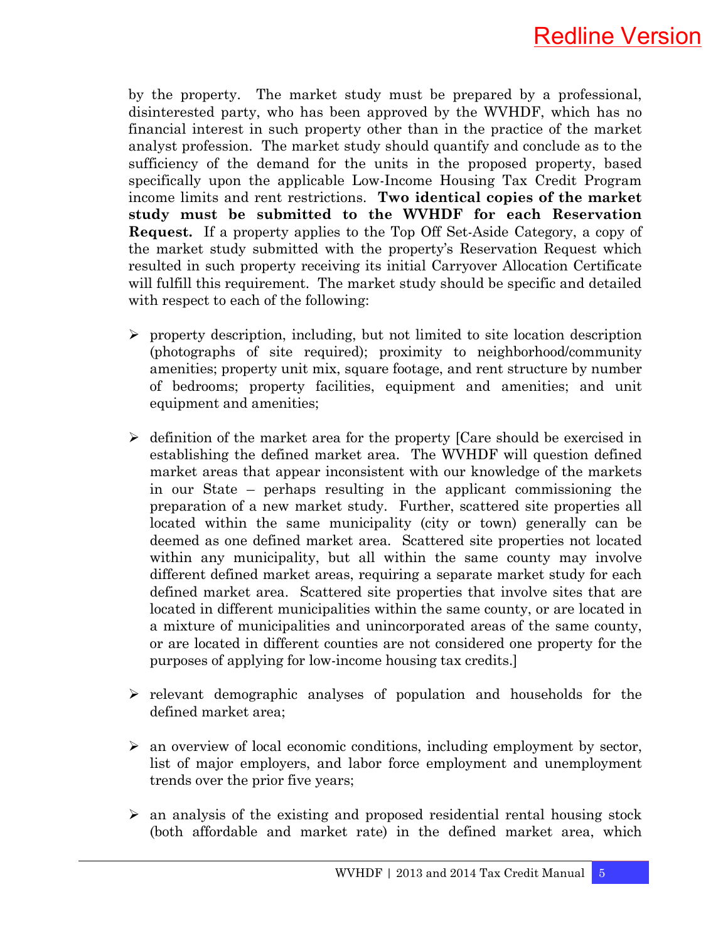

by the property. The market study must be prepared by a professional, disinterested party, who has been approved by the WVHDF, which has no financial interest in such property other than in the practice of the market analyst profession. The market study should quantify and conclude as to the sufficiency of the demand for the units in the proposed property, based specifically upon the applicable Low-Income Housing Tax Credit Program income limits and rent restrictions. **Two identical copies of the market study must be submitted to the WVHDF for each Reservation Request.** If a property applies to the Top Off Set-Aside Category, a copy of the market study submitted with the property's Reservation Request which resulted in such property receiving its initial Carryover Allocation Certificate will fulfill this requirement. The market study should be specific and detailed with respect to each of the following:

- $\triangleright$  property description, including, but not limited to site location description (photographs of site required); proximity to neighborhood/community amenities; property unit mix, square footage, and rent structure by number of bedrooms; property facilities, equipment and amenities; and unit equipment and amenities;
- $\triangleright$  definition of the market area for the property [Care should be exercised in establishing the defined market area. The WVHDF will question defined market areas that appear inconsistent with our knowledge of the markets in our State – perhaps resulting in the applicant commissioning the preparation of a new market study. Further, scattered site properties all located within the same municipality (city or town) generally can be deemed as one defined market area. Scattered site properties not located within any municipality, but all within the same county may involve different defined market areas, requiring a separate market study for each defined market area. Scattered site properties that involve sites that are located in different municipalities within the same county, or are located in a mixture of municipalities and unincorporated areas of the same county, or are located in different counties are not considered one property for the purposes of applying for low-income housing tax credits.]
- $\triangleright$  relevant demographic analyses of population and households for the defined market area;
- $\triangleright$  an overview of local economic conditions, including employment by sector, list of major employers, and labor force employment and unemployment trends over the prior five years;
- $\geq$  an analysis of the existing and proposed residential rental housing stock (both affordable and market rate) in the defined market area, which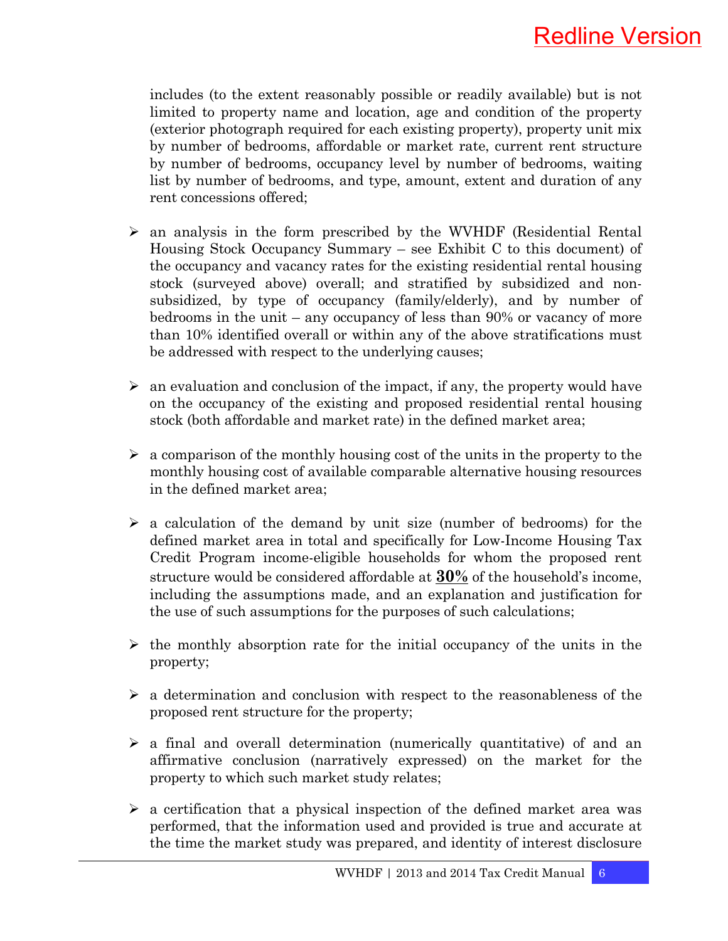includes (to the extent reasonably possible or readily available) but is not limited to property name and location, age and condition of the property (exterior photograph required for each existing property), property unit mix by number of bedrooms, affordable or market rate, current rent structure by number of bedrooms, occupancy level by number of bedrooms, waiting list by number of bedrooms, and type, amount, extent and duration of any rent concessions offered;

- $\triangleright$  an analysis in the form prescribed by the WVHDF (Residential Rental Housing Stock Occupancy Summary – see Exhibit C to this document) of the occupancy and vacancy rates for the existing residential rental housing stock (surveyed above) overall; and stratified by subsidized and nonsubsidized, by type of occupancy (family/elderly), and by number of bedrooms in the unit – any occupancy of less than 90% or vacancy of more than 10% identified overall or within any of the above stratifications must be addressed with respect to the underlying causes;
- $\triangleright$  an evaluation and conclusion of the impact, if any, the property would have on the occupancy of the existing and proposed residential rental housing stock (both affordable and market rate) in the defined market area;
- $\geq$  a comparison of the monthly housing cost of the units in the property to the monthly housing cost of available comparable alternative housing resources in the defined market area;
- $\triangleright$  a calculation of the demand by unit size (number of bedrooms) for the defined market area in total and specifically for Low-Income Housing Tax Credit Program income-eligible households for whom the proposed rent structure would be considered affordable at **30%** of the household's income, including the assumptions made, and an explanation and justification for the use of such assumptions for the purposes of such calculations;
- $\triangleright$  the monthly absorption rate for the initial occupancy of the units in the property;
- $\triangleright$  a determination and conclusion with respect to the reasonableness of the proposed rent structure for the property;
- $\geq$  a final and overall determination (numerically quantitative) of and an affirmative conclusion (narratively expressed) on the market for the property to which such market study relates;
- $\triangleright$  a certification that a physical inspection of the defined market area was performed, that the information used and provided is true and accurate at the time the market study was prepared, and identity of interest disclosure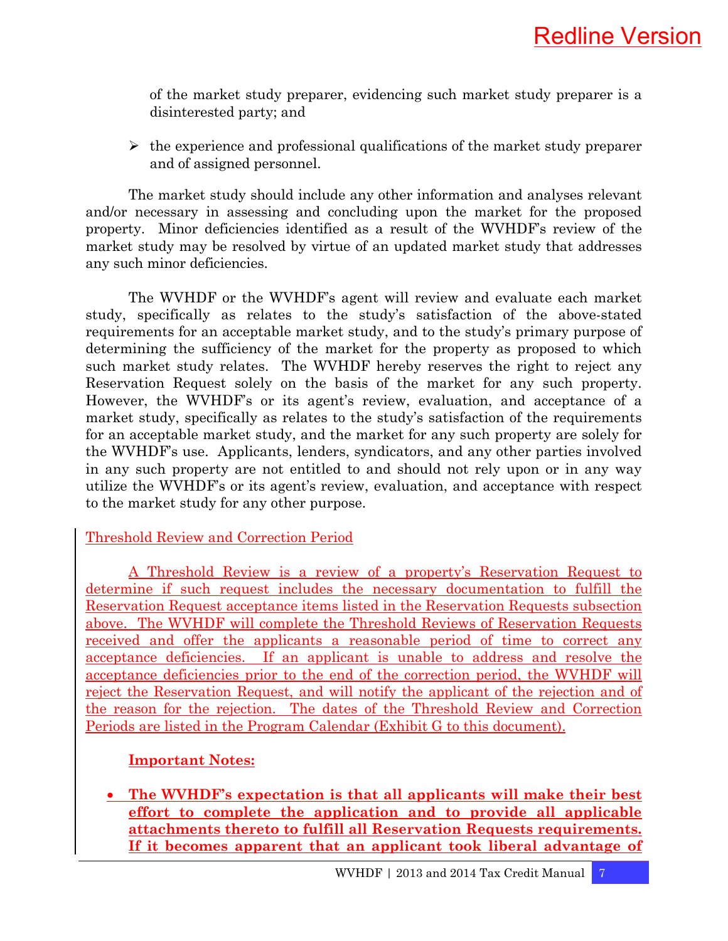of the market study preparer, evidencing such market study preparer is a disinterested party; and

 $\triangleright$  the experience and professional qualifications of the market study preparer and of assigned personnel.

 The market study should include any other information and analyses relevant and/or necessary in assessing and concluding upon the market for the proposed property. Minor deficiencies identified as a result of the WVHDF's review of the market study may be resolved by virtue of an updated market study that addresses any such minor deficiencies.

The WVHDF or the WVHDF's agent will review and evaluate each market study, specifically as relates to the study's satisfaction of the above-stated requirements for an acceptable market study, and to the study's primary purpose of determining the sufficiency of the market for the property as proposed to which such market study relates. The WVHDF hereby reserves the right to reject any Reservation Request solely on the basis of the market for any such property. However, the WVHDF's or its agent's review, evaluation, and acceptance of a market study, specifically as relates to the study's satisfaction of the requirements for an acceptable market study, and the market for any such property are solely for the WVHDF's use. Applicants, lenders, syndicators, and any other parties involved in any such property are not entitled to and should not rely upon or in any way utilize the WVHDF's or its agent's review, evaluation, and acceptance with respect to the market study for any other purpose.

### Threshold Review and Correction Period

A Threshold Review is a review of a property's Reservation Request to determine if such request includes the necessary documentation to fulfill the Reservation Request acceptance items listed in the Reservation Requests subsection above. The WVHDF will complete the Threshold Reviews of Reservation Requests received and offer the applicants a reasonable period of time to correct any acceptance deficiencies. If an applicant is unable to address and resolve the acceptance deficiencies prior to the end of the correction period, the WVHDF will reject the Reservation Request, and will notify the applicant of the rejection and of the reason for the rejection. The dates of the Threshold Review and Correction Periods are listed in the Program Calendar (Exhibit G to this document).

### **Important Notes:**

• **The WVHDF's expectation is that all applicants will make their best effort to complete the application and to provide all applicable attachments thereto to fulfill all Reservation Requests requirements. If it becomes apparent that an applicant took liberal advantage of**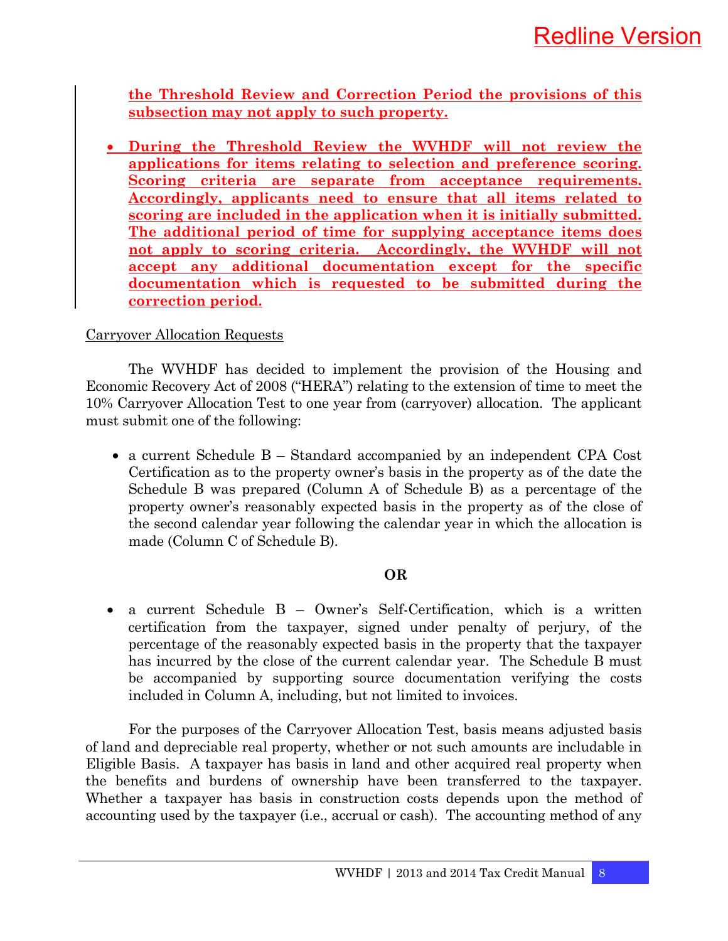**the Threshold Review and Correction Period the provisions of this subsection may not apply to such property.**

• **During the Threshold Review the WVHDF will not review the applications for items relating to selection and preference scoring. Scoring criteria are separate from acceptance requirements. Accordingly, applicants need to ensure that all items related to scoring are included in the application when it is initially submitted. The additional period of time for supplying acceptance items does not apply to scoring criteria. Accordingly, the WVHDF will not accept any additional documentation except for the specific documentation which is requested to be submitted during the correction period.**

### Carryover Allocation Requests

 The WVHDF has decided to implement the provision of the Housing and Economic Recovery Act of 2008 ("HERA") relating to the extension of time to meet the 10% Carryover Allocation Test to one year from (carryover) allocation. The applicant must submit one of the following:

• a current Schedule B – Standard accompanied by an independent CPA Cost Certification as to the property owner's basis in the property as of the date the Schedule B was prepared (Column A of Schedule B) as a percentage of the property owner's reasonably expected basis in the property as of the close of the second calendar year following the calendar year in which the allocation is made (Column C of Schedule B).

### **OR**

• a current Schedule B – Owner's Self-Certification, which is a written certification from the taxpayer, signed under penalty of perjury, of the percentage of the reasonably expected basis in the property that the taxpayer has incurred by the close of the current calendar year. The Schedule B must be accompanied by supporting source documentation verifying the costs included in Column A, including, but not limited to invoices.

 For the purposes of the Carryover Allocation Test, basis means adjusted basis of land and depreciable real property, whether or not such amounts are includable in Eligible Basis. A taxpayer has basis in land and other acquired real property when the benefits and burdens of ownership have been transferred to the taxpayer. Whether a taxpayer has basis in construction costs depends upon the method of accounting used by the taxpayer (i.e., accrual or cash). The accounting method of any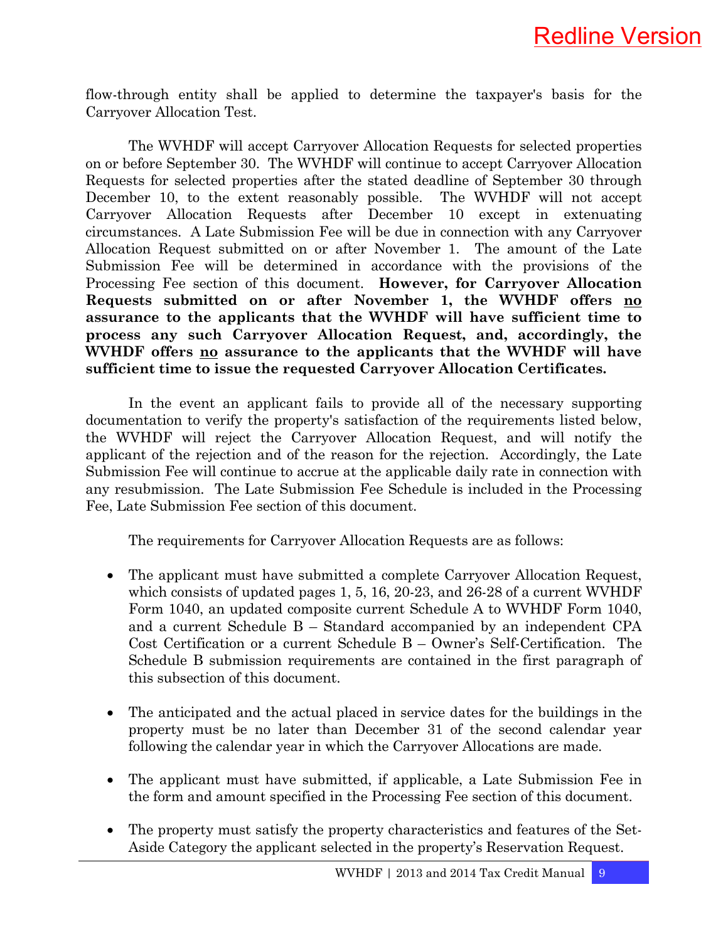flow-through entity shall be applied to determine the taxpayer's basis for the Carryover Allocation Test.

 The WVHDF will accept Carryover Allocation Requests for selected properties on or before September 30. The WVHDF will continue to accept Carryover Allocation Requests for selected properties after the stated deadline of September 30 through December 10, to the extent reasonably possible. The WVHDF will not accept Carryover Allocation Requests after December 10 except in extenuating circumstances. A Late Submission Fee will be due in connection with any Carryover Allocation Request submitted on or after November 1. The amount of the Late Submission Fee will be determined in accordance with the provisions of the Processing Fee section of this document. **However, for Carryover Allocation Requests submitted on or after November 1, the WVHDF offers no assurance to the applicants that the WVHDF will have sufficient time to process any such Carryover Allocation Request, and, accordingly, the WVHDF offers no assurance to the applicants that the WVHDF will have sufficient time to issue the requested Carryover Allocation Certificates.**

 In the event an applicant fails to provide all of the necessary supporting documentation to verify the property's satisfaction of the requirements listed below, the WVHDF will reject the Carryover Allocation Request, and will notify the applicant of the rejection and of the reason for the rejection. Accordingly, the Late Submission Fee will continue to accrue at the applicable daily rate in connection with any resubmission. The Late Submission Fee Schedule is included in the Processing Fee, Late Submission Fee section of this document.

The requirements for Carryover Allocation Requests are as follows:

- The applicant must have submitted a complete Carryover Allocation Request, which consists of updated pages 1, 5, 16, 20-23, and 26-28 of a current WVHDF Form 1040, an updated composite current Schedule A to WVHDF Form 1040, and a current Schedule B – Standard accompanied by an independent CPA Cost Certification or a current Schedule B – Owner's Self-Certification. The Schedule B submission requirements are contained in the first paragraph of this subsection of this document.
- The anticipated and the actual placed in service dates for the buildings in the property must be no later than December 31 of the second calendar year following the calendar year in which the Carryover Allocations are made.
- The applicant must have submitted, if applicable, a Late Submission Fee in the form and amount specified in the Processing Fee section of this document.
- The property must satisfy the property characteristics and features of the Set-Aside Category the applicant selected in the property's Reservation Request.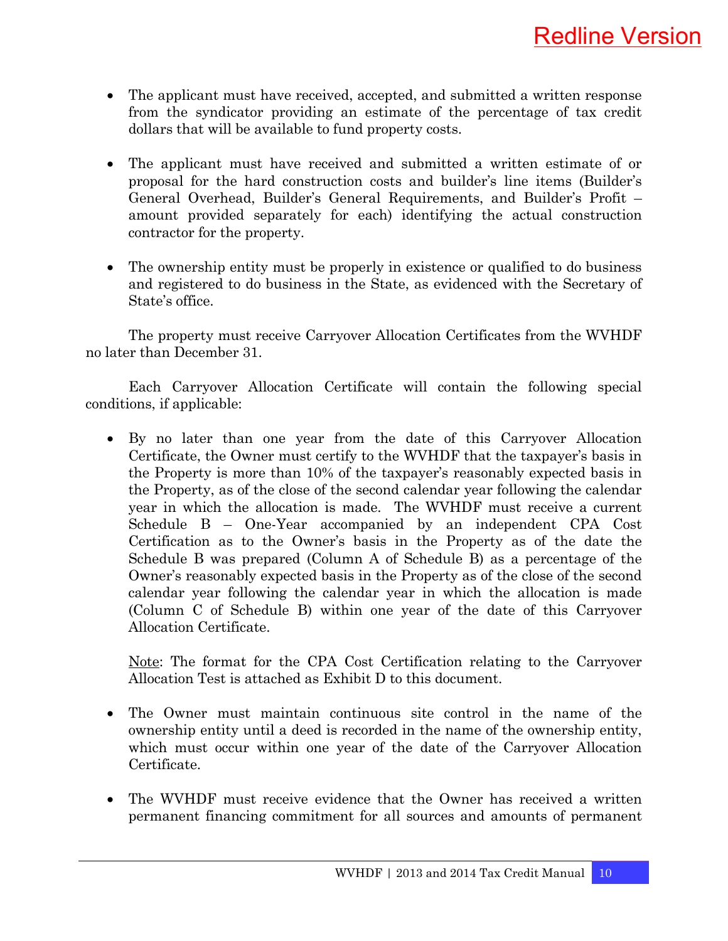- The applicant must have received, accepted, and submitted a written response from the syndicator providing an estimate of the percentage of tax credit dollars that will be available to fund property costs.
- The applicant must have received and submitted a written estimate of or proposal for the hard construction costs and builder's line items (Builder's General Overhead, Builder's General Requirements, and Builder's Profit – amount provided separately for each) identifying the actual construction contractor for the property.
- The ownership entity must be properly in existence or qualified to do business and registered to do business in the State, as evidenced with the Secretary of State's office.

 The property must receive Carryover Allocation Certificates from the WVHDF no later than December 31.

 Each Carryover Allocation Certificate will contain the following special conditions, if applicable:

• By no later than one year from the date of this Carryover Allocation Certificate, the Owner must certify to the WVHDF that the taxpayer's basis in the Property is more than 10% of the taxpayer's reasonably expected basis in the Property, as of the close of the second calendar year following the calendar year in which the allocation is made. The WVHDF must receive a current Schedule B – One-Year accompanied by an independent CPA Cost Certification as to the Owner's basis in the Property as of the date the Schedule B was prepared (Column A of Schedule B) as a percentage of the Owner's reasonably expected basis in the Property as of the close of the second calendar year following the calendar year in which the allocation is made (Column C of Schedule B) within one year of the date of this Carryover Allocation Certificate.

Note: The format for the CPA Cost Certification relating to the Carryover Allocation Test is attached as Exhibit D to this document.

- The Owner must maintain continuous site control in the name of the ownership entity until a deed is recorded in the name of the ownership entity, which must occur within one year of the date of the Carryover Allocation Certificate.
- The WVHDF must receive evidence that the Owner has received a written permanent financing commitment for all sources and amounts of permanent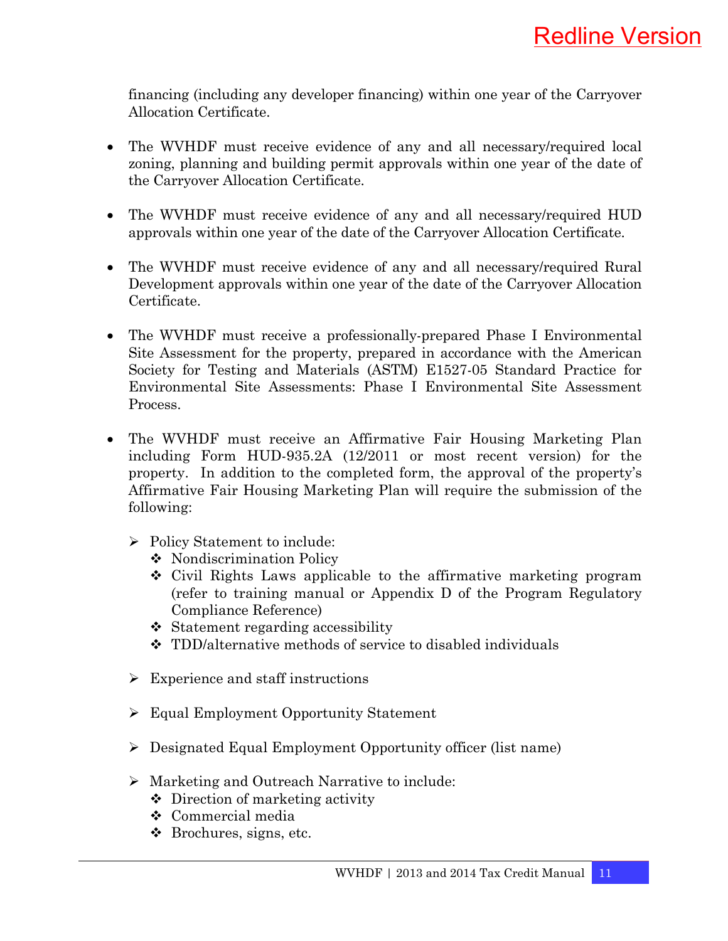financing (including any developer financing) within one year of the Carryover Allocation Certificate.

- The WVHDF must receive evidence of any and all necessary/required local zoning, planning and building permit approvals within one year of the date of the Carryover Allocation Certificate.
- The WVHDF must receive evidence of any and all necessary/required HUD approvals within one year of the date of the Carryover Allocation Certificate.
- The WVHDF must receive evidence of any and all necessary/required Rural Development approvals within one year of the date of the Carryover Allocation Certificate.
- The WVHDF must receive a professionally-prepared Phase I Environmental Site Assessment for the property, prepared in accordance with the American Society for Testing and Materials (ASTM) E1527-05 Standard Practice for Environmental Site Assessments: Phase I Environmental Site Assessment Process.
- The WVHDF must receive an Affirmative Fair Housing Marketing Plan including Form HUD-935.2A (12/2011 or most recent version) for the property. In addition to the completed form, the approval of the property's Affirmative Fair Housing Marketing Plan will require the submission of the following:
	- ¾ Policy Statement to include:
		- ◆ Nondiscrimination Policy
		- Civil Rights Laws applicable to the affirmative marketing program (refer to training manual or Appendix D of the Program Regulatory Compliance Reference)
		- $\div$  Statement regarding accessibility
		- TDD/alternative methods of service to disabled individuals
	- $\triangleright$  Experience and staff instructions
	- ¾ Equal Employment Opportunity Statement
	- ¾ Designated Equal Employment Opportunity officer (list name)
	- ¾ Marketing and Outreach Narrative to include:
		- Direction of marketing activity
		- Commercial media
		- Brochures, signs, etc.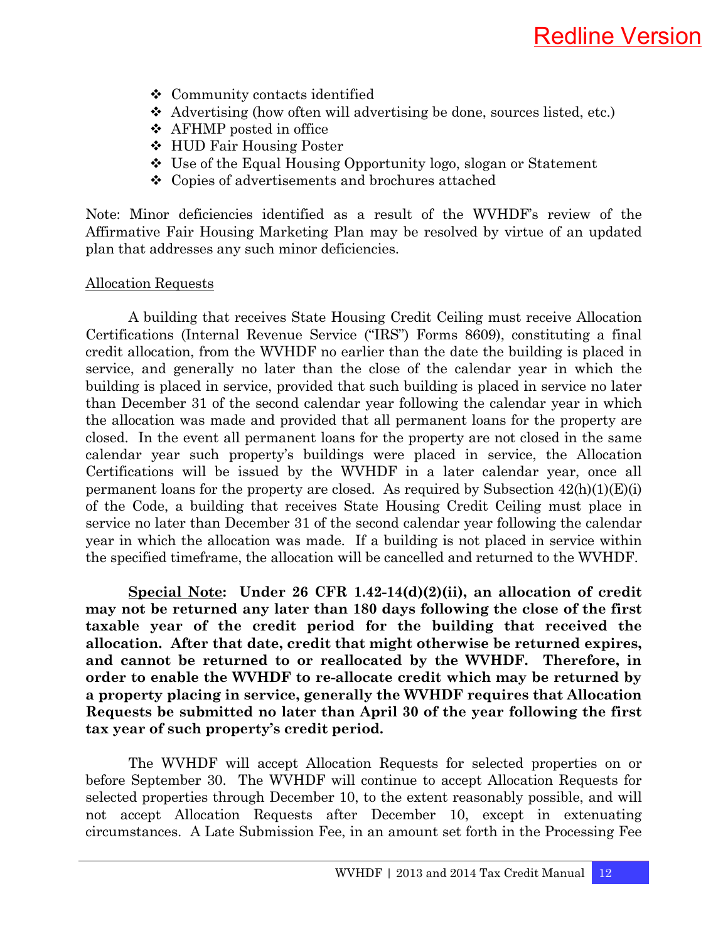- Community contacts identified
- $\triangle$  Advertising (how often will advertising be done, sources listed, etc.)
- AFHMP posted in office
- HUD Fair Housing Poster
- Use of the Equal Housing Opportunity logo, slogan or Statement
- Copies of advertisements and brochures attached

Note: Minor deficiencies identified as a result of the WVHDF's review of the Affirmative Fair Housing Marketing Plan may be resolved by virtue of an updated plan that addresses any such minor deficiencies.

#### Allocation Requests

 A building that receives State Housing Credit Ceiling must receive Allocation Certifications (Internal Revenue Service ("IRS") Forms 8609), constituting a final credit allocation, from the WVHDF no earlier than the date the building is placed in service, and generally no later than the close of the calendar year in which the building is placed in service, provided that such building is placed in service no later than December 31 of the second calendar year following the calendar year in which the allocation was made and provided that all permanent loans for the property are closed. In the event all permanent loans for the property are not closed in the same calendar year such property's buildings were placed in service, the Allocation Certifications will be issued by the WVHDF in a later calendar year, once all permanent loans for the property are closed. As required by Subsection  $42(h)(1)(E)(i)$ of the Code, a building that receives State Housing Credit Ceiling must place in service no later than December 31 of the second calendar year following the calendar year in which the allocation was made. If a building is not placed in service within the specified timeframe, the allocation will be cancelled and returned to the WVHDF.

 **Special Note: Under 26 CFR 1.42-14(d)(2)(ii), an allocation of credit may not be returned any later than 180 days following the close of the first taxable year of the credit period for the building that received the allocation. After that date, credit that might otherwise be returned expires, and cannot be returned to or reallocated by the WVHDF. Therefore, in order to enable the WVHDF to re-allocate credit which may be returned by a property placing in service, generally the WVHDF requires that Allocation Requests be submitted no later than April 30 of the year following the first tax year of such property's credit period.** 

 The WVHDF will accept Allocation Requests for selected properties on or before September 30. The WVHDF will continue to accept Allocation Requests for selected properties through December 10, to the extent reasonably possible, and will not accept Allocation Requests after December 10, except in extenuating circumstances. A Late Submission Fee, in an amount set forth in the Processing Fee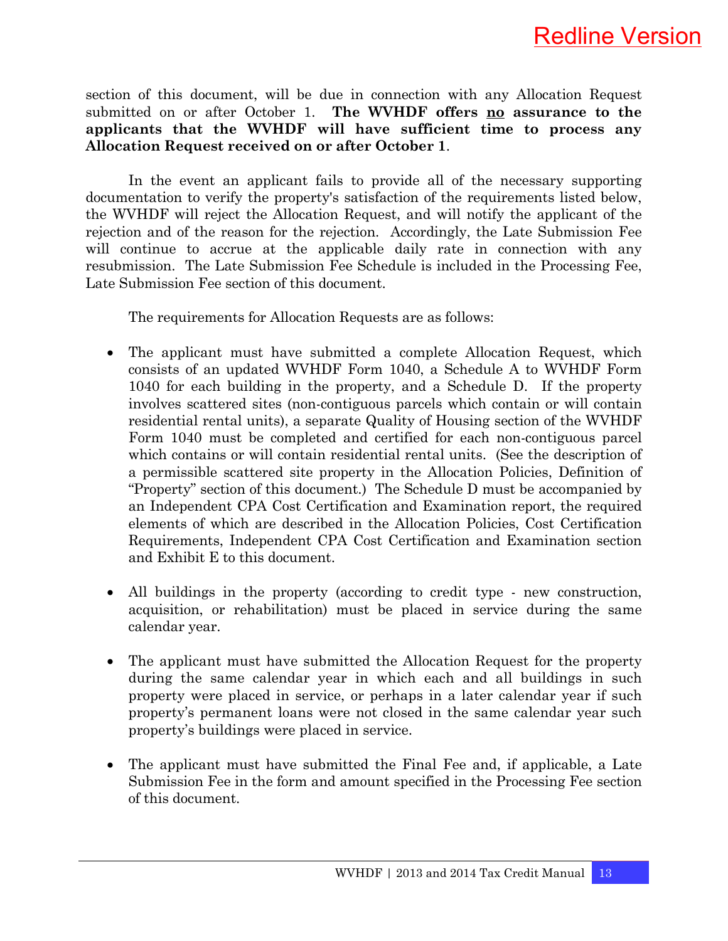

section of this document, will be due in connection with any Allocation Request submitted on or after October 1. **The WVHDF offers no assurance to the applicants that the WVHDF will have sufficient time to process any Allocation Request received on or after October 1**.

 In the event an applicant fails to provide all of the necessary supporting documentation to verify the property's satisfaction of the requirements listed below, the WVHDF will reject the Allocation Request, and will notify the applicant of the rejection and of the reason for the rejection. Accordingly, the Late Submission Fee will continue to accrue at the applicable daily rate in connection with any resubmission. The Late Submission Fee Schedule is included in the Processing Fee, Late Submission Fee section of this document.

The requirements for Allocation Requests are as follows:

- The applicant must have submitted a complete Allocation Request, which consists of an updated WVHDF Form 1040, a Schedule A to WVHDF Form 1040 for each building in the property, and a Schedule D. If the property involves scattered sites (non-contiguous parcels which contain or will contain residential rental units), a separate Quality of Housing section of the WVHDF Form 1040 must be completed and certified for each non-contiguous parcel which contains or will contain residential rental units. (See the description of a permissible scattered site property in the Allocation Policies, Definition of "Property" section of this document.) The Schedule D must be accompanied by an Independent CPA Cost Certification and Examination report, the required elements of which are described in the Allocation Policies, Cost Certification Requirements, Independent CPA Cost Certification and Examination section and Exhibit E to this document.
- All buildings in the property (according to credit type new construction, acquisition, or rehabilitation) must be placed in service during the same calendar year.
- The applicant must have submitted the Allocation Request for the property during the same calendar year in which each and all buildings in such property were placed in service, or perhaps in a later calendar year if such property's permanent loans were not closed in the same calendar year such property's buildings were placed in service.
- The applicant must have submitted the Final Fee and, if applicable, a Late Submission Fee in the form and amount specified in the Processing Fee section of this document.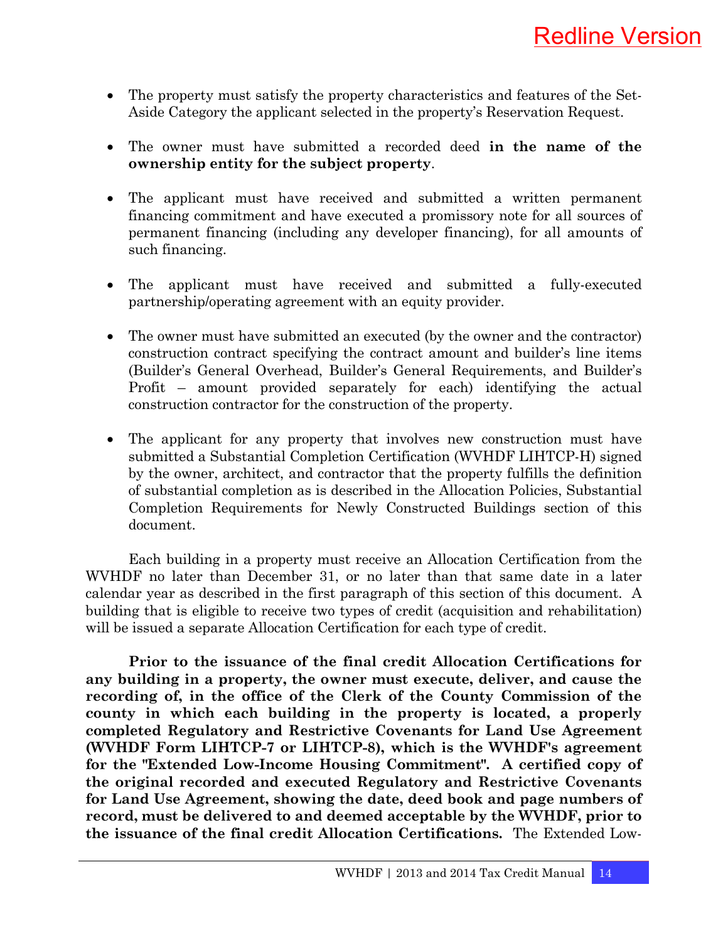- The property must satisfy the property characteristics and features of the Set-Aside Category the applicant selected in the property's Reservation Request.
- The owner must have submitted a recorded deed **in the name of the ownership entity for the subject property**.
- The applicant must have received and submitted a written permanent financing commitment and have executed a promissory note for all sources of permanent financing (including any developer financing), for all amounts of such financing.
- The applicant must have received and submitted a fully-executed partnership/operating agreement with an equity provider.
- The owner must have submitted an executed (by the owner and the contractor) construction contract specifying the contract amount and builder's line items (Builder's General Overhead, Builder's General Requirements, and Builder's Profit – amount provided separately for each) identifying the actual construction contractor for the construction of the property.
- The applicant for any property that involves new construction must have submitted a Substantial Completion Certification (WVHDF LIHTCP-H) signed by the owner, architect, and contractor that the property fulfills the definition of substantial completion as is described in the Allocation Policies, Substantial Completion Requirements for Newly Constructed Buildings section of this document.

 Each building in a property must receive an Allocation Certification from the WVHDF no later than December 31, or no later than that same date in a later calendar year as described in the first paragraph of this section of this document. A building that is eligible to receive two types of credit (acquisition and rehabilitation) will be issued a separate Allocation Certification for each type of credit.

 **Prior to the issuance of the final credit Allocation Certifications for any building in a property, the owner must execute, deliver, and cause the recording of, in the office of the Clerk of the County Commission of the county in which each building in the property is located, a properly completed Regulatory and Restrictive Covenants for Land Use Agreement (WVHDF Form LIHTCP-7 or LIHTCP-8), which is the WVHDF's agreement for the "Extended Low-Income Housing Commitment". A certified copy of the original recorded and executed Regulatory and Restrictive Covenants for Land Use Agreement, showing the date, deed book and page numbers of record, must be delivered to and deemed acceptable by the WVHDF, prior to the issuance of the final credit Allocation Certifications.** The Extended Low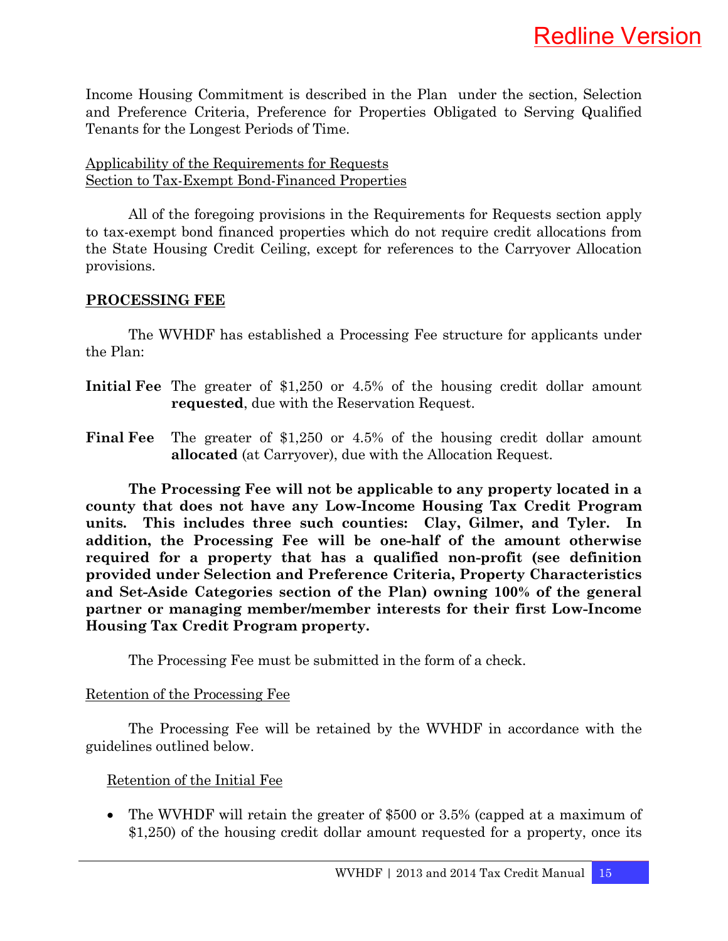Income Housing Commitment is described in the Plan under the section, Selection and Preference Criteria, Preference for Properties Obligated to Serving Qualified Tenants for the Longest Periods of Time.

#### Applicability of the Requirements for Requests Section to Tax-Exempt Bond-Financed Properties

 All of the foregoing provisions in the Requirements for Requests section apply to tax-exempt bond financed properties which do not require credit allocations from the State Housing Credit Ceiling, except for references to the Carryover Allocation provisions.

#### **PROCESSING FEE**

 The WVHDF has established a Processing Fee structure for applicants under the Plan:

- **Initial Fee** The greater of \$1,250 or 4.5% of the housing credit dollar amount **requested**, due with the Reservation Request.
- **Final Fee** The greater of \$1,250 or 4.5% of the housing credit dollar amount **allocated** (at Carryover), due with the Allocation Request.

 **The Processing Fee will not be applicable to any property located in a county that does not have any Low-Income Housing Tax Credit Program units. This includes three such counties: Clay, Gilmer, and Tyler. In addition, the Processing Fee will be one-half of the amount otherwise required for a property that has a qualified non-profit (see definition provided under Selection and Preference Criteria, Property Characteristics and Set-Aside Categories section of the Plan) owning 100% of the general partner or managing member/member interests for their first Low-Income Housing Tax Credit Program property.** 

The Processing Fee must be submitted in the form of a check.

#### Retention of the Processing Fee

 The Processing Fee will be retained by the WVHDF in accordance with the guidelines outlined below.

#### Retention of the Initial Fee

• The WVHDF will retain the greater of \$500 or 3.5% (capped at a maximum of \$1,250) of the housing credit dollar amount requested for a property, once its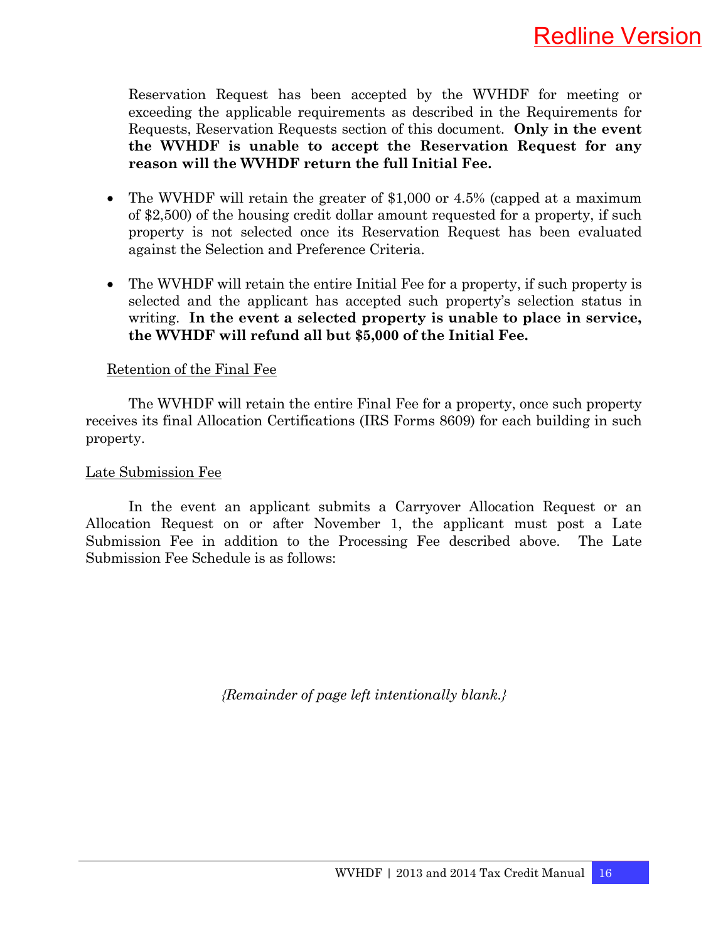Reservation Request has been accepted by the WVHDF for meeting or exceeding the applicable requirements as described in the Requirements for Requests, Reservation Requests section of this document. **Only in the event the WVHDF is unable to accept the Reservation Request for any reason will the WVHDF return the full Initial Fee.**

- The WVHDF will retain the greater of \$1,000 or 4.5% (capped at a maximum of \$2,500) of the housing credit dollar amount requested for a property, if such property is not selected once its Reservation Request has been evaluated against the Selection and Preference Criteria.
- The WVHDF will retain the entire Initial Fee for a property, if such property is selected and the applicant has accepted such property's selection status in writing. **In the event a selected property is unable to place in service, the WVHDF will refund all but \$5,000 of the Initial Fee.**

#### Retention of the Final Fee

 The WVHDF will retain the entire Final Fee for a property, once such property receives its final Allocation Certifications (IRS Forms 8609) for each building in such property.

#### Late Submission Fee

 In the event an applicant submits a Carryover Allocation Request or an Allocation Request on or after November 1, the applicant must post a Late Submission Fee in addition to the Processing Fee described above. The Late Submission Fee Schedule is as follows:

*{Remainder of page left intentionally blank.}*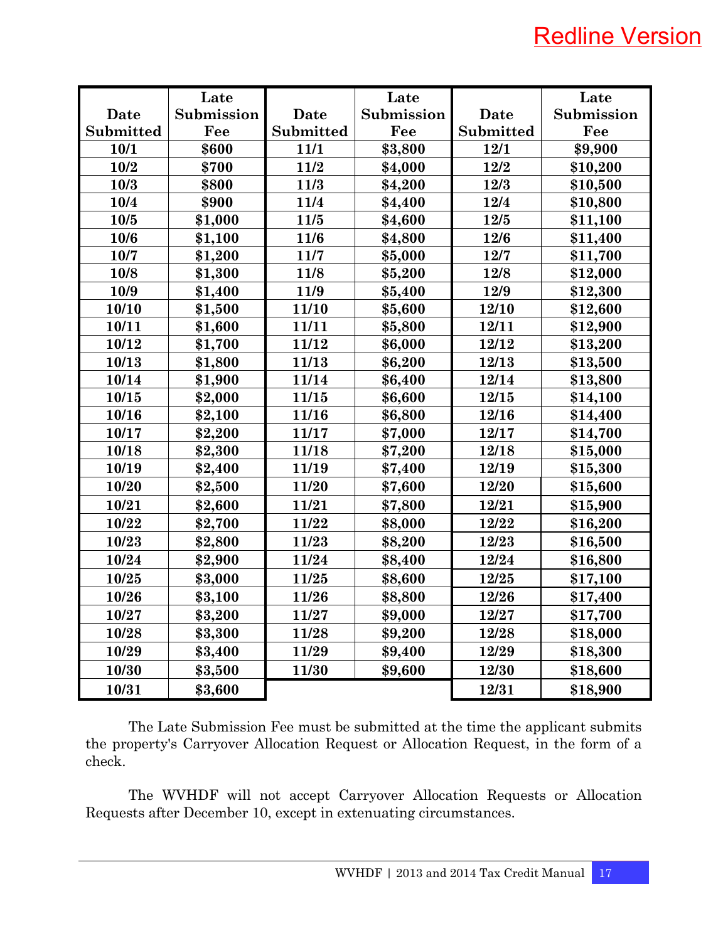# Redline Version

|           | Late       |           | Late       |           | Late       |
|-----------|------------|-----------|------------|-----------|------------|
| Date      | Submission | Date      | Submission | Date      | Submission |
| Submitted | Fee        | Submitted | Fee        | Submitted | Fee        |
| 10/1      | \$600      | 11/1      | \$3,800    | 12/1      | \$9,900    |
| 10/2      | \$700      | 11/2      | \$4,000    | 12/2      | \$10,200   |
| 10/3      | \$800      | 11/3      | \$4,200    | 12/3      | \$10,500   |
| 10/4      | \$900      | 11/4      | \$4,400    | 12/4      | \$10,800   |
| 10/5      | \$1,000    | 11/5      | \$4,600    | 12/5      | \$11,100   |
| 10/6      | \$1,100    | 11/6      | \$4,800    | 12/6      | \$11,400   |
| 10/7      | \$1,200    | 11/7      | \$5,000    | 12/7      | \$11,700   |
| 10/8      | \$1,300    | 11/8      | \$5,200    | 12/8      | \$12,000   |
| 10/9      | \$1,400    | 11/9      | \$5,400    | 12/9      | \$12,300   |
| 10/10     | \$1,500    | 11/10     | \$5,600    | 12/10     | \$12,600   |
| 10/11     | \$1,600    | 11/11     | \$5,800    | 12/11     | \$12,900   |
| 10/12     | \$1,700    | 11/12     | \$6,000    | 12/12     | \$13,200   |
| 10/13     | \$1,800    | 11/13     | \$6,200    | 12/13     | \$13,500   |
| 10/14     | \$1,900    | 11/14     | \$6,400    | 12/14     | \$13,800   |
| 10/15     | \$2,000    | 11/15     | \$6,600    | 12/15     | \$14,100   |
| 10/16     | \$2,100    | 11/16     | \$6,800    | 12/16     | \$14,400   |
| 10/17     | \$2,200    | 11/17     | \$7,000    | 12/17     | \$14,700   |
| 10/18     | \$2,300    | 11/18     | \$7,200    | 12/18     | \$15,000   |
| 10/19     | \$2,400    | 11/19     | \$7,400    | 12/19     | \$15,300   |
| 10/20     | \$2,500    | 11/20     | \$7,600    | 12/20     | \$15,600   |
| 10/21     | \$2,600    | 11/21     | \$7,800    | 12/21     | \$15,900   |
| 10/22     | \$2,700    | 11/22     | \$8,000    | 12/22     | \$16,200   |
| 10/23     | \$2,800    | 11/23     | \$8,200    | 12/23     | \$16,500   |
| 10/24     | \$2,900    | 11/24     | \$8,400    | 12/24     | \$16,800   |
| 10/25     | \$3,000    | 11/25     | \$8,600    | 12/25     | \$17,100   |
| 10/26     | \$3,100    | 11/26     | \$8,800    | 12/26     | \$17,400   |
| 10/27     | \$3,200    | 11/27     | \$9,000    | 12/27     | \$17,700   |
| 10/28     | \$3,300    | 11/28     | \$9,200    | 12/28     | \$18,000   |
| 10/29     | \$3,400    | 11/29     | \$9,400    | 12/29     | \$18,300   |
| 10/30     | \$3,500    | 11/30     | \$9,600    | 12/30     | \$18,600   |
| 10/31     | \$3,600    |           |            | 12/31     | \$18,900   |

 The Late Submission Fee must be submitted at the time the applicant submits the property's Carryover Allocation Request or Allocation Request, in the form of a check.

 The WVHDF will not accept Carryover Allocation Requests or Allocation Requests after December 10, except in extenuating circumstances.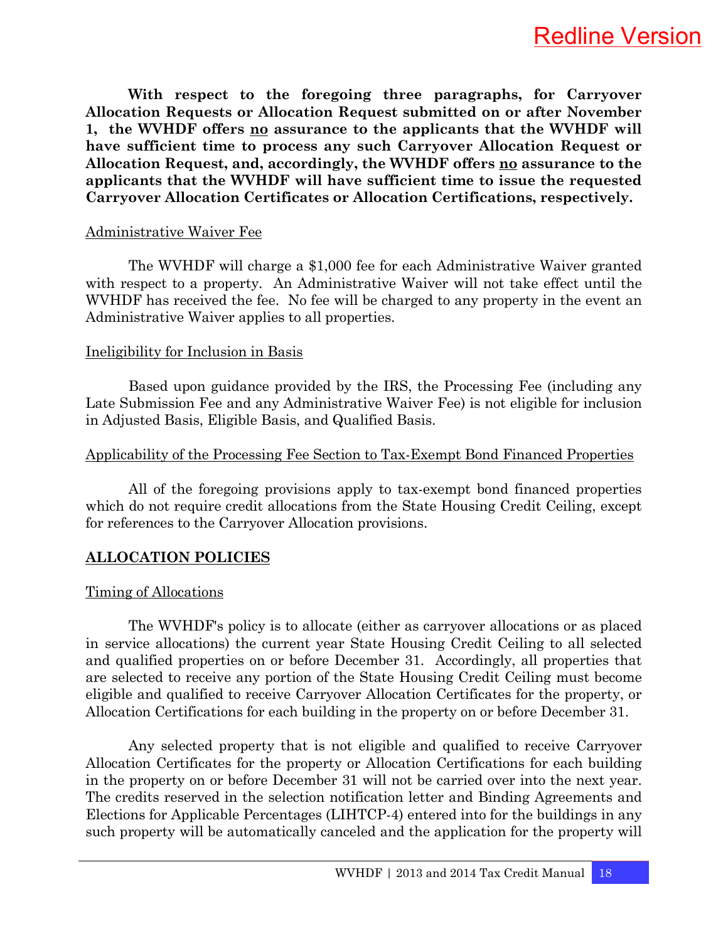**With respect to the foregoing three paragraphs, for Carryover Allocation Requests or Allocation Request submitted on or after November 1, the WVHDF offers no assurance to the applicants that the WVHDF will have sufficient time to process any such Carryover Allocation Request or Allocation Request, and, accordingly, the WVHDF offers no assurance to the applicants that the WVHDF will have sufficient time to issue the requested Carryover Allocation Certificates or Allocation Certifications, respectively.** 

#### Administrative Waiver Fee

 The WVHDF will charge a \$1,000 fee for each Administrative Waiver granted with respect to a property. An Administrative Waiver will not take effect until the WVHDF has received the fee. No fee will be charged to any property in the event an Administrative Waiver applies to all properties.

#### Ineligibility for Inclusion in Basis

 Based upon guidance provided by the IRS, the Processing Fee (including any Late Submission Fee and any Administrative Waiver Fee) is not eligible for inclusion in Adjusted Basis, Eligible Basis, and Qualified Basis.

#### Applicability of the Processing Fee Section to Tax-Exempt Bond Financed Properties

 All of the foregoing provisions apply to tax-exempt bond financed properties which do not require credit allocations from the State Housing Credit Ceiling, except for references to the Carryover Allocation provisions.

### **ALLOCATION POLICIES**

#### Timing of Allocations

 The WVHDF's policy is to allocate (either as carryover allocations or as placed in service allocations) the current year State Housing Credit Ceiling to all selected and qualified properties on or before December 31. Accordingly, all properties that are selected to receive any portion of the State Housing Credit Ceiling must become eligible and qualified to receive Carryover Allocation Certificates for the property, or Allocation Certifications for each building in the property on or before December 31.

 Any selected property that is not eligible and qualified to receive Carryover Allocation Certificates for the property or Allocation Certifications for each building in the property on or before December 31 will not be carried over into the next year. The credits reserved in the selection notification letter and Binding Agreements and Elections for Applicable Percentages (LIHTCP-4) entered into for the buildings in any such property will be automatically canceled and the application for the property will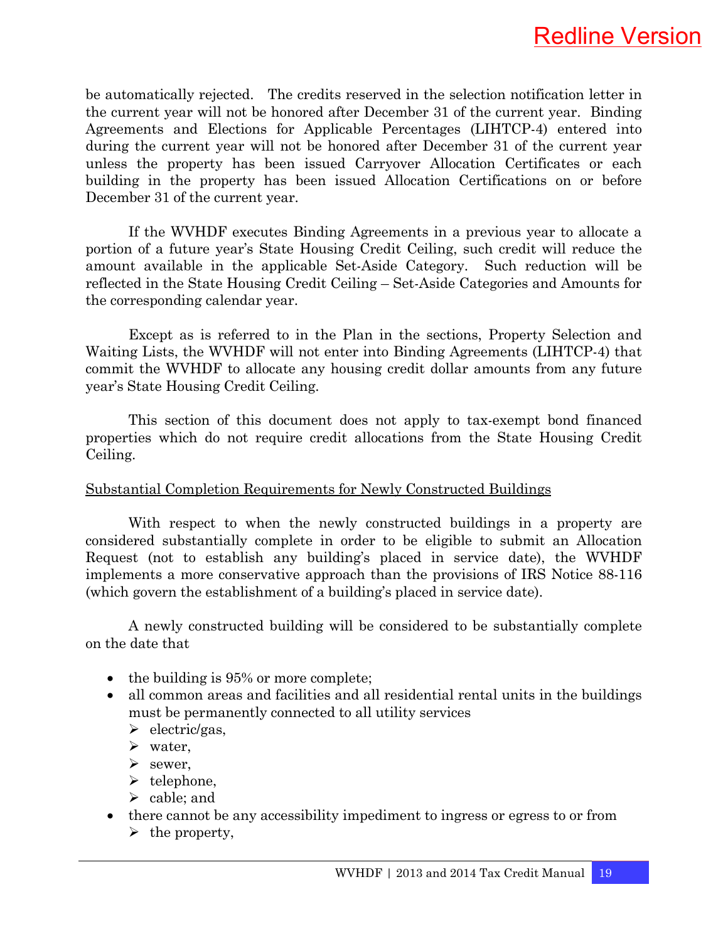be automatically rejected. The credits reserved in the selection notification letter in the current year will not be honored after December 31 of the current year. Binding Agreements and Elections for Applicable Percentages (LIHTCP-4) entered into during the current year will not be honored after December 31 of the current year unless the property has been issued Carryover Allocation Certificates or each building in the property has been issued Allocation Certifications on or before December 31 of the current year.

 If the WVHDF executes Binding Agreements in a previous year to allocate a portion of a future year's State Housing Credit Ceiling, such credit will reduce the amount available in the applicable Set-Aside Category. Such reduction will be reflected in the State Housing Credit Ceiling – Set-Aside Categories and Amounts for the corresponding calendar year.

 Except as is referred to in the Plan in the sections, Property Selection and Waiting Lists, the WVHDF will not enter into Binding Agreements (LIHTCP-4) that commit the WVHDF to allocate any housing credit dollar amounts from any future year's State Housing Credit Ceiling.

 This section of this document does not apply to tax-exempt bond financed properties which do not require credit allocations from the State Housing Credit Ceiling.

#### Substantial Completion Requirements for Newly Constructed Buildings

 With respect to when the newly constructed buildings in a property are considered substantially complete in order to be eligible to submit an Allocation Request (not to establish any building's placed in service date), the WVHDF implements a more conservative approach than the provisions of IRS Notice 88-116 (which govern the establishment of a building's placed in service date).

 A newly constructed building will be considered to be substantially complete on the date that

- the building is 95% or more complete;
- all common areas and facilities and all residential rental units in the buildings must be permanently connected to all utility services
	- $\blacktriangleright$  electric/gas,
	- $\triangleright$  water,
	- $\triangleright$  sewer,
	- $\blacktriangleright$  telephone.
	- $\blacktriangleright$  cable; and
- there cannot be any accessibility impediment to ingress or egress to or from
	- $\triangleright$  the property,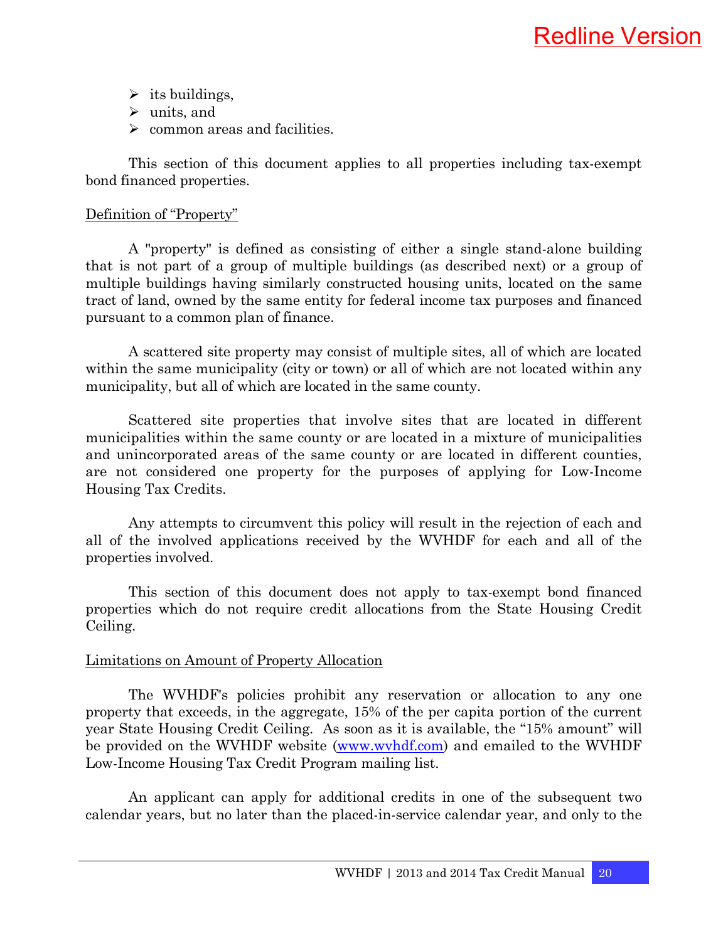- $\triangleright$  its buildings,
- $\blacktriangleright$  units, and
- $\triangleright$  common areas and facilities.

 This section of this document applies to all properties including tax-exempt bond financed properties.

#### Definition of "Property"

 A "property" is defined as consisting of either a single stand-alone building that is not part of a group of multiple buildings (as described next) or a group of multiple buildings having similarly constructed housing units, located on the same tract of land, owned by the same entity for federal income tax purposes and financed pursuant to a common plan of finance.

 A scattered site property may consist of multiple sites, all of which are located within the same municipality (city or town) or all of which are not located within any municipality, but all of which are located in the same county.

 Scattered site properties that involve sites that are located in different municipalities within the same county or are located in a mixture of municipalities and unincorporated areas of the same county or are located in different counties, are not considered one property for the purposes of applying for Low-Income Housing Tax Credits.

 Any attempts to circumvent this policy will result in the rejection of each and all of the involved applications received by the WVHDF for each and all of the properties involved.

 This section of this document does not apply to tax-exempt bond financed properties which do not require credit allocations from the State Housing Credit Ceiling.

#### Limitations on Amount of Property Allocation

 The WVHDF's policies prohibit any reservation or allocation to any one property that exceeds, in the aggregate, 15% of the per capita portion of the current year State Housing Credit Ceiling. As soon as it is available, the "15% amount" will be provided on the WVHDF website (www.wvhdf.com) and emailed to the WVHDF Low-Income Housing Tax Credit Program mailing list.

 An applicant can apply for additional credits in one of the subsequent two calendar years, but no later than the placed-in-service calendar year, and only to the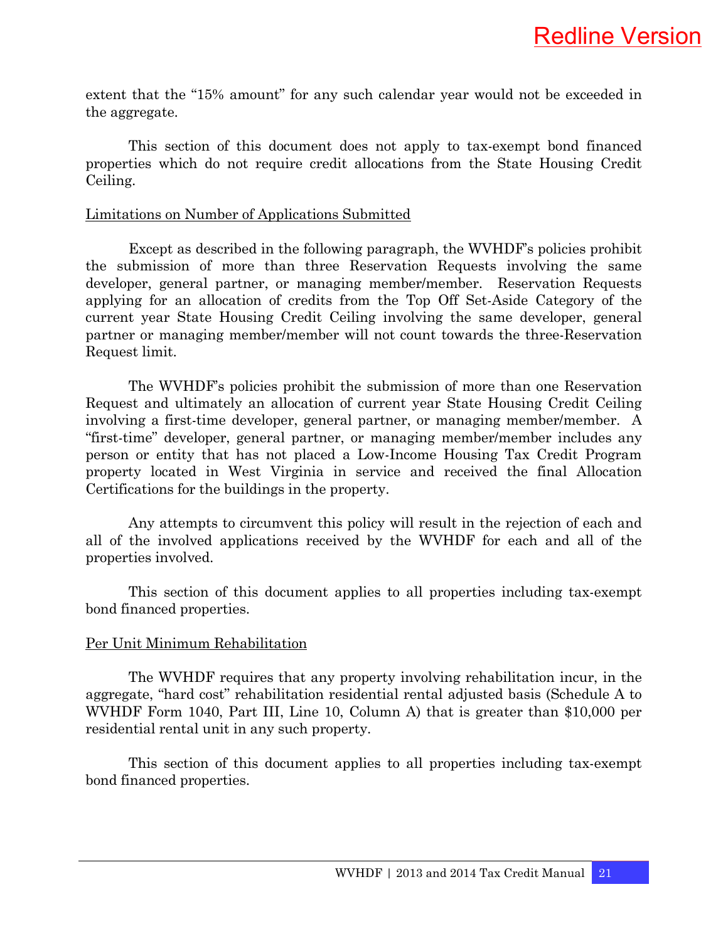extent that the "15% amount" for any such calendar year would not be exceeded in the aggregate.

 This section of this document does not apply to tax-exempt bond financed properties which do not require credit allocations from the State Housing Credit Ceiling.

#### Limitations on Number of Applications Submitted

 Except as described in the following paragraph, the WVHDF's policies prohibit the submission of more than three Reservation Requests involving the same developer, general partner, or managing member/member. Reservation Requests applying for an allocation of credits from the Top Off Set-Aside Category of the current year State Housing Credit Ceiling involving the same developer, general partner or managing member/member will not count towards the three-Reservation Request limit.

 The WVHDF's policies prohibit the submission of more than one Reservation Request and ultimately an allocation of current year State Housing Credit Ceiling involving a first-time developer, general partner, or managing member/member. A "first-time" developer, general partner, or managing member/member includes any person or entity that has not placed a Low-Income Housing Tax Credit Program property located in West Virginia in service and received the final Allocation Certifications for the buildings in the property.

 Any attempts to circumvent this policy will result in the rejection of each and all of the involved applications received by the WVHDF for each and all of the properties involved.

 This section of this document applies to all properties including tax-exempt bond financed properties.

#### Per Unit Minimum Rehabilitation

 The WVHDF requires that any property involving rehabilitation incur, in the aggregate, "hard cost" rehabilitation residential rental adjusted basis (Schedule A to WVHDF Form 1040, Part III, Line 10, Column A) that is greater than \$10,000 per residential rental unit in any such property.

 This section of this document applies to all properties including tax-exempt bond financed properties.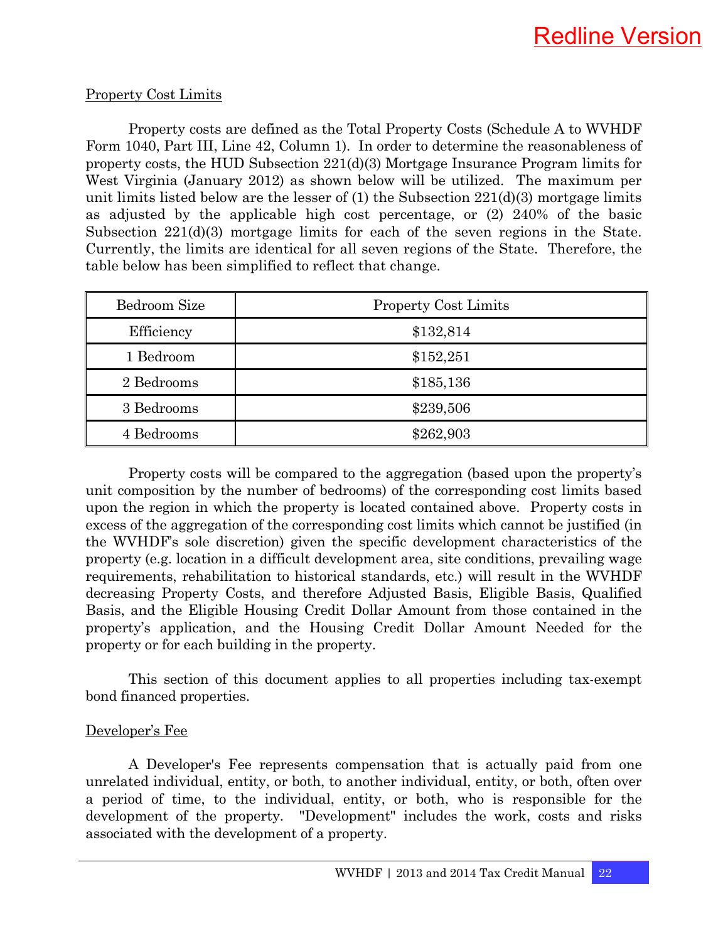#### Property Cost Limits

 Property costs are defined as the Total Property Costs (Schedule A to WVHDF Form 1040, Part III, Line 42, Column 1). In order to determine the reasonableness of property costs, the HUD Subsection 221(d)(3) Mortgage Insurance Program limits for West Virginia (January 2012) as shown below will be utilized. The maximum per unit limits listed below are the lesser of  $(1)$  the Subsection  $221(d)(3)$  mortgage limits as adjusted by the applicable high cost percentage, or (2) 240% of the basic Subsection 221(d)(3) mortgage limits for each of the seven regions in the State. Currently, the limits are identical for all seven regions of the State. Therefore, the table below has been simplified to reflect that change.

| Bedroom Size | <b>Property Cost Limits</b> |  |
|--------------|-----------------------------|--|
| Efficiency   | \$132,814                   |  |
| 1 Bedroom    | \$152,251                   |  |
| 2 Bedrooms   | \$185,136                   |  |
| 3 Bedrooms   | \$239,506                   |  |
| 4 Bedrooms   | \$262,903                   |  |

 Property costs will be compared to the aggregation (based upon the property's unit composition by the number of bedrooms) of the corresponding cost limits based upon the region in which the property is located contained above. Property costs in excess of the aggregation of the corresponding cost limits which cannot be justified (in the WVHDF's sole discretion) given the specific development characteristics of the property (e.g. location in a difficult development area, site conditions, prevailing wage requirements, rehabilitation to historical standards, etc.) will result in the WVHDF decreasing Property Costs, and therefore Adjusted Basis, Eligible Basis, Qualified Basis, and the Eligible Housing Credit Dollar Amount from those contained in the property's application, and the Housing Credit Dollar Amount Needed for the property or for each building in the property.

 This section of this document applies to all properties including tax-exempt bond financed properties.

#### Developer's Fee

 A Developer's Fee represents compensation that is actually paid from one unrelated individual, entity, or both, to another individual, entity, or both, often over a period of time, to the individual, entity, or both, who is responsible for the development of the property. "Development" includes the work, costs and risks associated with the development of a property.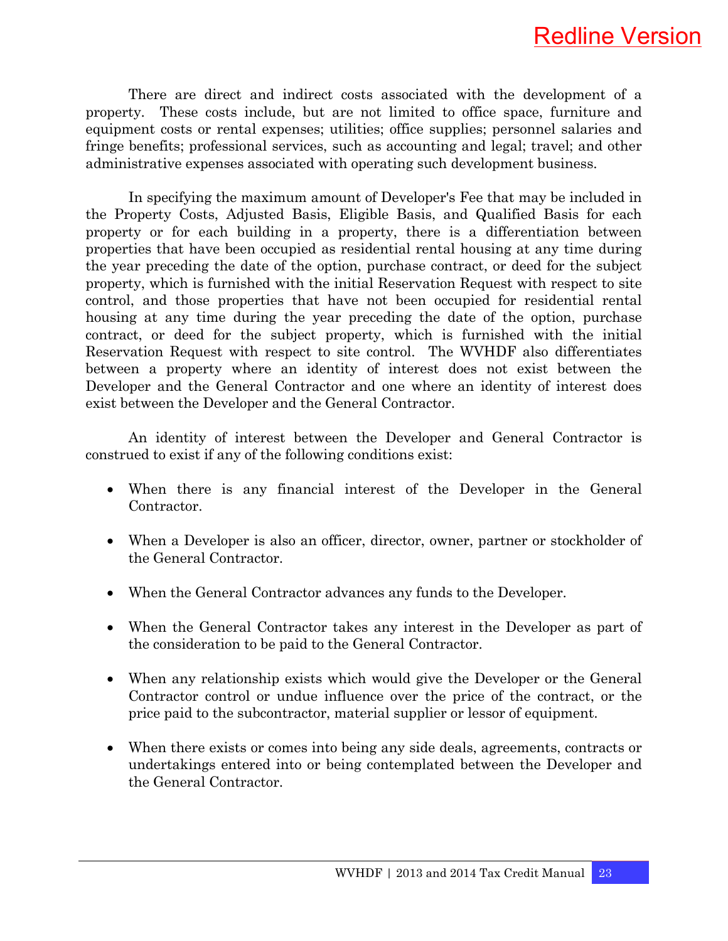There are direct and indirect costs associated with the development of a property. These costs include, but are not limited to office space, furniture and equipment costs or rental expenses; utilities; office supplies; personnel salaries and fringe benefits; professional services, such as accounting and legal; travel; and other administrative expenses associated with operating such development business.

 In specifying the maximum amount of Developer's Fee that may be included in the Property Costs, Adjusted Basis, Eligible Basis, and Qualified Basis for each property or for each building in a property, there is a differentiation between properties that have been occupied as residential rental housing at any time during the year preceding the date of the option, purchase contract, or deed for the subject property, which is furnished with the initial Reservation Request with respect to site control, and those properties that have not been occupied for residential rental housing at any time during the year preceding the date of the option, purchase contract, or deed for the subject property, which is furnished with the initial Reservation Request with respect to site control. The WVHDF also differentiates between a property where an identity of interest does not exist between the Developer and the General Contractor and one where an identity of interest does exist between the Developer and the General Contractor.

 An identity of interest between the Developer and General Contractor is construed to exist if any of the following conditions exist:

- When there is any financial interest of the Developer in the General Contractor.
- When a Developer is also an officer, director, owner, partner or stockholder of the General Contractor.
- When the General Contractor advances any funds to the Developer.
- When the General Contractor takes any interest in the Developer as part of the consideration to be paid to the General Contractor.
- When any relationship exists which would give the Developer or the General Contractor control or undue influence over the price of the contract, or the price paid to the subcontractor, material supplier or lessor of equipment.
- When there exists or comes into being any side deals, agreements, contracts or undertakings entered into or being contemplated between the Developer and the General Contractor.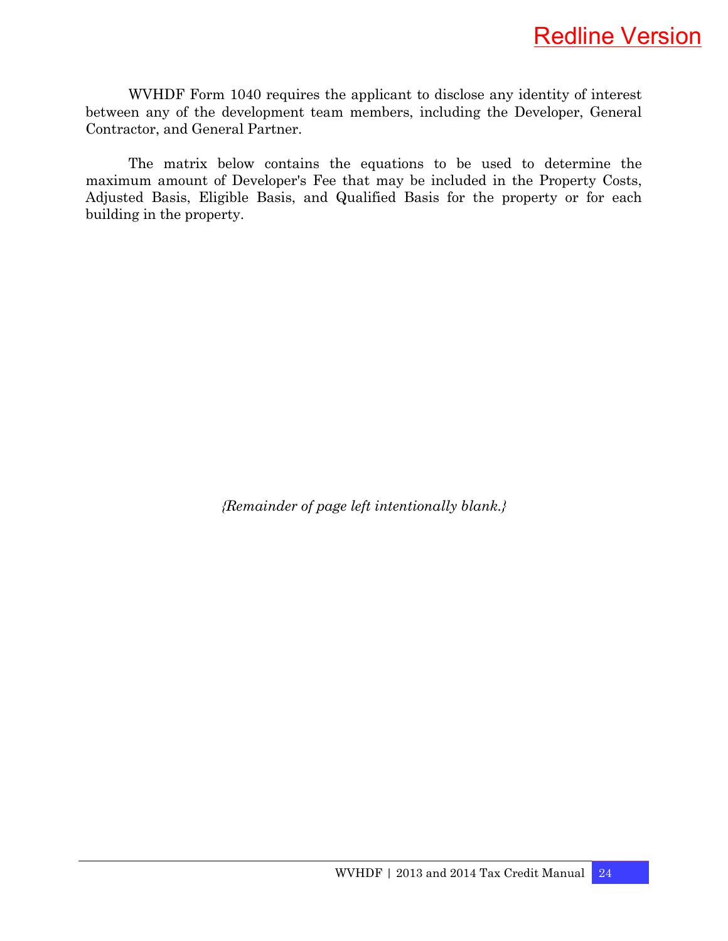WVHDF Form 1040 requires the applicant to disclose any identity of interest between any of the development team members, including the Developer, General Contractor, and General Partner.

 The matrix below contains the equations to be used to determine the maximum amount of Developer's Fee that may be included in the Property Costs, Adjusted Basis, Eligible Basis, and Qualified Basis for the property or for each building in the property.

*{Remainder of page left intentionally blank.}*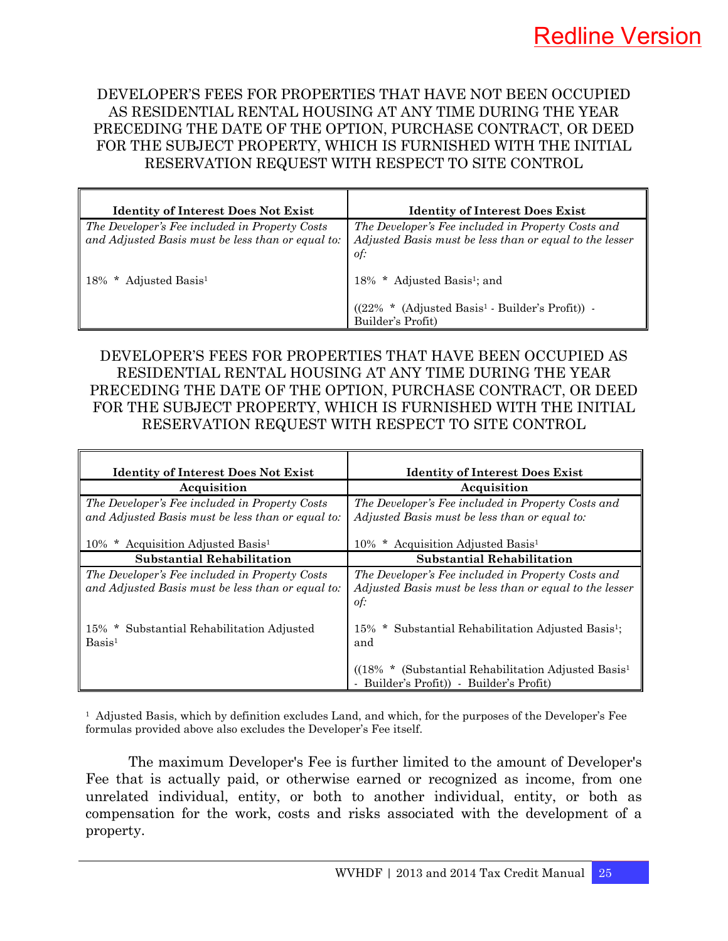DEVELOPER'S FEES FOR PROPERTIES THAT HAVE NOT BEEN OCCUPIED AS RESIDENTIAL RENTAL HOUSING AT ANY TIME DURING THE YEAR PRECEDING THE DATE OF THE OPTION, PURCHASE CONTRACT, OR DEED FOR THE SUBJECT PROPERTY, WHICH IS FURNISHED WITH THE INITIAL RESERVATION REQUEST WITH RESPECT TO SITE CONTROL

| <b>Identity of Interest Does Not Exist</b>                                                          | <b>Identity of Interest Does Exist</b>                                                                                           |
|-----------------------------------------------------------------------------------------------------|----------------------------------------------------------------------------------------------------------------------------------|
| The Developer's Fee included in Property Costs<br>and Adjusted Basis must be less than or equal to: | The Developer's Fee included in Property Costs and<br>Adjusted Basis must be less than or equal to the lesser<br>of:             |
| * Adjusted Basis <sup>1</sup><br>18%                                                                | 18% * Adjusted Basis <sup>1</sup> ; and<br>(Adjusted Basis <sup>1</sup> - Builder's Profit)) -<br>$(22\% *$<br>Builder's Profit) |

#### DEVELOPER'S FEES FOR PROPERTIES THAT HAVE BEEN OCCUPIED AS RESIDENTIAL RENTAL HOUSING AT ANY TIME DURING THE YEAR PRECEDING THE DATE OF THE OPTION, PURCHASE CONTRACT, OR DEED FOR THE SUBJECT PROPERTY, WHICH IS FURNISHED WITH THE INITIAL RESERVATION REQUEST WITH RESPECT TO SITE CONTROL

| <b>Identity of Interest Does Not Exist</b>                                                          | <b>Identity of Interest Does Exist</b>                                                                                             |
|-----------------------------------------------------------------------------------------------------|------------------------------------------------------------------------------------------------------------------------------------|
| Acquisition                                                                                         | Acquisition                                                                                                                        |
| The Developer's Fee included in Property Costs<br>and Adjusted Basis must be less than or equal to: | The Developer's Fee included in Property Costs and<br>Adjusted Basis must be less than or equal to:                                |
| * Acquisition Adjusted Basis <sup>1</sup><br>10%                                                    | 10% * Acquisition Adjusted Basis <sup>1</sup>                                                                                      |
| <b>Substantial Rehabilitation</b>                                                                   | <b>Substantial Rehabilitation</b>                                                                                                  |
| The Developer's Fee included in Property Costs<br>and Adjusted Basis must be less than or equal to: | The Developer's Fee included in Property Costs and<br>Adjusted Basis must be less than or equal to the lesser<br>of:               |
| Substantial Rehabilitation Adjusted<br>$15\%$<br>$\ast$<br>Basis <sup>1</sup>                       | * Substantial Rehabilitation Adjusted Basis <sup>1</sup> ;<br>15%<br>and<br>$((18\% * (Substantial Rehabilitation Adjusted Basis1$ |
|                                                                                                     | - Builder's Profit)) - Builder's Profit)                                                                                           |

1 Adjusted Basis, which by definition excludes Land, and which, for the purposes of the Developer's Fee formulas provided above also excludes the Developer's Fee itself.

 The maximum Developer's Fee is further limited to the amount of Developer's Fee that is actually paid, or otherwise earned or recognized as income, from one unrelated individual, entity, or both to another individual, entity, or both as compensation for the work, costs and risks associated with the development of a property.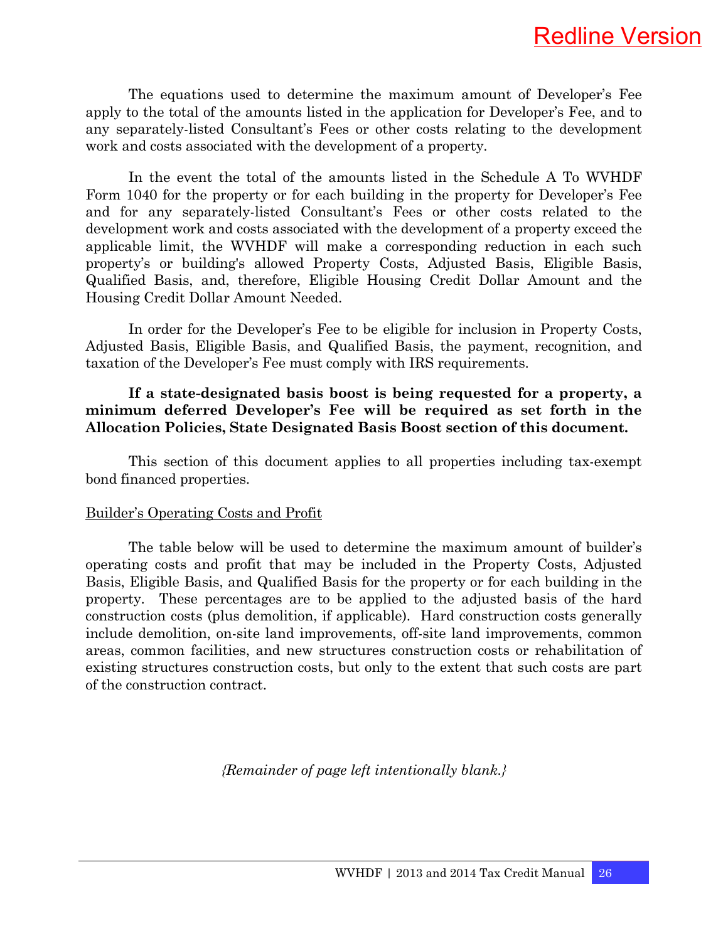The equations used to determine the maximum amount of Developer's Fee apply to the total of the amounts listed in the application for Developer's Fee, and to any separately-listed Consultant's Fees or other costs relating to the development work and costs associated with the development of a property.

 In the event the total of the amounts listed in the Schedule A To WVHDF Form 1040 for the property or for each building in the property for Developer's Fee and for any separately-listed Consultant's Fees or other costs related to the development work and costs associated with the development of a property exceed the applicable limit, the WVHDF will make a corresponding reduction in each such property's or building's allowed Property Costs, Adjusted Basis, Eligible Basis, Qualified Basis, and, therefore, Eligible Housing Credit Dollar Amount and the Housing Credit Dollar Amount Needed.

 In order for the Developer's Fee to be eligible for inclusion in Property Costs, Adjusted Basis, Eligible Basis, and Qualified Basis, the payment, recognition, and taxation of the Developer's Fee must comply with IRS requirements.

#### **If a state-designated basis boost is being requested for a property, a minimum deferred Developer's Fee will be required as set forth in the Allocation Policies, State Designated Basis Boost section of this document.**

 This section of this document applies to all properties including tax-exempt bond financed properties.

#### Builder's Operating Costs and Profit

 The table below will be used to determine the maximum amount of builder's operating costs and profit that may be included in the Property Costs, Adjusted Basis, Eligible Basis, and Qualified Basis for the property or for each building in the property. These percentages are to be applied to the adjusted basis of the hard construction costs (plus demolition, if applicable). Hard construction costs generally include demolition, on-site land improvements, off-site land improvements, common areas, common facilities, and new structures construction costs or rehabilitation of existing structures construction costs, but only to the extent that such costs are part of the construction contract.

*{Remainder of page left intentionally blank.}*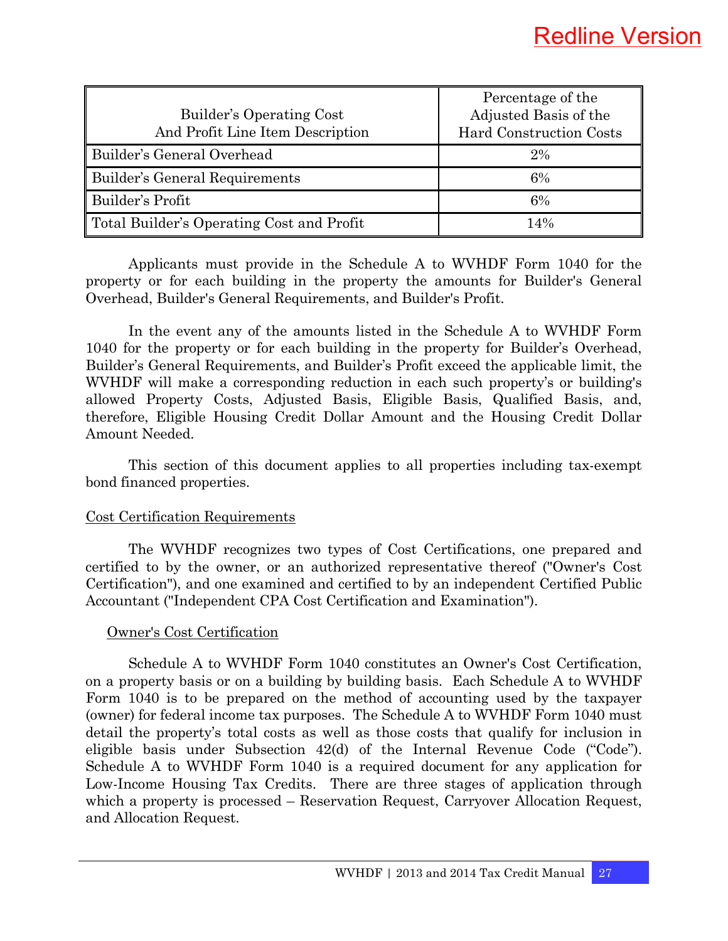|                                           | Percentage of the              |
|-------------------------------------------|--------------------------------|
| Builder's Operating Cost                  | Adjusted Basis of the          |
| And Profit Line Item Description          | <b>Hard Construction Costs</b> |
| Builder's General Overhead                | 2%                             |
| Builder's General Requirements            | 6%                             |
| Builder's Profit                          | 6%                             |
| Total Builder's Operating Cost and Profit | 14%                            |

 Applicants must provide in the Schedule A to WVHDF Form 1040 for the property or for each building in the property the amounts for Builder's General Overhead, Builder's General Requirements, and Builder's Profit.

 In the event any of the amounts listed in the Schedule A to WVHDF Form 1040 for the property or for each building in the property for Builder's Overhead, Builder's General Requirements, and Builder's Profit exceed the applicable limit, the WVHDF will make a corresponding reduction in each such property's or building's allowed Property Costs, Adjusted Basis, Eligible Basis, Qualified Basis, and, therefore, Eligible Housing Credit Dollar Amount and the Housing Credit Dollar Amount Needed.

 This section of this document applies to all properties including tax-exempt bond financed properties.

#### Cost Certification Requirements

 The WVHDF recognizes two types of Cost Certifications, one prepared and certified to by the owner, or an authorized representative thereof ("Owner's Cost Certification"), and one examined and certified to by an independent Certified Public Accountant ("Independent CPA Cost Certification and Examination").

#### Owner's Cost Certification

 Schedule A to WVHDF Form 1040 constitutes an Owner's Cost Certification, on a property basis or on a building by building basis. Each Schedule A to WVHDF Form 1040 is to be prepared on the method of accounting used by the taxpayer (owner) for federal income tax purposes. The Schedule A to WVHDF Form 1040 must detail the property's total costs as well as those costs that qualify for inclusion in eligible basis under Subsection 42(d) of the Internal Revenue Code ("Code"). Schedule A to WVHDF Form 1040 is a required document for any application for Low-Income Housing Tax Credits. There are three stages of application through which a property is processed – Reservation Request, Carryover Allocation Request, and Allocation Request.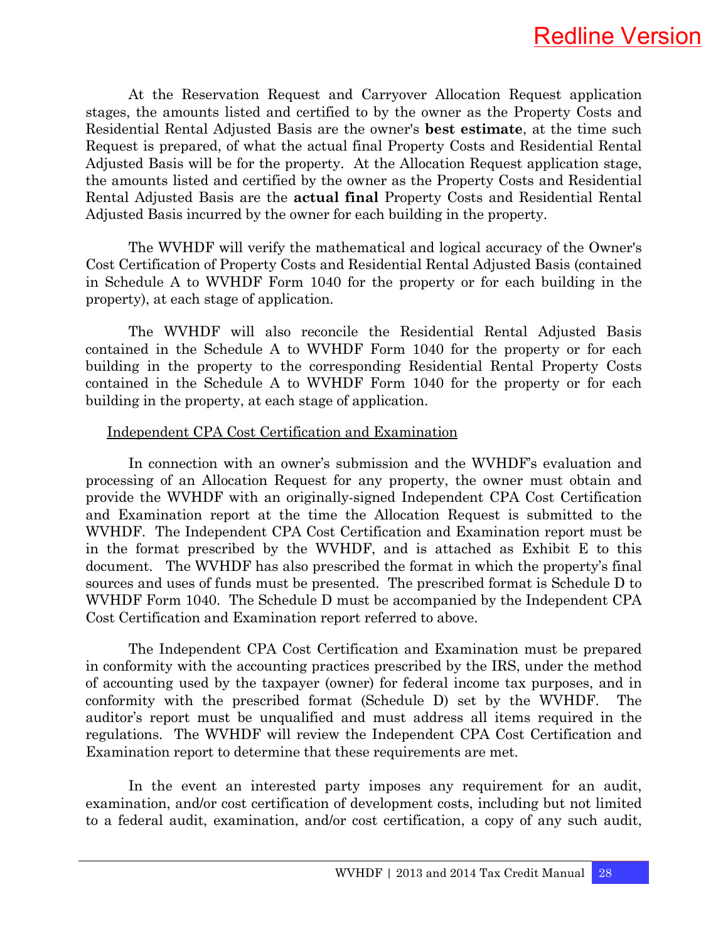

 At the Reservation Request and Carryover Allocation Request application stages, the amounts listed and certified to by the owner as the Property Costs and Residential Rental Adjusted Basis are the owner's **best estimate**, at the time such Request is prepared, of what the actual final Property Costs and Residential Rental Adjusted Basis will be for the property. At the Allocation Request application stage, the amounts listed and certified by the owner as the Property Costs and Residential Rental Adjusted Basis are the **actual final** Property Costs and Residential Rental Adjusted Basis incurred by the owner for each building in the property.

 The WVHDF will verify the mathematical and logical accuracy of the Owner's Cost Certification of Property Costs and Residential Rental Adjusted Basis (contained in Schedule A to WVHDF Form 1040 for the property or for each building in the property), at each stage of application.

 The WVHDF will also reconcile the Residential Rental Adjusted Basis contained in the Schedule A to WVHDF Form 1040 for the property or for each building in the property to the corresponding Residential Rental Property Costs contained in the Schedule A to WVHDF Form 1040 for the property or for each building in the property, at each stage of application.

#### Independent CPA Cost Certification and Examination

 In connection with an owner's submission and the WVHDF's evaluation and processing of an Allocation Request for any property, the owner must obtain and provide the WVHDF with an originally-signed Independent CPA Cost Certification and Examination report at the time the Allocation Request is submitted to the WVHDF. The Independent CPA Cost Certification and Examination report must be in the format prescribed by the WVHDF, and is attached as Exhibit E to this document. The WVHDF has also prescribed the format in which the property's final sources and uses of funds must be presented. The prescribed format is Schedule D to WVHDF Form 1040. The Schedule D must be accompanied by the Independent CPA Cost Certification and Examination report referred to above.

 The Independent CPA Cost Certification and Examination must be prepared in conformity with the accounting practices prescribed by the IRS, under the method of accounting used by the taxpayer (owner) for federal income tax purposes, and in conformity with the prescribed format (Schedule D) set by the WVHDF. The auditor's report must be unqualified and must address all items required in the regulations. The WVHDF will review the Independent CPA Cost Certification and Examination report to determine that these requirements are met.

 In the event an interested party imposes any requirement for an audit, examination, and/or cost certification of development costs, including but not limited to a federal audit, examination, and/or cost certification, a copy of any such audit,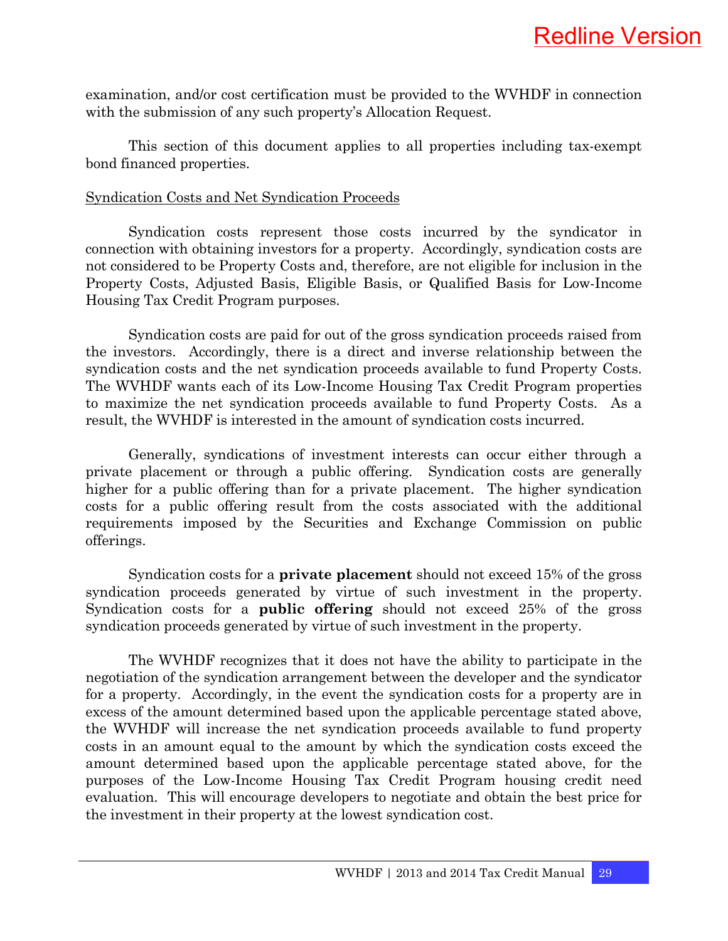examination, and/or cost certification must be provided to the WVHDF in connection with the submission of any such property's Allocation Request.

 This section of this document applies to all properties including tax-exempt bond financed properties.

#### Syndication Costs and Net Syndication Proceeds

 Syndication costs represent those costs incurred by the syndicator in connection with obtaining investors for a property. Accordingly, syndication costs are not considered to be Property Costs and, therefore, are not eligible for inclusion in the Property Costs, Adjusted Basis, Eligible Basis, or Qualified Basis for Low-Income Housing Tax Credit Program purposes.

 Syndication costs are paid for out of the gross syndication proceeds raised from the investors. Accordingly, there is a direct and inverse relationship between the syndication costs and the net syndication proceeds available to fund Property Costs. The WVHDF wants each of its Low-Income Housing Tax Credit Program properties to maximize the net syndication proceeds available to fund Property Costs. As a result, the WVHDF is interested in the amount of syndication costs incurred.

 Generally, syndications of investment interests can occur either through a private placement or through a public offering. Syndication costs are generally higher for a public offering than for a private placement. The higher syndication costs for a public offering result from the costs associated with the additional requirements imposed by the Securities and Exchange Commission on public offerings.

 Syndication costs for a **private placement** should not exceed 15% of the gross syndication proceeds generated by virtue of such investment in the property. Syndication costs for a **public offering** should not exceed 25% of the gross syndication proceeds generated by virtue of such investment in the property.

 The WVHDF recognizes that it does not have the ability to participate in the negotiation of the syndication arrangement between the developer and the syndicator for a property. Accordingly, in the event the syndication costs for a property are in excess of the amount determined based upon the applicable percentage stated above, the WVHDF will increase the net syndication proceeds available to fund property costs in an amount equal to the amount by which the syndication costs exceed the amount determined based upon the applicable percentage stated above, for the purposes of the Low-Income Housing Tax Credit Program housing credit need evaluation. This will encourage developers to negotiate and obtain the best price for the investment in their property at the lowest syndication cost.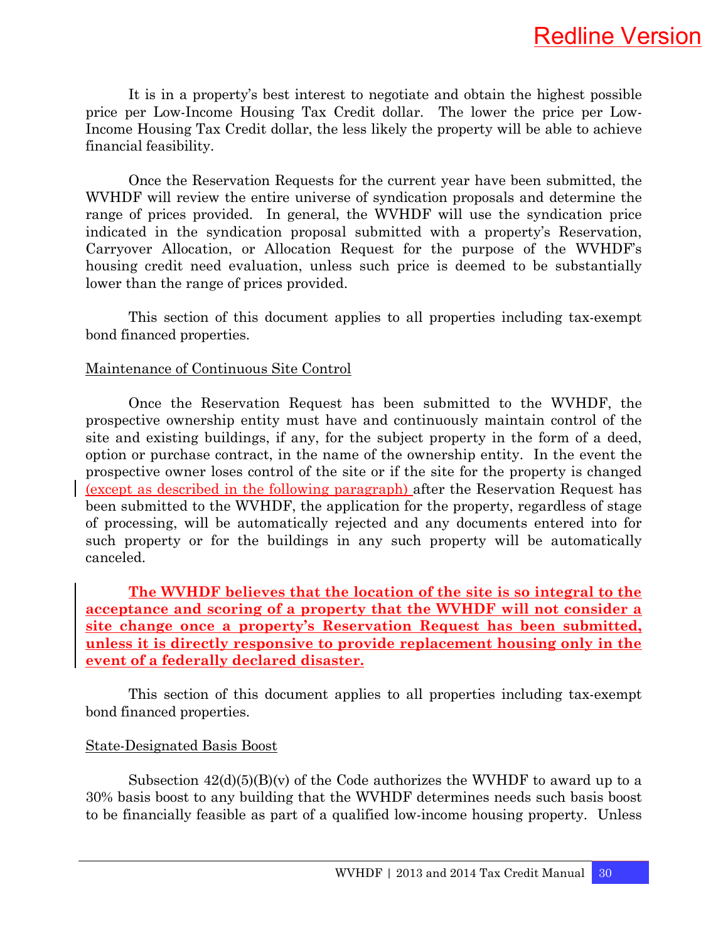It is in a property's best interest to negotiate and obtain the highest possible price per Low-Income Housing Tax Credit dollar. The lower the price per Low-Income Housing Tax Credit dollar, the less likely the property will be able to achieve financial feasibility.

 Once the Reservation Requests for the current year have been submitted, the WVHDF will review the entire universe of syndication proposals and determine the range of prices provided. In general, the WVHDF will use the syndication price indicated in the syndication proposal submitted with a property's Reservation, Carryover Allocation, or Allocation Request for the purpose of the WVHDF's housing credit need evaluation, unless such price is deemed to be substantially lower than the range of prices provided.

 This section of this document applies to all properties including tax-exempt bond financed properties.

#### Maintenance of Continuous Site Control

 Once the Reservation Request has been submitted to the WVHDF, the prospective ownership entity must have and continuously maintain control of the site and existing buildings, if any, for the subject property in the form of a deed, option or purchase contract, in the name of the ownership entity. In the event the prospective owner loses control of the site or if the site for the property is changed (except as described in the following paragraph) after the Reservation Request has been submitted to the WVHDF, the application for the property, regardless of stage of processing, will be automatically rejected and any documents entered into for such property or for the buildings in any such property will be automatically canceled.

 **The WVHDF believes that the location of the site is so integral to the acceptance and scoring of a property that the WVHDF will not consider a site change once a property's Reservation Request has been submitted, unless it is directly responsive to provide replacement housing only in the event of a federally declared disaster.**

 This section of this document applies to all properties including tax-exempt bond financed properties.

#### State-Designated Basis Boost

Subsection  $42(d)(5)(B)(v)$  of the Code authorizes the WVHDF to award up to a 30% basis boost to any building that the WVHDF determines needs such basis boost to be financially feasible as part of a qualified low-income housing property. Unless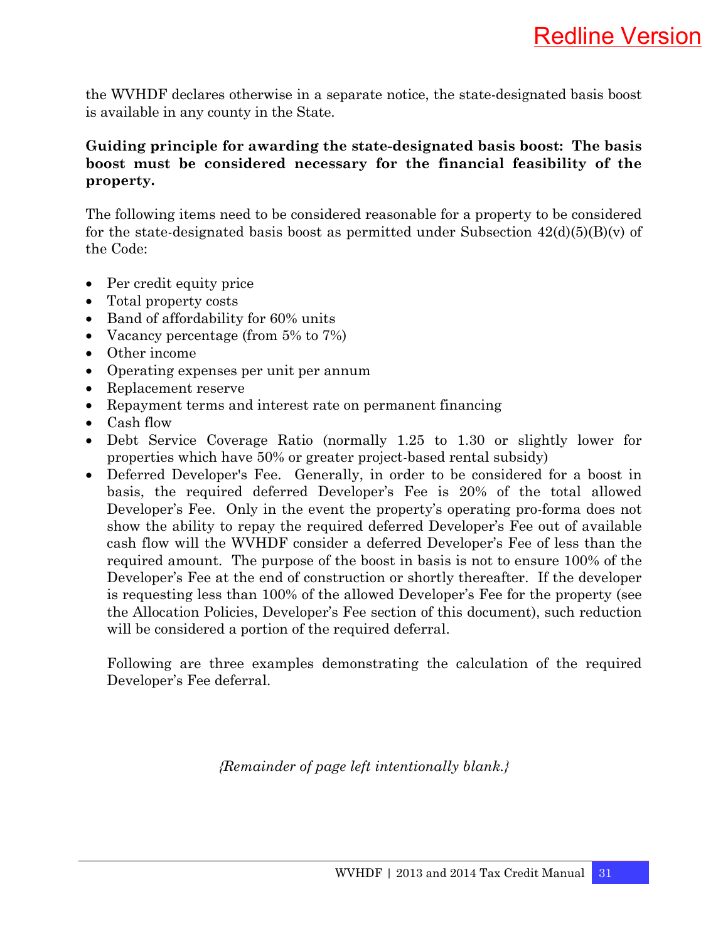the WVHDF declares otherwise in a separate notice, the state-designated basis boost is available in any county in the State.

### **Guiding principle for awarding the state-designated basis boost: The basis boost must be considered necessary for the financial feasibility of the property.**

The following items need to be considered reasonable for a property to be considered for the state-designated basis boost as permitted under Subsection  $42(d)(5)(B)(v)$  of the Code:

- Per credit equity price
- Total property costs
- Band of affordability for 60% units
- Vacancy percentage (from 5% to 7%)
- Other income
- Operating expenses per unit per annum
- Replacement reserve
- Repayment terms and interest rate on permanent financing
- Cash flow
- Debt Service Coverage Ratio (normally 1.25 to 1.30 or slightly lower for properties which have 50% or greater project-based rental subsidy)
- Deferred Developer's Fee. Generally, in order to be considered for a boost in basis, the required deferred Developer's Fee is 20% of the total allowed Developer's Fee. Only in the event the property's operating pro-forma does not show the ability to repay the required deferred Developer's Fee out of available cash flow will the WVHDF consider a deferred Developer's Fee of less than the required amount. The purpose of the boost in basis is not to ensure 100% of the Developer's Fee at the end of construction or shortly thereafter. If the developer is requesting less than 100% of the allowed Developer's Fee for the property (see the Allocation Policies, Developer's Fee section of this document), such reduction will be considered a portion of the required deferral.

Following are three examples demonstrating the calculation of the required Developer's Fee deferral.

*{Remainder of page left intentionally blank.}*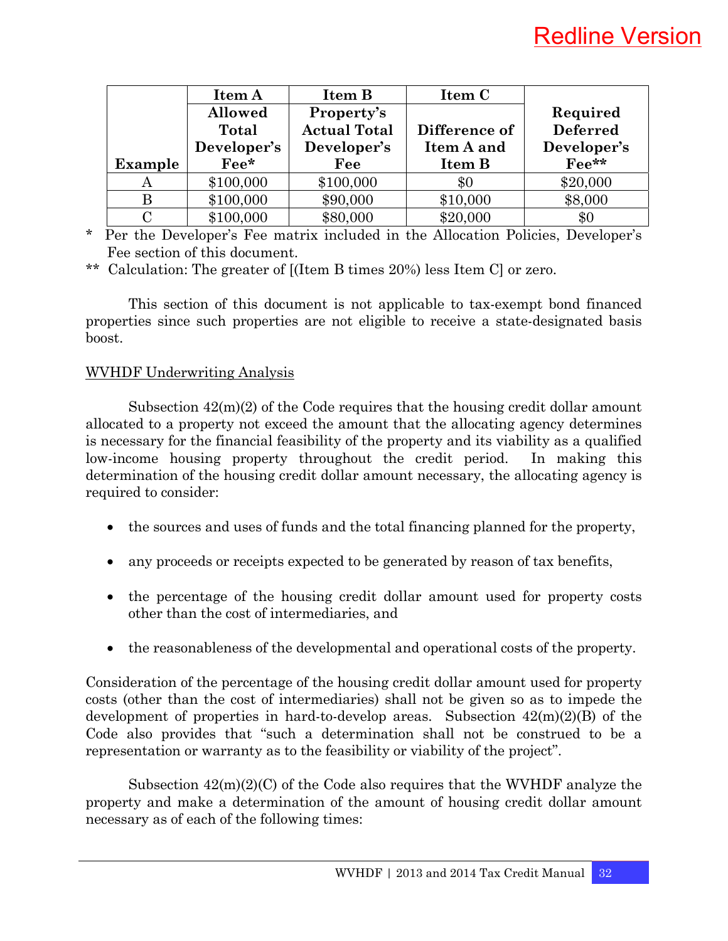|                | Item A         | Item B              | Item C        |                 |
|----------------|----------------|---------------------|---------------|-----------------|
|                | <b>Allowed</b> | Property's          |               | Required        |
|                | Total          | <b>Actual Total</b> | Difference of | <b>Deferred</b> |
|                | Developer's    | Developer's         | Item A and    | Developer's     |
| <b>Example</b> | $\rm{Fe}e^*$   | Fee                 | Item B        | Fee**           |
|                |                |                     |               |                 |
| A              | \$100,000      | \$100,000           | \$0           | \$20,000        |
|                | \$100,000      | \$90,000            | \$10,000      | \$8,000         |

\* Per the Developer's Fee matrix included in the Allocation Policies, Developer's Fee section of this document.

\*\* Calculation: The greater of [(Item B times 20%) less Item C] or zero.

 This section of this document is not applicable to tax-exempt bond financed properties since such properties are not eligible to receive a state-designated basis boost.

#### WVHDF Underwriting Analysis

Subsection  $42(m)(2)$  of the Code requires that the housing credit dollar amount allocated to a property not exceed the amount that the allocating agency determines is necessary for the financial feasibility of the property and its viability as a qualified low-income housing property throughout the credit period. In making this determination of the housing credit dollar amount necessary, the allocating agency is required to consider:

- the sources and uses of funds and the total financing planned for the property,
- any proceeds or receipts expected to be generated by reason of tax benefits,
- the percentage of the housing credit dollar amount used for property costs other than the cost of intermediaries, and
- the reasonableness of the developmental and operational costs of the property.

Consideration of the percentage of the housing credit dollar amount used for property costs (other than the cost of intermediaries) shall not be given so as to impede the development of properties in hard-to-develop areas. Subsection 42(m)(2)(B) of the Code also provides that "such a determination shall not be construed to be a representation or warranty as to the feasibility or viability of the project".

Subsection  $42(m)(2)(C)$  of the Code also requires that the WVHDF analyze the property and make a determination of the amount of housing credit dollar amount necessary as of each of the following times: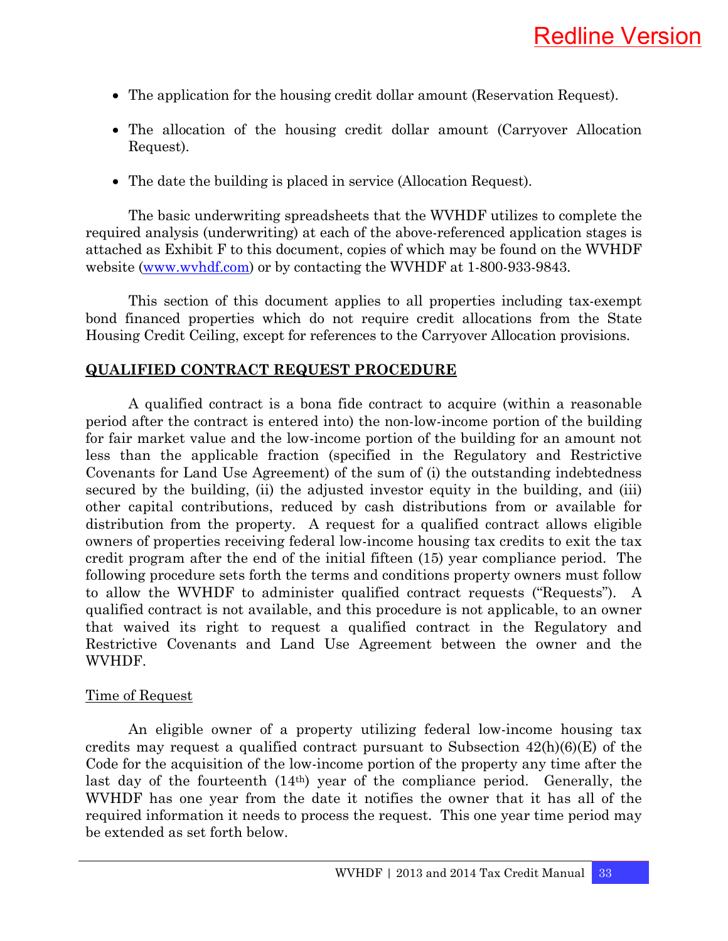- The application for the housing credit dollar amount (Reservation Request).
- The allocation of the housing credit dollar amount (Carryover Allocation Request).
- The date the building is placed in service (Allocation Request).

 The basic underwriting spreadsheets that the WVHDF utilizes to complete the required analysis (underwriting) at each of the above-referenced application stages is attached as Exhibit F to this document, copies of which may be found on the WVHDF website (www.wvhdf.com) or by contacting the WVHDF at 1-800-933-9843.

 This section of this document applies to all properties including tax-exempt bond financed properties which do not require credit allocations from the State Housing Credit Ceiling, except for references to the Carryover Allocation provisions.

#### **QUALIFIED CONTRACT REQUEST PROCEDURE**

A qualified contract is a bona fide contract to acquire (within a reasonable period after the contract is entered into) the non-low-income portion of the building for fair market value and the low-income portion of the building for an amount not less than the applicable fraction (specified in the Regulatory and Restrictive Covenants for Land Use Agreement) of the sum of (i) the outstanding indebtedness secured by the building, (ii) the adjusted investor equity in the building, and (iii) other capital contributions, reduced by cash distributions from or available for distribution from the property. A request for a qualified contract allows eligible owners of properties receiving federal low-income housing tax credits to exit the tax credit program after the end of the initial fifteen (15) year compliance period. The following procedure sets forth the terms and conditions property owners must follow to allow the WVHDF to administer qualified contract requests ("Requests"). A qualified contract is not available, and this procedure is not applicable, to an owner that waived its right to request a qualified contract in the Regulatory and Restrictive Covenants and Land Use Agreement between the owner and the WVHDF.

#### Time of Request

An eligible owner of a property utilizing federal low-income housing tax credits may request a qualified contract pursuant to Subsection  $42(h)(6)(E)$  of the Code for the acquisition of the low-income portion of the property any time after the last day of the fourteenth (14th) year of the compliance period. Generally, the WVHDF has one year from the date it notifies the owner that it has all of the required information it needs to process the request. This one year time period may be extended as set forth below.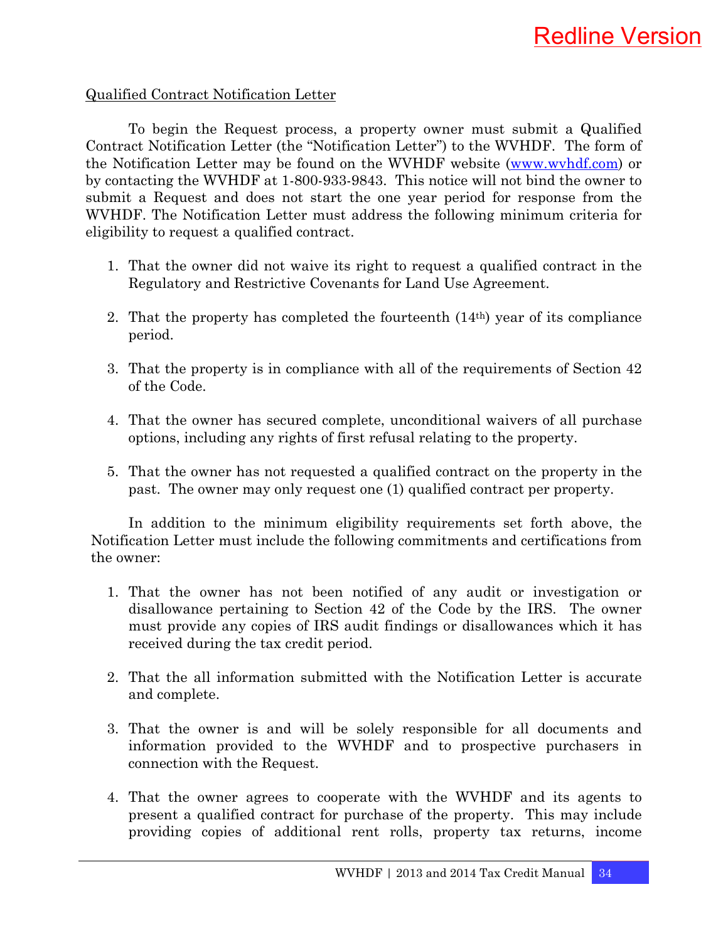#### Qualified Contract Notification Letter

To begin the Request process, a property owner must submit a Qualified Contract Notification Letter (the "Notification Letter") to the WVHDF. The form of the Notification Letter may be found on the WVHDF website (www.wvhdf.com) or by contacting the WVHDF at 1-800-933-9843. This notice will not bind the owner to submit a Request and does not start the one year period for response from the WVHDF. The Notification Letter must address the following minimum criteria for eligibility to request a qualified contract.

- 1. That the owner did not waive its right to request a qualified contract in the Regulatory and Restrictive Covenants for Land Use Agreement.
- 2. That the property has completed the fourteenth (14th) year of its compliance period.
- 3. That the property is in compliance with all of the requirements of Section 42 of the Code.
- 4. That the owner has secured complete, unconditional waivers of all purchase options, including any rights of first refusal relating to the property.
- 5. That the owner has not requested a qualified contract on the property in the past. The owner may only request one (1) qualified contract per property.

In addition to the minimum eligibility requirements set forth above, the Notification Letter must include the following commitments and certifications from the owner:

- 1. That the owner has not been notified of any audit or investigation or disallowance pertaining to Section 42 of the Code by the IRS. The owner must provide any copies of IRS audit findings or disallowances which it has received during the tax credit period.
- 2. That the all information submitted with the Notification Letter is accurate and complete.
- 3. That the owner is and will be solely responsible for all documents and information provided to the WVHDF and to prospective purchasers in connection with the Request.
- 4. That the owner agrees to cooperate with the WVHDF and its agents to present a qualified contract for purchase of the property. This may include providing copies of additional rent rolls, property tax returns, income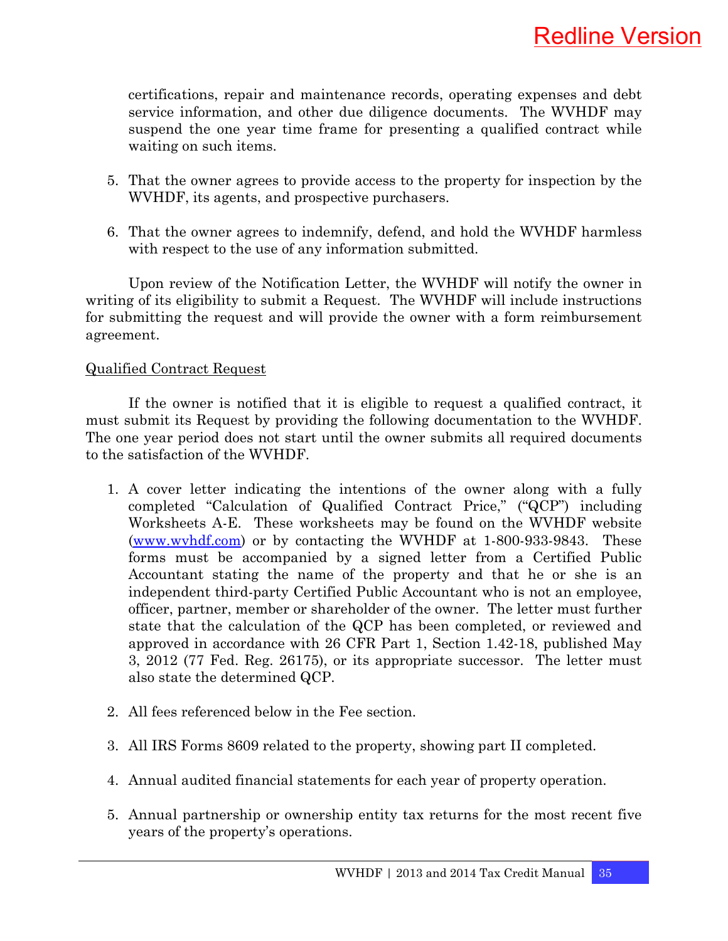certifications, repair and maintenance records, operating expenses and debt service information, and other due diligence documents. The WVHDF may suspend the one year time frame for presenting a qualified contract while waiting on such items.

- 5. That the owner agrees to provide access to the property for inspection by the WVHDF, its agents, and prospective purchasers.
- 6. That the owner agrees to indemnify, defend, and hold the WVHDF harmless with respect to the use of any information submitted.

Upon review of the Notification Letter, the WVHDF will notify the owner in writing of its eligibility to submit a Request. The WVHDF will include instructions for submitting the request and will provide the owner with a form reimbursement agreement.

#### Qualified Contract Request

If the owner is notified that it is eligible to request a qualified contract, it must submit its Request by providing the following documentation to the WVHDF. The one year period does not start until the owner submits all required documents to the satisfaction of the WVHDF.

- 1. A cover letter indicating the intentions of the owner along with a fully completed "Calculation of Qualified Contract Price," ("QCP") including Worksheets A-E. These worksheets may be found on the WVHDF website (www.wvhdf.com) or by contacting the WVHDF at 1-800-933-9843. These forms must be accompanied by a signed letter from a Certified Public Accountant stating the name of the property and that he or she is an independent third-party Certified Public Accountant who is not an employee, officer, partner, member or shareholder of the owner. The letter must further state that the calculation of the QCP has been completed, or reviewed and approved in accordance with 26 CFR Part 1, Section 1.42-18, published May 3, 2012 (77 Fed. Reg. 26175), or its appropriate successor. The letter must also state the determined QCP.
- 2. All fees referenced below in the Fee section.
- 3. All IRS Forms 8609 related to the property, showing part II completed.
- 4. Annual audited financial statements for each year of property operation.
- 5. Annual partnership or ownership entity tax returns for the most recent five years of the property's operations.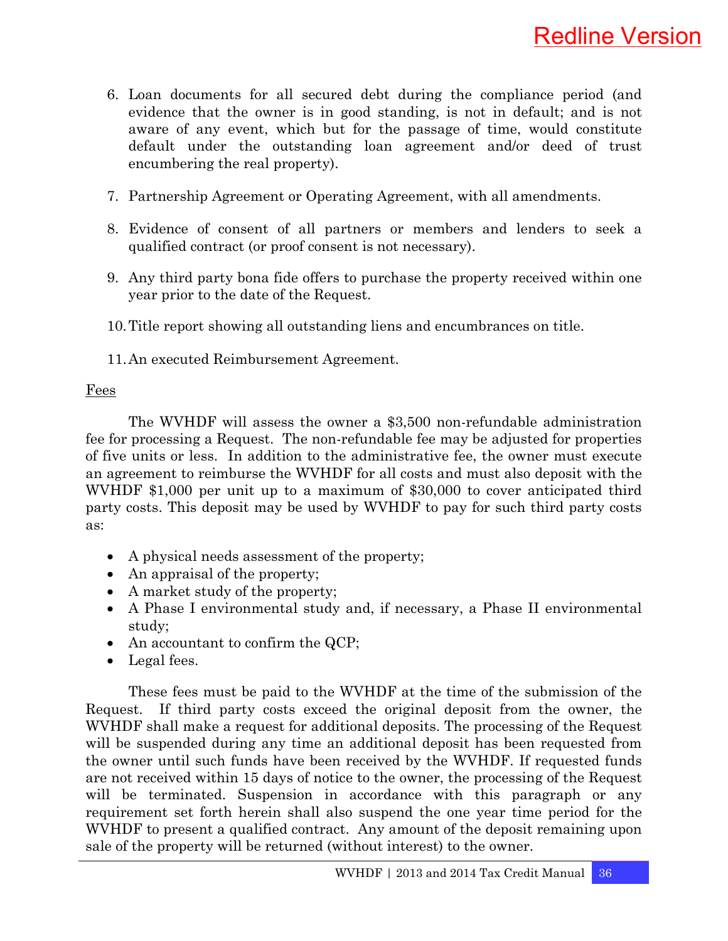- 6. Loan documents for all secured debt during the compliance period (and evidence that the owner is in good standing, is not in default; and is not aware of any event, which but for the passage of time, would constitute default under the outstanding loan agreement and/or deed of trust encumbering the real property).
- 7. Partnership Agreement or Operating Agreement, with all amendments.
- 8. Evidence of consent of all partners or members and lenders to seek a qualified contract (or proof consent is not necessary).
- 9. Any third party bona fide offers to purchase the property received within one year prior to the date of the Request.
- 10.Title report showing all outstanding liens and encumbrances on title.
- 11.An executed Reimbursement Agreement.

#### Fees

The WVHDF will assess the owner a \$3,500 non-refundable administration fee for processing a Request. The non-refundable fee may be adjusted for properties of five units or less. In addition to the administrative fee, the owner must execute an agreement to reimburse the WVHDF for all costs and must also deposit with the WVHDF \$1,000 per unit up to a maximum of \$30,000 to cover anticipated third party costs. This deposit may be used by WVHDF to pay for such third party costs as:

- A physical needs assessment of the property;
- An appraisal of the property;
- A market study of the property;
- A Phase I environmental study and, if necessary, a Phase II environmental study;
- An accountant to confirm the QCP;
- Legal fees.

These fees must be paid to the WVHDF at the time of the submission of the Request. If third party costs exceed the original deposit from the owner, the WVHDF shall make a request for additional deposits. The processing of the Request will be suspended during any time an additional deposit has been requested from the owner until such funds have been received by the WVHDF. If requested funds are not received within 15 days of notice to the owner, the processing of the Request will be terminated. Suspension in accordance with this paragraph or any requirement set forth herein shall also suspend the one year time period for the WVHDF to present a qualified contract. Any amount of the deposit remaining upon sale of the property will be returned (without interest) to the owner.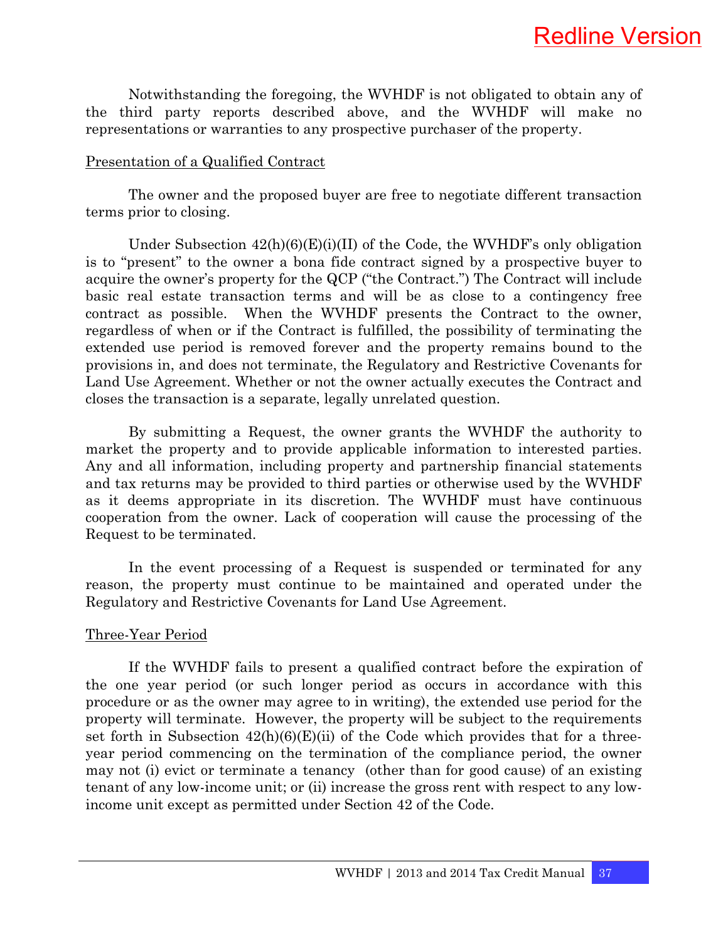Notwithstanding the foregoing, the WVHDF is not obligated to obtain any of the third party reports described above, and the WVHDF will make no representations or warranties to any prospective purchaser of the property.

#### Presentation of a Qualified Contract

The owner and the proposed buyer are free to negotiate different transaction terms prior to closing.

Under Subsection  $42(h)(6)(E)(i)(II)$  of the Code, the WVHDF's only obligation is to "present" to the owner a bona fide contract signed by a prospective buyer to acquire the owner's property for the QCP ("the Contract.") The Contract will include basic real estate transaction terms and will be as close to a contingency free contract as possible. When the WVHDF presents the Contract to the owner, regardless of when or if the Contract is fulfilled, the possibility of terminating the extended use period is removed forever and the property remains bound to the provisions in, and does not terminate, the Regulatory and Restrictive Covenants for Land Use Agreement. Whether or not the owner actually executes the Contract and closes the transaction is a separate, legally unrelated question.

By submitting a Request, the owner grants the WVHDF the authority to market the property and to provide applicable information to interested parties. Any and all information, including property and partnership financial statements and tax returns may be provided to third parties or otherwise used by the WVHDF as it deems appropriate in its discretion. The WVHDF must have continuous cooperation from the owner. Lack of cooperation will cause the processing of the Request to be terminated.

In the event processing of a Request is suspended or terminated for any reason, the property must continue to be maintained and operated under the Regulatory and Restrictive Covenants for Land Use Agreement.

#### Three-Year Period

If the WVHDF fails to present a qualified contract before the expiration of the one year period (or such longer period as occurs in accordance with this procedure or as the owner may agree to in writing), the extended use period for the property will terminate. However, the property will be subject to the requirements set forth in Subsection  $42(h)(6)(E)(ii)$  of the Code which provides that for a threeyear period commencing on the termination of the compliance period, the owner may not (i) evict or terminate a tenancy (other than for good cause) of an existing tenant of any low-income unit; or (ii) increase the gross rent with respect to any lowincome unit except as permitted under Section 42 of the Code.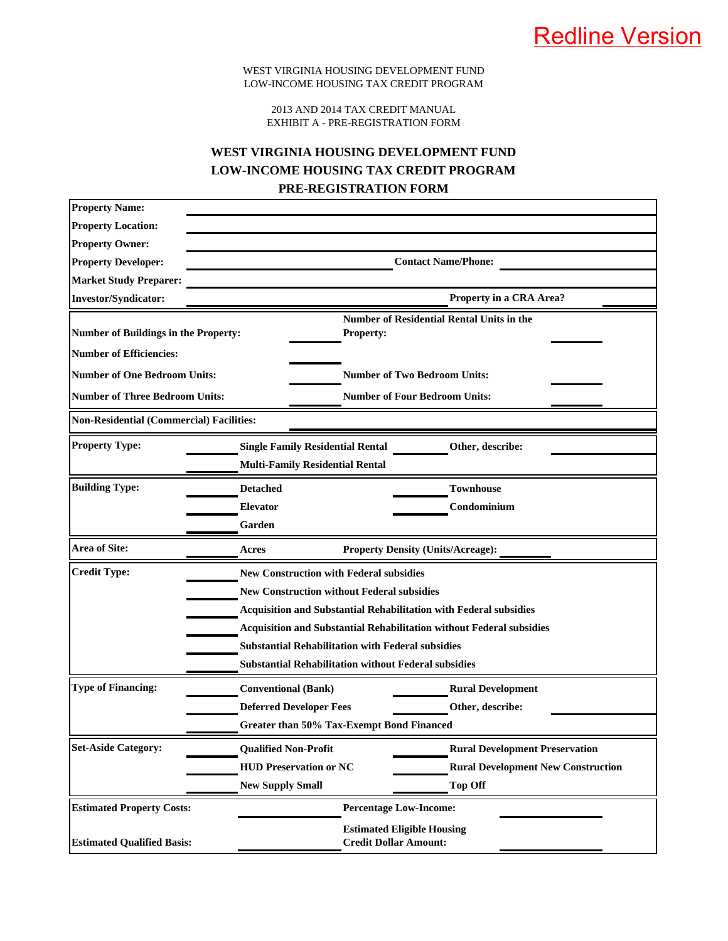2013 AND 2014 TAX CREDIT MANUAL EXHIBIT A - PRE-REGISTRATION FORM

#### **WEST VIRGINIA HOUSING DEVELOPMENT FUND LOW-INCOME HOUSING TAX CREDIT PROGRAM PRE-REGISTRATION FORM**

| <b>Property Name:</b>                           |                                                                             |                                                  |  |
|-------------------------------------------------|-----------------------------------------------------------------------------|--------------------------------------------------|--|
| <b>Property Location:</b>                       |                                                                             |                                                  |  |
| <b>Property Owner:</b>                          |                                                                             |                                                  |  |
| <b>Property Developer:</b>                      | <b>Contact Name/Phone:</b>                                                  |                                                  |  |
| <b>Market Study Preparer:</b>                   |                                                                             |                                                  |  |
| <b>Investor/Syndicator:</b>                     |                                                                             | Property in a CRA Area?                          |  |
| <b>Number of Buildings in the Property:</b>     | Property:                                                                   | <b>Number of Residential Rental Units in the</b> |  |
| <b>Number of Efficiencies:</b>                  |                                                                             |                                                  |  |
| <b>Number of One Bedroom Units:</b>             |                                                                             | <b>Number of Two Bedroom Units:</b>              |  |
| <b>Number of Three Bedroom Units:</b>           |                                                                             | <b>Number of Four Bedroom Units:</b>             |  |
| <b>Non-Residential (Commercial) Facilities:</b> |                                                                             |                                                  |  |
| <b>Property Type:</b>                           | <b>Single Family Residential Rental</b>                                     | Other, describe:                                 |  |
|                                                 | <b>Multi-Family Residential Rental</b>                                      |                                                  |  |
| <b>Building Type:</b>                           | <b>Detached</b>                                                             | <b>Townhouse</b>                                 |  |
|                                                 | <b>Elevator</b>                                                             | Condominium                                      |  |
|                                                 | Garden                                                                      |                                                  |  |
| <b>Area of Site:</b>                            | Acres                                                                       | <b>Property Density (Units/Acreage):</b>         |  |
| <b>Credit Type:</b>                             | <b>New Construction with Federal subsidies</b>                              |                                                  |  |
|                                                 | <b>New Construction without Federal subsidies</b>                           |                                                  |  |
|                                                 | <b>Acquisition and Substantial Rehabilitation with Federal subsidies</b>    |                                                  |  |
|                                                 | <b>Acquisition and Substantial Rehabilitation without Federal subsidies</b> |                                                  |  |
|                                                 | <b>Substantial Rehabilitation with Federal subsidies</b>                    |                                                  |  |
|                                                 | <b>Substantial Rehabilitation without Federal subsidies</b>                 |                                                  |  |
| <b>Type of Financing:</b>                       | <b>Conventional (Bank)</b>                                                  | <b>Rural Development</b>                         |  |
|                                                 | <b>Deferred Developer Fees</b>                                              | Other, describe:                                 |  |
|                                                 | Greater than 50% Tax-Exempt Bond Financed                                   |                                                  |  |
| <b>Set-Aside Category:</b>                      | <b>Qualified Non-Profit</b>                                                 | <b>Rural Development Preservation</b>            |  |
|                                                 | <b>HUD Preservation or NC</b>                                               | <b>Rural Development New Construction</b>        |  |
|                                                 | <b>New Supply Small</b>                                                     | <b>Top Off</b>                                   |  |
| <b>Estimated Property Costs:</b>                |                                                                             | <b>Percentage Low-Income:</b>                    |  |
| <b>Estimated Qualified Basis:</b>               | <b>Estimated Eligible Housing</b><br><b>Credit Dollar Amount:</b>           |                                                  |  |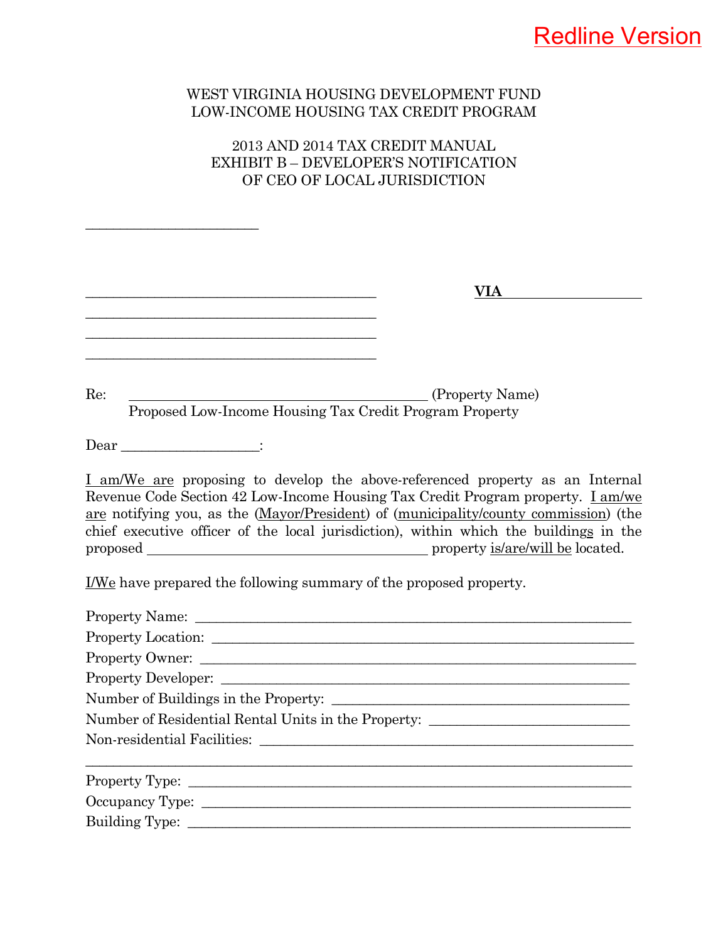## Redline Version

#### WEST VIRGINIA HOUSING DEVELOPMENT FUND LOW-INCOME HOUSING TAX CREDIT PROGRAM

### 2013 AND 2014 TAX CREDIT MANUAL EXHIBIT B – DEVELOPER'S NOTIFICATION OF CEO OF LOCAL JURISDICTION

\_\_\_\_\_\_\_\_\_\_\_\_\_\_\_\_\_\_\_\_\_\_\_\_\_

| VIA DI                                                                                                                                                                                                                                                                                                                                                  |
|---------------------------------------------------------------------------------------------------------------------------------------------------------------------------------------------------------------------------------------------------------------------------------------------------------------------------------------------------------|
|                                                                                                                                                                                                                                                                                                                                                         |
|                                                                                                                                                                                                                                                                                                                                                         |
| Re:<br>(Property Name)                                                                                                                                                                                                                                                                                                                                  |
| Proposed Low-Income Housing Tax Credit Program Property                                                                                                                                                                                                                                                                                                 |
| $\text{Dear}$ _____________________:                                                                                                                                                                                                                                                                                                                    |
| I am/We are proposing to develop the above-referenced property as an Internal<br>Revenue Code Section 42 Low-Income Housing Tax Credit Program property. <i>Lam/we</i><br>are notifying you, as the (Mayor/President) of (municipality/county commission) (the<br>chief executive officer of the local jurisdiction), within which the buildings in the |
| <u>I/We</u> have prepared the following summary of the proposed property.                                                                                                                                                                                                                                                                               |
|                                                                                                                                                                                                                                                                                                                                                         |
|                                                                                                                                                                                                                                                                                                                                                         |
|                                                                                                                                                                                                                                                                                                                                                         |
| Property Developer:                                                                                                                                                                                                                                                                                                                                     |
|                                                                                                                                                                                                                                                                                                                                                         |
| Number of Residential Rental Units in the Property: ____________________________                                                                                                                                                                                                                                                                        |
|                                                                                                                                                                                                                                                                                                                                                         |
|                                                                                                                                                                                                                                                                                                                                                         |
|                                                                                                                                                                                                                                                                                                                                                         |
|                                                                                                                                                                                                                                                                                                                                                         |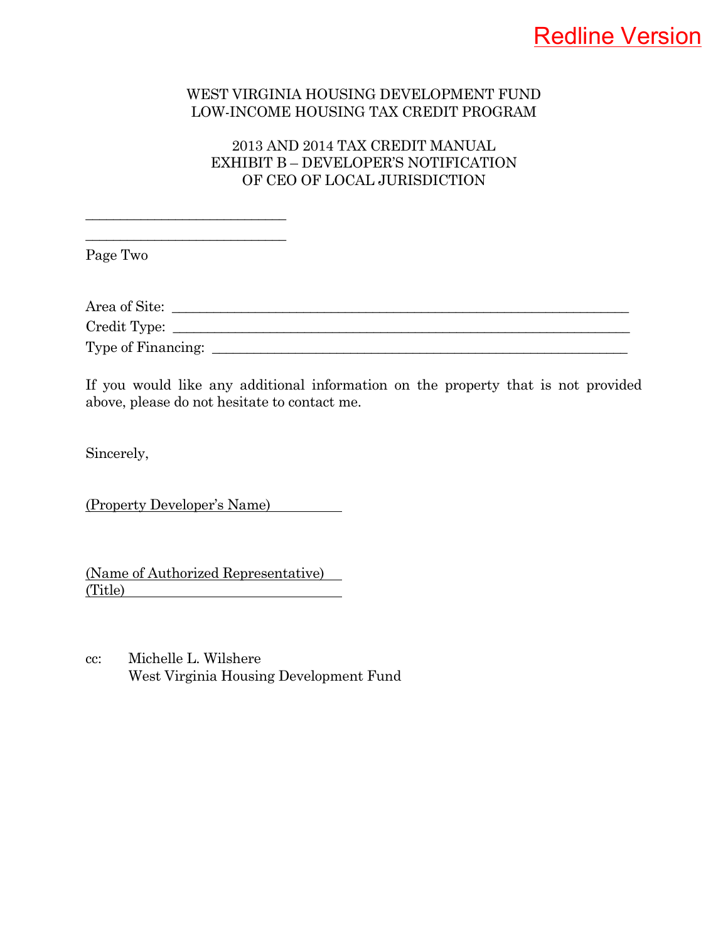## Redline Version

#### WEST VIRGINIA HOUSING DEVELOPMENT FUND LOW-INCOME HOUSING TAX CREDIT PROGRAM

#### 2013 AND 2014 TAX CREDIT MANUAL EXHIBIT B – DEVELOPER'S NOTIFICATION OF CEO OF LOCAL JURISDICTION

Page Two

| Area of Site:      |  |  |  |
|--------------------|--|--|--|
| Credit Type:       |  |  |  |
| Type of Financing: |  |  |  |

If you would like any additional information on the property that is not provided above, please do not hesitate to contact me.

Sincerely,

(Property Developer's Name)

\_\_\_\_\_\_\_\_\_\_\_\_\_\_\_\_\_\_\_\_\_\_\_\_\_\_\_\_\_ \_\_\_\_\_\_\_\_\_\_\_\_\_\_\_\_\_\_\_\_\_\_\_\_\_\_\_\_\_

(Name of Authorized Representative) (Title)

cc: Michelle L. Wilshere West Virginia Housing Development Fund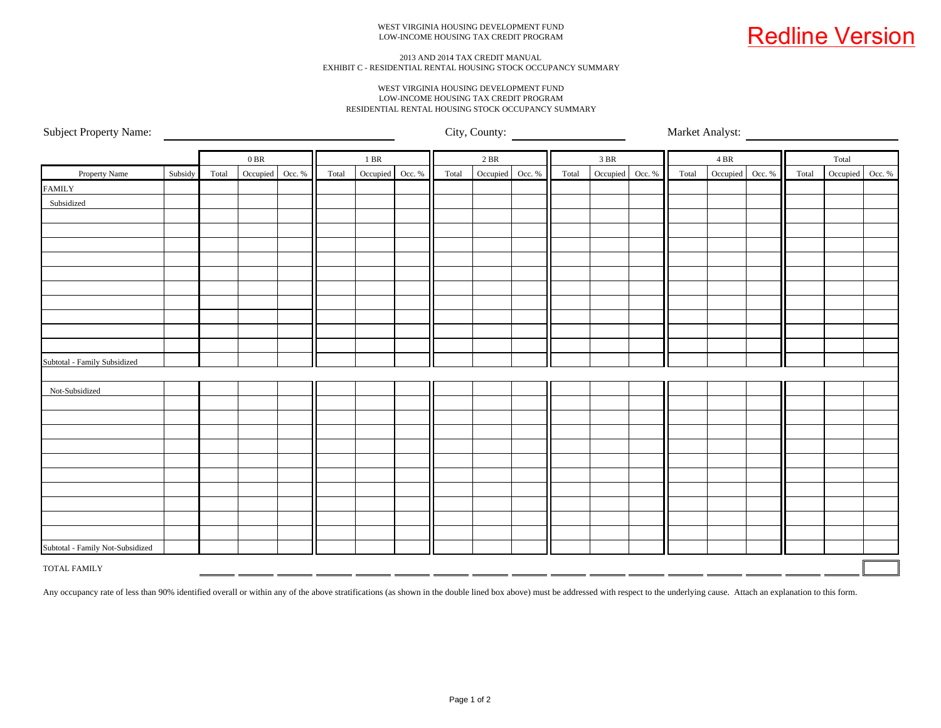

#### 2013 AND 2014 TAX CREDIT MANUAL EXHIBIT C - RESIDENTIAL RENTAL HOUSING STOCK OCCUPANCY SUMMARY

#### WEST VIRGINIA HOUSING DEVELOPMENT FUND LOW-INCOME HOUSING TAX CREDIT PROGRAMRESIDENTIAL RENTAL HOUSING STOCK OCCUPANCY SUMMARY

Subject Property Name:

City, County: Market Analyst:

|                                  |         |       | $0\,\mathrm{BR}$ |       | $1\,\mathrm{BR}$ |        | $2\ \mathrm{BR}$ |          |        | 3 BR  |          |        | $4\,\mathrm{BR}$ |          |        | Total |                 |  |
|----------------------------------|---------|-------|------------------|-------|------------------|--------|------------------|----------|--------|-------|----------|--------|------------------|----------|--------|-------|-----------------|--|
| Property Name                    | Subsidy | Total | Occupied Occ. %  | Total | Occupied         | Occ. % | Total            | Occupied | Occ. % | Total | Occupied | Occ. % | Total            | Occupied | Occ. % | Total | Occupied Occ. % |  |
| <b>FAMILY</b>                    |         |       |                  |       |                  |        |                  |          |        |       |          |        |                  |          |        |       |                 |  |
| Subsidized                       |         |       |                  |       |                  |        |                  |          |        |       |          |        |                  |          |        |       |                 |  |
|                                  |         |       |                  |       |                  |        |                  |          |        |       |          |        |                  |          |        |       |                 |  |
|                                  |         |       |                  |       |                  |        |                  |          |        |       |          |        |                  |          |        |       |                 |  |
|                                  |         |       |                  |       |                  |        |                  |          |        |       |          |        |                  |          |        |       |                 |  |
|                                  |         |       |                  |       |                  |        |                  |          |        |       |          |        |                  |          |        |       |                 |  |
|                                  |         |       |                  |       |                  |        |                  |          |        |       |          |        |                  |          |        |       |                 |  |
|                                  |         |       |                  |       |                  |        |                  |          |        |       |          |        |                  |          |        |       |                 |  |
|                                  |         |       |                  |       |                  |        |                  |          |        |       |          |        |                  |          |        |       |                 |  |
|                                  |         |       |                  |       |                  |        |                  |          |        |       |          |        |                  |          |        |       |                 |  |
|                                  |         |       |                  |       |                  |        |                  |          |        |       |          |        |                  |          |        |       |                 |  |
|                                  |         |       |                  |       |                  |        |                  |          |        |       |          |        |                  |          |        |       |                 |  |
| Subtotal - Family Subsidized     |         |       |                  |       |                  |        |                  |          |        |       |          |        |                  |          |        |       |                 |  |
|                                  |         |       |                  |       |                  |        |                  |          |        |       |          |        |                  |          |        |       |                 |  |
| Not-Subsidized                   |         |       |                  |       |                  |        |                  |          |        |       |          |        |                  |          |        |       |                 |  |
|                                  |         |       |                  |       |                  |        |                  |          |        |       |          |        |                  |          |        |       |                 |  |
|                                  |         |       |                  |       |                  |        |                  |          |        |       |          |        |                  |          |        |       |                 |  |
|                                  |         |       |                  |       |                  |        |                  |          |        |       |          |        |                  |          |        |       |                 |  |
|                                  |         |       |                  |       |                  |        |                  |          |        |       |          |        |                  |          |        |       |                 |  |
|                                  |         |       |                  |       |                  |        |                  |          |        |       |          |        |                  |          |        |       |                 |  |
|                                  |         |       |                  |       |                  |        |                  |          |        |       |          |        |                  |          |        |       |                 |  |
|                                  |         |       |                  |       |                  |        |                  |          |        |       |          |        |                  |          |        |       |                 |  |
|                                  |         |       |                  |       |                  |        |                  |          |        |       |          |        |                  |          |        |       |                 |  |
|                                  |         |       |                  |       |                  |        |                  |          |        |       |          |        |                  |          |        |       |                 |  |
| Subtotal - Family Not-Subsidized |         |       |                  |       |                  |        |                  |          |        |       |          |        |                  |          |        |       |                 |  |
|                                  |         |       |                  |       |                  |        |                  |          |        |       |          |        |                  |          |        |       |                 |  |
| <b>TOTAL FAMILY</b>              |         |       |                  |       |                  |        |                  |          |        |       |          |        |                  |          |        |       |                 |  |

Any occupancy rate of less than 90% identified overall or within any of the above stratifications (as shown in the double lined box above) must be addressed with respect to the underlying cause. Attach an explanation to th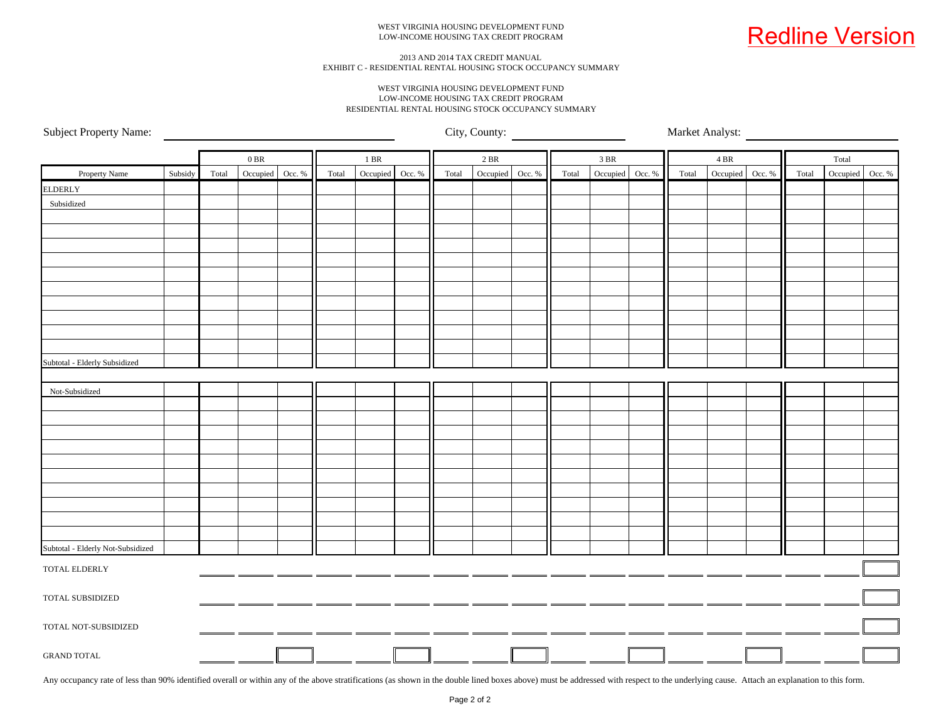

#### 2013 AND 2014 TAX CREDIT MANUAL EXHIBIT C - RESIDENTIAL RENTAL HOUSING STOCK OCCUPANCY SUMMARY

#### WEST VIRGINIA HOUSING DEVELOPMENT FUNDLOW-INCOME HOUSING TAX CREDIT PROGRAMRESIDENTIAL RENTAL HOUSING STOCK OCCUPANCY SUMMARY

Subject Property Name:

City, County: Market Analyst:

|                                   |         |       | $0\,\mathrm{BR}$ |       | $1\;\mathrm{BR}$ |       | 2 BR     |        |       | 3 BR     |        |       | 4 BR            |       | Total           |  |
|-----------------------------------|---------|-------|------------------|-------|------------------|-------|----------|--------|-------|----------|--------|-------|-----------------|-------|-----------------|--|
| Property Name                     | Subsidy | Total | Occupied Occ. %  | Total | Occupied Occ. %  | Total | Occupied | Occ. % | Total | Occupied | Occ. % | Total | Occupied Occ. % | Total | Occupied Occ. % |  |
| <b>ELDERLY</b>                    |         |       |                  |       |                  |       |          |        |       |          |        |       |                 |       |                 |  |
| Subsidized                        |         |       |                  |       |                  |       |          |        |       |          |        |       |                 |       |                 |  |
|                                   |         |       |                  |       |                  |       |          |        |       |          |        |       |                 |       |                 |  |
|                                   |         |       |                  |       |                  |       |          |        |       |          |        |       |                 |       |                 |  |
|                                   |         |       |                  |       |                  |       |          |        |       |          |        |       |                 |       |                 |  |
|                                   |         |       |                  |       |                  |       |          |        |       |          |        |       |                 |       |                 |  |
|                                   |         |       |                  |       |                  |       |          |        |       |          |        |       |                 |       |                 |  |
|                                   |         |       |                  |       |                  |       |          |        |       |          |        |       |                 |       |                 |  |
|                                   |         |       |                  |       |                  |       |          |        |       |          |        |       |                 |       |                 |  |
|                                   |         |       |                  |       |                  |       |          |        |       |          |        |       |                 |       |                 |  |
|                                   |         |       |                  |       |                  |       |          |        |       |          |        |       |                 |       |                 |  |
|                                   |         |       |                  |       |                  |       |          |        |       |          |        |       |                 |       |                 |  |
| Subtotal - Elderly Subsidized     |         |       |                  |       |                  |       |          |        |       |          |        |       |                 |       |                 |  |
|                                   |         |       |                  |       |                  |       |          |        |       |          |        |       |                 |       |                 |  |
| Not-Subsidized                    |         |       |                  |       |                  |       |          |        |       |          |        |       |                 |       |                 |  |
|                                   |         |       |                  |       |                  |       |          |        |       |          |        |       |                 |       |                 |  |
|                                   |         |       |                  |       |                  |       |          |        |       |          |        |       |                 |       |                 |  |
|                                   |         |       |                  |       |                  |       |          |        |       |          |        |       |                 |       |                 |  |
|                                   |         |       |                  |       |                  |       |          |        |       |          |        |       |                 |       |                 |  |
|                                   |         |       |                  |       |                  |       |          |        |       |          |        |       |                 |       |                 |  |
|                                   |         |       |                  |       |                  |       |          |        |       |          |        |       |                 |       |                 |  |
|                                   |         |       |                  |       |                  |       |          |        |       |          |        |       |                 |       |                 |  |
|                                   |         |       |                  |       |                  |       |          |        |       |          |        |       |                 |       |                 |  |
|                                   |         |       |                  |       |                  |       |          |        |       |          |        |       |                 |       |                 |  |
|                                   |         |       |                  |       |                  |       |          |        |       |          |        |       |                 |       |                 |  |
| Subtotal - Elderly Not-Subsidized |         |       |                  |       |                  |       |          |        |       |          |        |       |                 |       |                 |  |
| TOTAL ELDERLY                     |         |       |                  |       |                  |       |          |        |       |          |        |       |                 |       |                 |  |
|                                   |         |       |                  |       |                  |       |          |        |       |          |        |       |                 |       |                 |  |
| TOTAL SUBSIDIZED                  |         |       |                  |       |                  |       |          |        |       |          |        |       |                 |       |                 |  |
|                                   |         |       |                  |       |                  |       |          |        |       |          |        |       |                 |       |                 |  |
| TOTAL NOT-SUBSIDIZED              |         |       |                  |       |                  |       |          |        |       |          |        |       |                 |       |                 |  |
|                                   |         |       |                  |       |                  |       |          |        |       |          |        |       |                 |       |                 |  |
| <b>GRAND TOTAL</b>                |         |       |                  |       |                  |       |          |        |       |          |        |       |                 |       |                 |  |

Any occupancy rate of less than 90% identified overall or within any of the above stratifications (as shown in the double lined boxes above) must be addressed with respect to the underlying cause. Attach an explanation to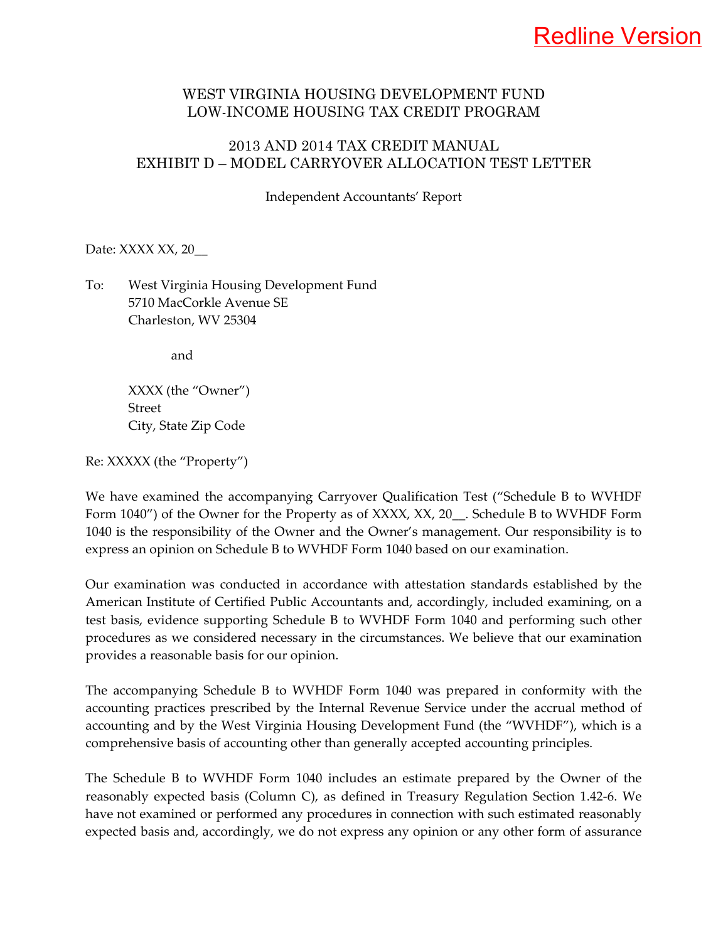## Redline Version

#### WEST VIRGINIA HOUSING DEVELOPMENT FUND LOW-INCOME HOUSING TAX CREDIT PROGRAM

#### 2013 AND 2014 TAX CREDIT MANUAL EXHIBIT D – MODEL CARRYOVER ALLOCATION TEST LETTER

Independent Accountants' Report

Date: XXXX XX, 20\_\_

#### To: West Virginia Housing Development Fund 5710 MacCorkle Avenue SE Charleston, WV 25304

and

XXXX (the "Owner") Street City, State Zip Code

Re: XXXXX (the "Property")

We have examined the accompanying Carryover Qualification Test ("Schedule B to WVHDF Form 1040") of the Owner for the Property as of XXXX, XX, 20\_\_. Schedule B to WVHDF Form 1040 is the responsibility of the Owner and the Owner's management. Our responsibility is to express an opinion on Schedule B to WVHDF Form 1040 based on our examination.

Our examination was conducted in accordance with attestation standards established by the American Institute of Certified Public Accountants and, accordingly, included examining, on a test basis, evidence supporting Schedule B to WVHDF Form 1040 and performing such other procedures as we considered necessary in the circumstances. We believe that our examination provides a reasonable basis for our opinion.

The accompanying Schedule B to WVHDF Form 1040 was prepared in conformity with the accounting practices prescribed by the Internal Revenue Service under the accrual method of accounting and by the West Virginia Housing Development Fund (the "WVHDF"), which is a comprehensive basis of accounting other than generally accepted accounting principles.

The Schedule B to WVHDF Form 1040 includes an estimate prepared by the Owner of the reasonably expected basis (Column C), as defined in Treasury Regulation Section 1.42‐6. We have not examined or performed any procedures in connection with such estimated reasonably expected basis and, accordingly, we do not express any opinion or any other form of assurance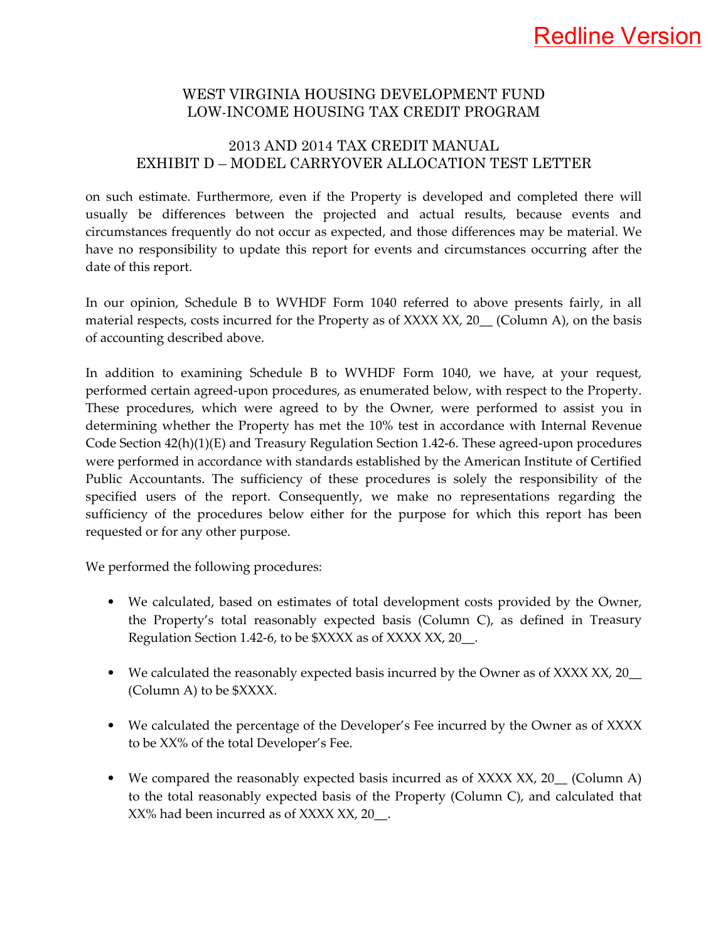#### 2013 AND 2014 TAX CREDIT MANUAL EXHIBIT D – MODEL CARRYOVER ALLOCATION TEST LETTER

on such estimate. Furthermore, even if the Property is developed and completed there will usually be differences between the projected and actual results, because events and circumstances frequently do not occur as expected, and those differences may be material. We have no responsibility to update this report for events and circumstances occurring after the date of this report.

In our opinion, Schedule B to WVHDF Form 1040 referred to above presents fairly, in all material respects, costs incurred for the Property as of XXXX XX, 20 (Column A), on the basis of accounting described above.

In addition to examining Schedule B to WVHDF Form 1040, we have, at your request, performed certain agreed‐upon procedures, as enumerated below, with respect to the Property. These procedures, which were agreed to by the Owner, were performed to assist you in determining whether the Property has met the 10% test in accordance with Internal Revenue Code Section  $42(h)(1)(E)$  and Treasury Regulation Section 1.42-6. These agreed-upon procedures were performed in accordance with standards established by the American Institute of Certified Public Accountants. The sufficiency of these procedures is solely the responsibility of the specified users of the report. Consequently, we make no representations regarding the sufficiency of the procedures below either for the purpose for which this report has been requested or for any other purpose.

We performed the following procedures:

- We calculated, based on estimates of total development costs provided by the Owner, the Property's total reasonably expected basis (Column C), as defined in Treasury Regulation Section 1.42-6, to be \$XXXX as of XXXX XX, 20\_\_.
- We calculated the reasonably expected basis incurred by the Owner as of XXXX XX, 20 (Column A) to be \$XXXX.
- We calculated the percentage of the Developer's Fee incurred by the Owner as of XXXX to be XX% of the total Developer's Fee.
- We compared the reasonably expected basis incurred as of XXXX XX, 20<sub>\_</sub> (Column A) to the total reasonably expected basis of the Property (Column C), and calculated that XX% had been incurred as of XXXX XX, 20\_\_.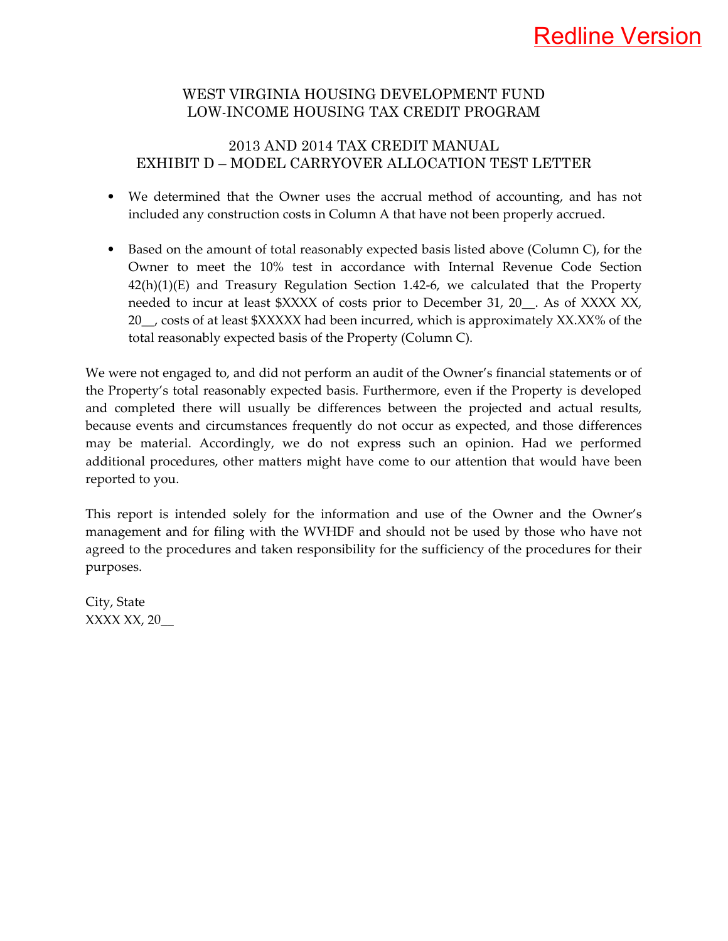#### 2013 AND 2014 TAX CREDIT MANUAL EXHIBIT D – MODEL CARRYOVER ALLOCATION TEST LETTER

- We determined that the Owner uses the accrual method of accounting, and has not included any construction costs in Column A that have not been properly accrued.
- Based on the amount of total reasonably expected basis listed above (Column C), for the Owner to meet the 10% test in accordance with Internal Revenue Code Section  $42(h)(1)(E)$  and Treasury Regulation Section 1.42-6, we calculated that the Property needed to incur at least \$XXXX of costs prior to December 31, 20. As of XXXX XX, 20\_\_, costs of at least \$XXXXX had been incurred, which is approximately XX.XX% of the total reasonably expected basis of the Property (Column C).

We were not engaged to, and did not perform an audit of the Owner's financial statements or of the Property's total reasonably expected basis. Furthermore, even if the Property is developed and completed there will usually be differences between the projected and actual results, because events and circumstances frequently do not occur as expected, and those differences may be material. Accordingly, we do not express such an opinion. Had we performed additional procedures, other matters might have come to our attention that would have been reported to you.

This report is intended solely for the information and use of the Owner and the Owner's management and for filing with the WVHDF and should not be used by those who have not agreed to the procedures and taken responsibility for the sufficiency of the procedures for their purposes.

City, State XXXX XX, 20\_\_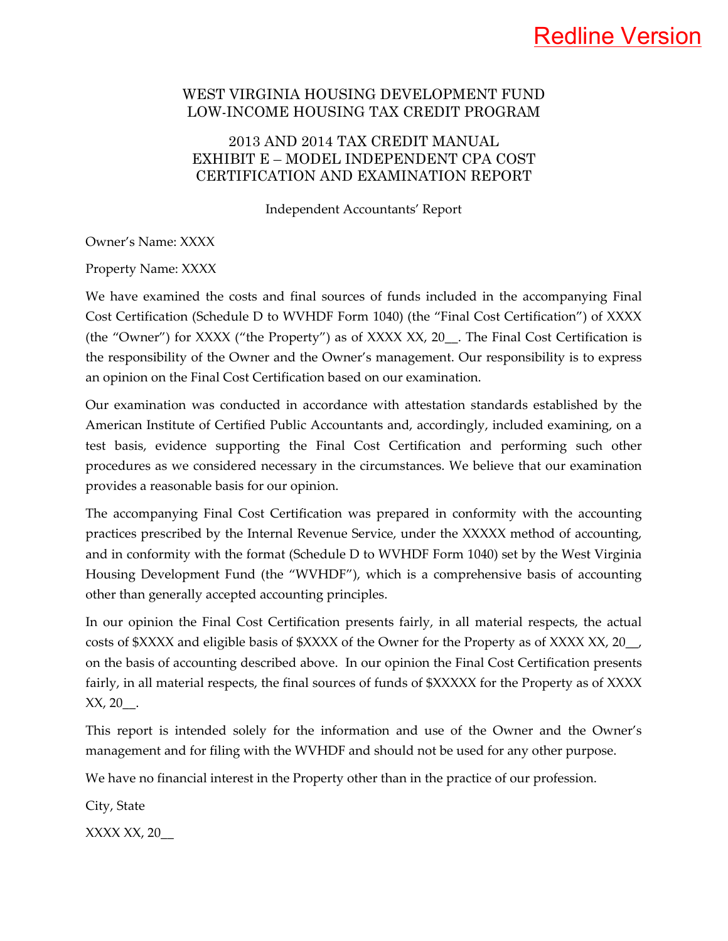## Redline Version

#### WEST VIRGINIA HOUSING DEVELOPMENT FUND LOW-INCOME HOUSING TAX CREDIT PROGRAM

#### 2013 AND 2014 TAX CREDIT MANUAL EXHIBIT E – MODEL INDEPENDENT CPA COST CERTIFICATION AND EXAMINATION REPORT

Independent Accountants' Report

Owner's Name: XXXX

Property Name: XXXX

We have examined the costs and final sources of funds included in the accompanying Final Cost Certification (Schedule D to WVHDF Form 1040) (the "Final Cost Certification") of XXXX (the "Owner") for XXXX ("the Property") as of XXXX XX, 20\_\_. The Final Cost Certification is the responsibility of the Owner and the Owner's management. Our responsibility is to express an opinion on the Final Cost Certification based on our examination.

Our examination was conducted in accordance with attestation standards established by the American Institute of Certified Public Accountants and, accordingly, included examining, on a test basis, evidence supporting the Final Cost Certification and performing such other procedures as we considered necessary in the circumstances. We believe that our examination provides a reasonable basis for our opinion.

The accompanying Final Cost Certification was prepared in conformity with the accounting practices prescribed by the Internal Revenue Service, under the XXXXX method of accounting, and in conformity with the format (Schedule D to WVHDF Form 1040) set by the West Virginia Housing Development Fund (the "WVHDF"), which is a comprehensive basis of accounting other than generally accepted accounting principles.

In our opinion the Final Cost Certification presents fairly, in all material respects, the actual costs of \$XXXX and eligible basis of \$XXXX of the Owner for the Property as of XXXX XX, 20\_\_, on the basis of accounting described above. In our opinion the Final Cost Certification presents fairly, in all material respects, the final sources of funds of \$XXXXX for the Property as of XXXX  $XX, 20$ .

This report is intended solely for the information and use of the Owner and the Owner's management and for filing with the WVHDF and should not be used for any other purpose.

We have no financial interest in the Property other than in the practice of our profession.

City, State

XXXX XX, 20\_\_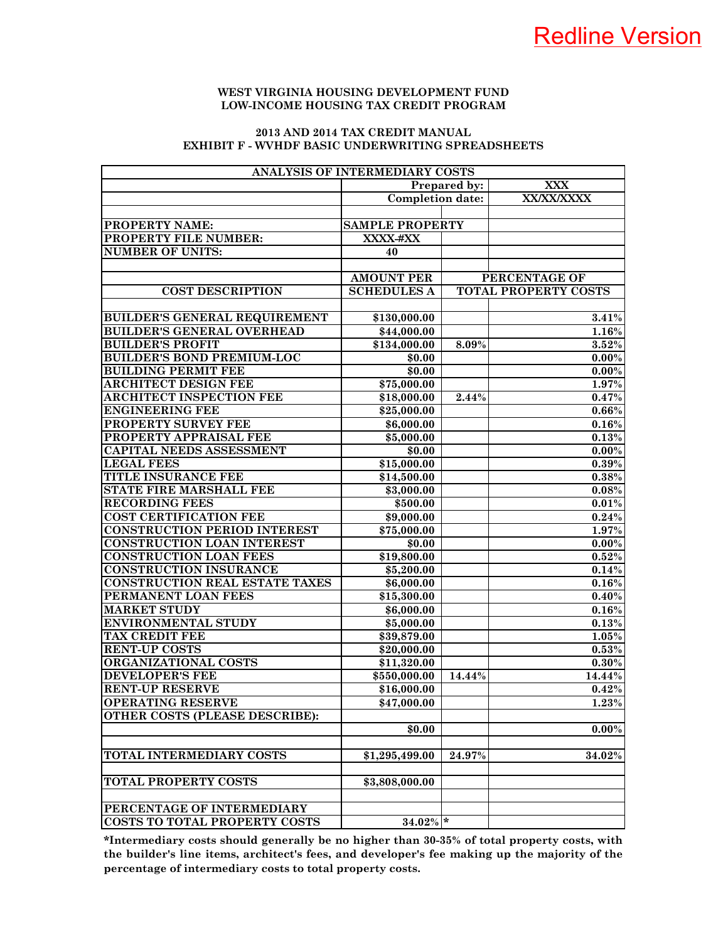#### **2013 AND 2014 TAX CREDIT MANUAL EXHIBIT F - WVHDF BASIC UNDERWRITING SPREADSHEETS**

| ANALYSIS OF INTERMEDIARY COSTS        |                         |                     |                             |  |  |  |  |
|---------------------------------------|-------------------------|---------------------|-----------------------------|--|--|--|--|
|                                       |                         | <b>Prepared by:</b> | <b>XXX</b>                  |  |  |  |  |
|                                       | <b>Completion date:</b> |                     | XX/XX/XXXX                  |  |  |  |  |
|                                       |                         |                     |                             |  |  |  |  |
| <b>PROPERTY NAME:</b>                 | <b>SAMPLE PROPERTY</b>  |                     |                             |  |  |  |  |
| PROPERTY FILE NUMBER:                 | XXXX-#XX                |                     |                             |  |  |  |  |
| <b>NUMBER OF UNITS:</b>               | 40                      |                     |                             |  |  |  |  |
|                                       |                         |                     |                             |  |  |  |  |
|                                       | <b>AMOUNT PER</b>       |                     | PERCENTAGE OF               |  |  |  |  |
| <b>COST DESCRIPTION</b>               | <b>SCHEDULES A</b>      |                     | <b>TOTAL PROPERTY COSTS</b> |  |  |  |  |
|                                       |                         |                     |                             |  |  |  |  |
| <b>BUILDER'S GENERAL REQUIREMENT</b>  | \$130,000.00            |                     | 3.41%                       |  |  |  |  |
| <b>BUILDER'S GENERAL OVERHEAD</b>     | \$44,000.00             |                     | 1.16%                       |  |  |  |  |
| <b>BUILDER'S PROFIT</b>               | \$134,000.00            | 8.09%               | 3.52%                       |  |  |  |  |
| <b>BUILDER'S BOND PREMIUM-LOC</b>     | \$0.00                  |                     | $0.00\%$                    |  |  |  |  |
| <b>BUILDING PERMIT FEE</b>            | \$0.00                  |                     | $0.00\%$                    |  |  |  |  |
| <b>ARCHITECT DESIGN FEE</b>           | \$75,000.00             |                     | 1.97%                       |  |  |  |  |
| <b>ARCHITECT INSPECTION FEE</b>       | \$18,000.00             | 2.44%               | 0.47%                       |  |  |  |  |
| <b>ENGINEERING FEE</b>                | \$25,000.00             |                     | 0.66%                       |  |  |  |  |
| PROPERTY SURVEY FEE                   | \$6,000.00              |                     | $0.16\%$                    |  |  |  |  |
| PROPERTY APPRAISAL FEE                | \$5,000.00              |                     | 0.13%                       |  |  |  |  |
| <b>CAPITAL NEEDS ASSESSMENT</b>       | \$0.00                  |                     | $0.00\%$                    |  |  |  |  |
| <b>LEGAL FEES</b>                     | \$15,000.00             |                     | 0.39%                       |  |  |  |  |
| <b>TITLE INSURANCE FEE</b>            | \$14,500.00             |                     | 0.38%                       |  |  |  |  |
| <b>STATE FIRE MARSHALL FEE</b>        | \$3,000.00              |                     | 0.08%                       |  |  |  |  |
| <b>RECORDING FEES</b>                 | \$500.00                |                     | 0.01%                       |  |  |  |  |
| <b>COST CERTIFICATION FEE</b>         | \$9,000.00              |                     | 0.24%                       |  |  |  |  |
| <b>CONSTRUCTION PERIOD INTEREST</b>   | \$75,000.00             |                     | 1.97%                       |  |  |  |  |
| <b>CONSTRUCTION LOAN INTEREST</b>     | \$0.00                  |                     | $0.00\%$                    |  |  |  |  |
| <b>CONSTRUCTION LOAN FEES</b>         | \$19,800.00             |                     | 0.52%                       |  |  |  |  |
| <b>CONSTRUCTION INSURANCE</b>         | \$5,200.00              |                     | 0.14%                       |  |  |  |  |
| <b>CONSTRUCTION REAL ESTATE TAXES</b> | \$6,000.00              |                     | 0.16%                       |  |  |  |  |
| PERMANENT LOAN FEES                   | \$15,300.00             |                     | $0.40\%$                    |  |  |  |  |
| <b>MARKET STUDY</b>                   | \$6,000.00              |                     | 0.16%                       |  |  |  |  |
| <b>ENVIRONMENTAL STUDY</b>            | \$5,000.00              |                     | 0.13%                       |  |  |  |  |
| <b>TAX CREDIT FEE</b>                 | \$39,879.00             |                     | 1.05%                       |  |  |  |  |
| <b>RENT-UP COSTS</b>                  | \$20,000.00             |                     | 0.53%                       |  |  |  |  |
| ORGANIZATIONAL COSTS                  | \$11,320.00             |                     | 0.30%                       |  |  |  |  |
| <b>DEVELOPER'S FEE</b>                | \$550,000.00            | 14.44%              | 14.44%                      |  |  |  |  |
| <b>RENT-UP RESERVE</b>                | \$16,000.00             |                     | 0.42%                       |  |  |  |  |
| <b>OPERATING RESERVE</b>              | \$47,000.00             |                     | 1.23%                       |  |  |  |  |
| <b>OTHER COSTS (PLEASE DESCRIBE):</b> |                         |                     |                             |  |  |  |  |
|                                       | \$0.00                  |                     | $0.00\%$                    |  |  |  |  |
|                                       |                         |                     |                             |  |  |  |  |
| <b>TOTAL INTERMEDIARY COSTS</b>       | \$1,295,499.00          | 24.97%              |                             |  |  |  |  |
|                                       |                         |                     | 34.02%                      |  |  |  |  |
| <b>TOTAL PROPERTY COSTS</b>           |                         |                     |                             |  |  |  |  |
|                                       | \$3,808,000.00          |                     |                             |  |  |  |  |
| PERCENTAGE OF INTERMEDIARY            |                         |                     |                             |  |  |  |  |
| <b>COSTS TO TOTAL PROPERTY COSTS</b>  | $34.02\%$ *             |                     |                             |  |  |  |  |
|                                       |                         |                     |                             |  |  |  |  |

**\*Intermediary costs should generally be no higher than 30-35% of total property costs, with the builder's line items, architect's fees, and developer's fee making up the majority of the percentage of intermediary costs to total property costs.**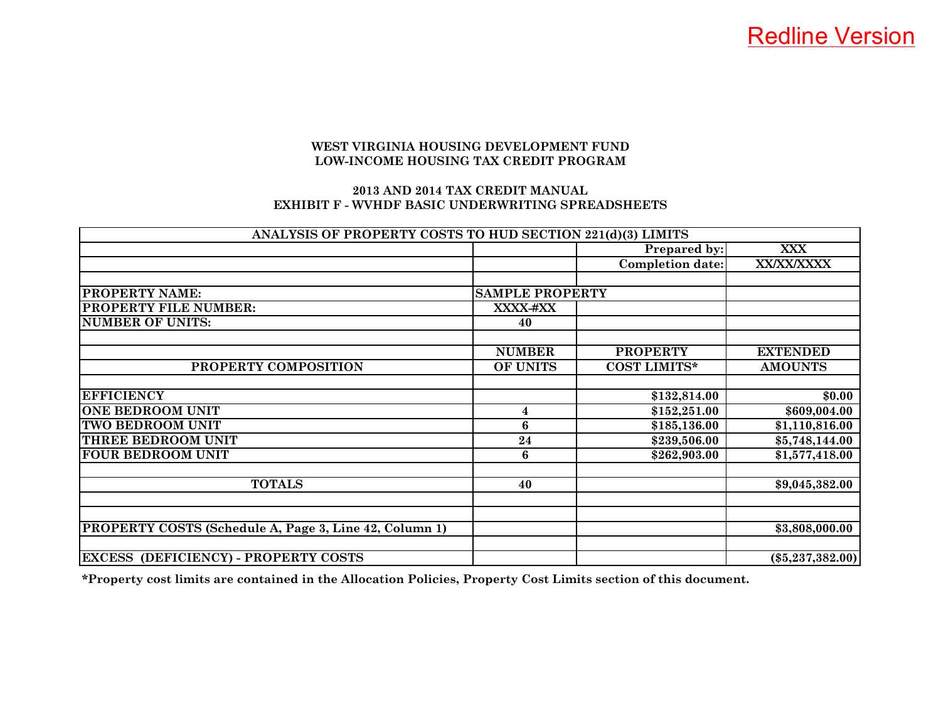#### **2013 AND 2014 TAX CREDIT MANUALEXHIBIT F - WVHDF BASIC UNDERWRITING SPREADSHEETS**

| ANALYSIS OF PROPERTY COSTS TO HUD SECTION 221(d)(3) LIMITS |                        |                         |                    |
|------------------------------------------------------------|------------------------|-------------------------|--------------------|
|                                                            |                        | Prepared by:            | <b>XXX</b>         |
|                                                            |                        | <b>Completion date:</b> | <b>XX/XX/XXXX</b>  |
|                                                            |                        |                         |                    |
| PROPERTY NAME:                                             | <b>SAMPLE PROPERTY</b> |                         |                    |
| <b>PROPERTY FILE NUMBER:</b>                               | XXXX-#XX               |                         |                    |
| <b>NUMBER OF UNITS:</b>                                    | 40                     |                         |                    |
|                                                            |                        |                         |                    |
|                                                            | <b>NUMBER</b>          | <b>PROPERTY</b>         | <b>EXTENDED</b>    |
| PROPERTY COMPOSITION                                       | OF UNITS               | <b>COST LIMITS*</b>     | <b>AMOUNTS</b>     |
|                                                            |                        |                         |                    |
| <b>EFFICIENCY</b>                                          |                        | \$132,814.00            | \$0.00             |
| <b>ONE BEDROOM UNIT</b>                                    | $\overline{4}$         | \$152,251.00            | \$609,004.00       |
| <b>TWO BEDROOM UNIT</b>                                    | 6                      | \$185,136.00            | \$1,110,816.00     |
| THREE BEDROOM UNIT                                         | 24                     | \$239,506.00            | \$5,748,144.00     |
| <b>FOUR BEDROOM UNIT</b>                                   | 6                      | \$262,903.00            | \$1,577,418.00     |
|                                                            |                        |                         |                    |
| <b>TOTALS</b>                                              | 40                     |                         | \$9,045,382.00     |
|                                                            |                        |                         |                    |
|                                                            |                        |                         |                    |
| PROPERTY COSTS (Schedule A, Page 3, Line 42, Column 1)     |                        |                         | \$3,808,000.00     |
|                                                            |                        |                         |                    |
| <b>EXCESS (DEFICIENCY) - PROPERTY COSTS</b>                |                        |                         | $(\$5,237,382.00)$ |

**\*Property cost limits are contained in the Allocation Policies, Property Cost Limits section of this document.**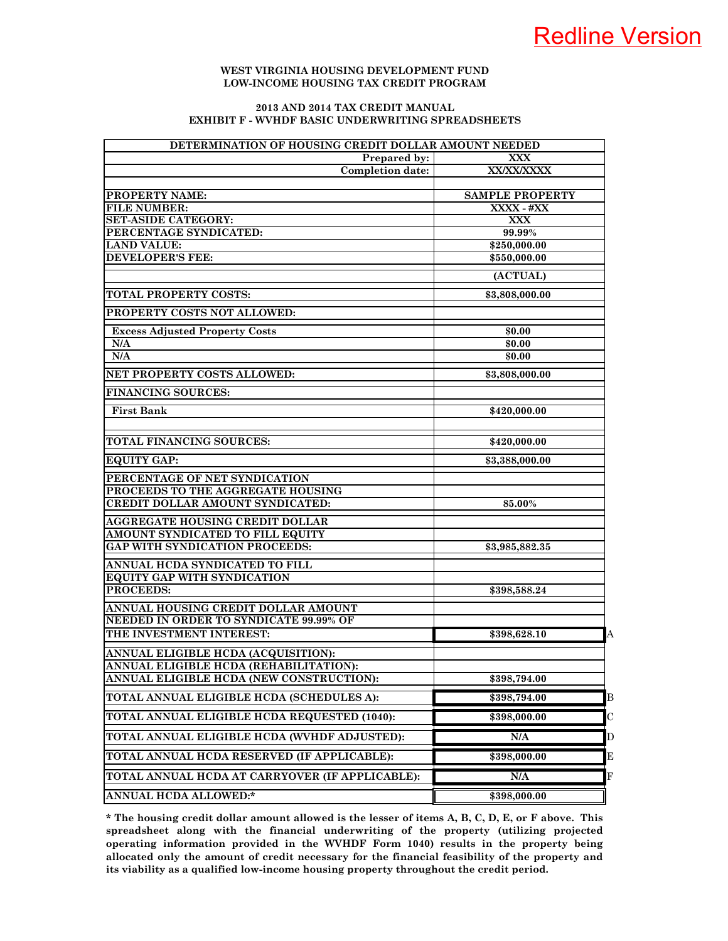#### **2013 AND 2014 TAX CREDIT MANUAL EXHIBIT F - WVHDF BASIC UNDERWRITING SPREADSHEETS**

| DETERMINATION OF HOUSING CREDIT DOLLAR AMOUNT NEEDED |                                |  |  |  |  |  |
|------------------------------------------------------|--------------------------------|--|--|--|--|--|
| Prepared by:                                         | <b>XXX</b>                     |  |  |  |  |  |
| <b>Completion date:</b>                              | <b>XX/XX/XXXX</b>              |  |  |  |  |  |
| <b>PROPERTY NAME:</b>                                | <b>SAMPLE PROPERTY</b>         |  |  |  |  |  |
| <b>FILE NUMBER:</b>                                  | XXXX - #XX                     |  |  |  |  |  |
| <b>SET-ASIDE CATEGORY:</b>                           | <b>XXX</b>                     |  |  |  |  |  |
| PERCENTAGE SYNDICATED:                               | 99.99%                         |  |  |  |  |  |
| <b>LAND VALUE:</b>                                   | \$250,000.00                   |  |  |  |  |  |
| <b>DEVELOPER'S FEE:</b>                              | \$550,000.00                   |  |  |  |  |  |
|                                                      | (ACTUAL)                       |  |  |  |  |  |
| <b>TOTAL PROPERTY COSTS:</b>                         | \$3,808,000.00                 |  |  |  |  |  |
| PROPERTY COSTS NOT ALLOWED:                          |                                |  |  |  |  |  |
| <b>Excess Adjusted Property Costs</b>                | \$0.00                         |  |  |  |  |  |
| N/A                                                  | \$0.00                         |  |  |  |  |  |
| N/A                                                  | \$0.00                         |  |  |  |  |  |
| NET PROPERTY COSTS ALLOWED:                          | \$3,808,000.00                 |  |  |  |  |  |
| <b>FINANCING SOURCES:</b>                            |                                |  |  |  |  |  |
| First Bank                                           | \$420,000.00                   |  |  |  |  |  |
| TOTAL FINANCING SOURCES:                             | \$420,000.00                   |  |  |  |  |  |
| <b>EQUITY GAP:</b>                                   | \$3,388,000.00                 |  |  |  |  |  |
|                                                      |                                |  |  |  |  |  |
| PERCENTAGE OF NET SYNDICATION                        |                                |  |  |  |  |  |
| PROCEEDS TO THE AGGREGATE HOUSING                    |                                |  |  |  |  |  |
| CREDIT DOLLAR AMOUNT SYNDICATED:                     | 85.00%                         |  |  |  |  |  |
| AGGREGATE HOUSING CREDIT DOLLAR                      |                                |  |  |  |  |  |
| AMOUNT SYNDICATED TO FILL EQUITY                     |                                |  |  |  |  |  |
| <b>GAP WITH SYNDICATION PROCEEDS:</b>                | \$3,985,882.35                 |  |  |  |  |  |
| ANNUAL HCDA SYNDICATED TO FILL                       |                                |  |  |  |  |  |
| <b>EQUITY GAP WITH SYNDICATION</b>                   |                                |  |  |  |  |  |
| PROCEEDS:                                            | \$398,588.24                   |  |  |  |  |  |
| ANNUAL HOUSING CREDIT DOLLAR AMOUNT                  |                                |  |  |  |  |  |
| NEEDED IN ORDER TO SYNDICATE 99.99% OF               |                                |  |  |  |  |  |
| THE INVESTMENT INTEREST:                             | $\overline{A}$<br>\$398,628.10 |  |  |  |  |  |
| ANNUAL ELIGIBLE HCDA (ACQUISITION):                  |                                |  |  |  |  |  |
| ANNUAL ELIGIBLE HCDA (REHABILITATION):               |                                |  |  |  |  |  |
| ANNUAL ELIGIBLE HCDA (NEW CONSTRUCTION):             | \$398,794.00                   |  |  |  |  |  |
| TOTAL ANNUAL ELIGIBLE HCDA (SCHEDULES A):            | \$398,794.00<br>B              |  |  |  |  |  |
| TOTAL ANNUAL ELIGIBLE HCDA REQUESTED (1040):         | $\mathbf C$<br>\$398,000.00    |  |  |  |  |  |
| TOTAL ANNUAL ELIGIBLE HCDA (WVHDF ADJUSTED):         | N/A<br>D                       |  |  |  |  |  |
| TOTAL ANNUAL HCDA RESERVED (IF APPLICABLE):          | \$398,000.00<br>E              |  |  |  |  |  |
| TOTAL ANNUAL HCDA AT CARRYOVER (IF APPLICABLE):      | N/A<br>F                       |  |  |  |  |  |
| ANNUAL HCDA ALLOWED:*                                | \$398,000.00                   |  |  |  |  |  |

**\* The housing credit dollar amount allowed is the lesser of items A, B, C, D, E, or F above. This spreadsheet along with the financial underwriting of the property (utilizing projected operating information provided in the WVHDF Form 1040) results in the property being allocated only the amount of credit necessary for the financial feasibility of the property and its viability as a qualified low-income housing property throughout the credit period.**